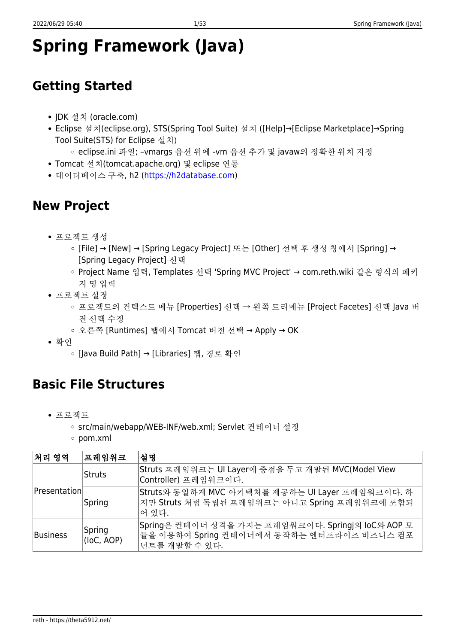# **Spring Framework (Java)**

## **Getting Started**

- JDK 설치 (oracle.com)
- Eclipse 설치(eclipse.org), STS(Spring Tool Suite) 설치 ([Help]→[Eclipse Marketplace]→Spring Tool Suite(STS) for Eclipse 설치)
	- eclipse.ini 파일; –vmargs 옵션 위에 -vm 옵션 추가 및 javaw의 정확한 위치 지정
- Tomcat 설치(tomcat.apache.org) 및 eclipse 연동
- 데이터베이스 구축, h2 (<https://h2database.com>)

## **New Project**

- 프로젝트 생성
	- [File] → [New] → [Spring Legacy Project] 또는 [Other] 선택 후 생성 창에서 [Spring] → [Spring Legacy Project] 선택
	- Project Name 입력, Templates 선택 'Spring MVC Project' → com.reth.wiki 같은 형식의 패키 지 명 입력
- 프로젝트 설정
	- 프로젝트의 커텍스트 메뉴 [Properties] 선택 → 왼쪽 트리메뉴 [Project Facetes] 선택 lava 버 전 선택 수정
	- 오른쪽 [Runtimes] 탭에서 Tomcat 버전 선택 → Apply → OK
- 확인
	- [Java Build Path] → [Libraries] 탭, 경로 확인

## **Basic File Structures**

- 프로젝트
	- src/main/webapp/WEB-INF/web.xml; Servlet 컨테이너 설정
	- pom.xml

| 처리 영역        | │프레임워크               | 설명                                                                                                               |
|--------------|----------------------|------------------------------------------------------------------------------------------------------------------|
| Presentation | Struts               | Struts 프레임워크는 UI Layer에 중점을 두고 개발된 MVC(Model View<br>Controller) 프레임워크이다.                                        |
|              | Spring               | Struts와 동일하게 MVC 아키텍처를 제공하는 UI Layer 프레임워크이다. 하<br>지만 Struts 처럼 독립된 프레임워크는 아니고 Spring 프레임워크에 포함되<br> 어 있다.       |
| Business     | Spring<br>(loC, AOP) | Spring은 컨테이너 성격을 가지는 프레임워크이다. Springj의 loC와 AOP 모<br> 듈을 이용하여 Spring 컨테이너에서 동작하는 엔터프라이즈 비즈니스 컴포<br>넌트를 개발할 수 있다. |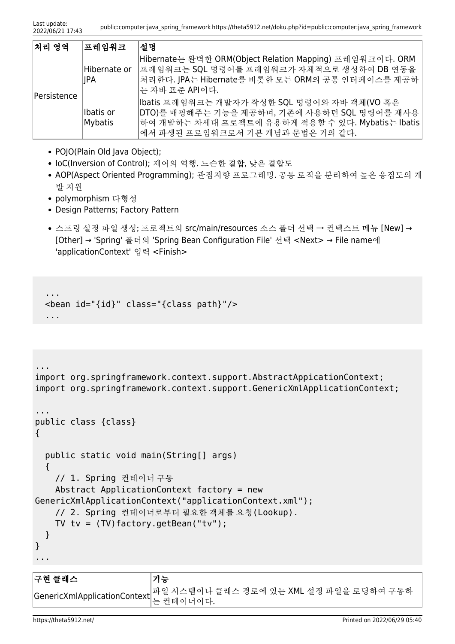| 처리 영역       | │프레임워크                | 설명                                                                                                                                                                                 |
|-------------|-----------------------|------------------------------------------------------------------------------------------------------------------------------------------------------------------------------------|
| Persistence | Hibernate or<br>∣∣PA  | Hibernate는 완벽한 ORM(Object Relation Mapping) 프레임워크이다. ORM<br> 프레임워크는 SQL 명령어를 프레임워크가 자체적으로 생성하여 DB 연동을<br>치리한다. JPA는 Hibernate를 비롯한 모든 ORM의 공통 인터페이스를 제공하<br>│는 자바 표준 API이다.        |
|             | llbatis or<br>Mybatis | Ibatis 프레임워크는 개발자가 작성한 SQL 명령어와 자바 객체(VO 혹은<br>DTO)를 매핑해주는 기능을 제공하며, 기존에 사용하던 SQL 명령어를 재사용<br>하여 개발하는 차세대 프로젝트에 유용하게 적용할 수 있다. Mybatis는 Ibatis<br>에서 파생된 프로임워크로서 기본 개념과 문법은 거의 같다. |

- POJO(Plain Old Java Object);
- IoC(Inversion of Control); 제어의 역행. 느슨한 결합, 낮은 결합도
- AOP(Aspect Oriented Programming); 관점지향 프로그래밍. 공통 로직을 분리하여 높은 응집도의 개 발 지원
- polymorphism 다형성
- Design Patterns; Factory Pattern
- 스프링 설정 파일 생성; 프로젝트의 src/main/resources 소스 폴더 선택 → 컨텍스트 메뉴 [New] → [Other] → 'Spring' 폴더의 'Spring Bean Configuration File' 선택 <Next> → File name에 'applicationContext' 입력 <Finish>

```
 ...
  <bean id="{id}" class="{class path}"/>
 ...
```

```
...
import org.springframework.context.support.AbstractAppicationContext;
import org.springframework.context.support.GenericXmlApplicationContext;
...
public class {class}
{
  public static void main(String[] args)
   {
    // 1. Spring 컨테이너 구동
    Abstract ApplicationContext factory = new
GenericXmlApplicationContext("applicationContext.xml");
    // 2. Spring 컨테이너로부터 필요한 객체를 요청(Lookup).
   TV tv = (TV) factory.getBean("tv");
   }
}
...
```

| ├구현 클래스 | 기능                                                                             |
|---------|--------------------------------------------------------------------------------|
|         | <br> GenericXmlApplicationContext  파일 시스템이나 클래스 경로에 있는 XML 설정 파일을 로딩하여 구동하<br> |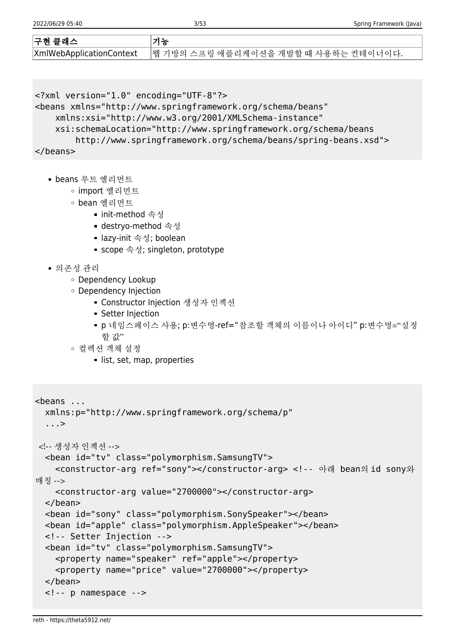| 구현 클래스 | 기능                                                             |
|--------|----------------------------------------------------------------|
|        | XmlWebApplicationContext  웹 기방의 스프링 애플리케이션을 개발할 때 사용하는 컨테이너이다. |

```
<?xml version="1.0" encoding="UTF-8"?>
```

```
<beans xmlns="http://www.springframework.org/schema/beans"
```

```
 xmlns:xsi="http://www.w3.org/2001/XMLSchema-instance"
```

```
 xsi:schemaLocation="http://www.springframework.org/schema/beans
```
http://www.springframework.org/schema/beans/spring-beans.xsd">

```
</beans>
```
- beans 루트 엘리먼트
	- import 엘리먼트
	- bean 엘리먼트
		- init-method 속성
		- destryo-method 속성
		- lazy-init 속성; boolean
		- scope 속성; singleton, prototype
- 의존성 관리
	- Dependency Lookup
	- Dependency Injection
		- Constructor Injection 생성자 인젝션
		- **Setter Injection**
		- p 네임스페이스 사용; p:변수명-ref="참조할 객체의 이름이나 아이디" p:변수명="설정 할 값"
	- 컬렉션 객체 설정
		- **I**list, set, map, properties

```
<beans ...
   xmlns:p="http://www.springframework.org/schema/p"
   ...>
 <!-- 생성자 인젝션 -->
   <bean id="tv" class="polymorphism.SamsungTV">
     <constructor-arg ref="sony"></constructor-arg> <!-- 아래 bean의 id sony와
매칭 -->
     <constructor-arg value="2700000"></constructor-arg>
  </bean>
   <bean id="sony" class="polymorphism.SonySpeaker"></bean>
   <bean id="apple" class="polymorphism.AppleSpeaker"></bean>
   <!-- Setter Injection -->
   <bean id="tv" class="polymorphism.SamsungTV">
     <property name="speaker" ref="apple"></property>
     <property name="price" value="2700000"></property>
   </bean>
   <!-- p namespace -->
```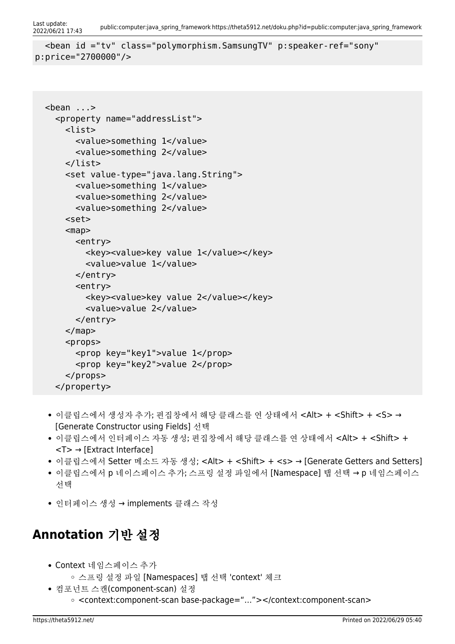```
Last update:<br>2022/06/21 17:43
                            2022/06/21 17:43 public:computer:java_spring_framework https://theta5912.net/doku.php?id=public:computer:java_spring_framework
```

```
 <bean id ="tv" class="polymorphism.SamsungTV" p:speaker-ref="sony"
p:price="2700000"/>
```

```
 <bean ...>
   <property name="addressList">
     <list>
       <value>something 1</value>
       <value>something 2</value>
     </list>
     <set value-type="java.lang.String">
       <value>something 1</value>
       <value>something 2</value>
       <value>something 2</value>
     <set>
    <sub>map</sub></sub>
       <entry>
         <key><value>key value 1</value></key>
         <value>value 1</value>
       </entry>
       <entry>
          <key><value>key value 2</value></key>
          <value>value 2</value>
       </entry>
     </map>
    < props> <prop key="key1">value 1</prop>
       <prop key="key2">value 2</prop>
     </props>
   </property>
```
- 이클립스에서 생성자 추가; 편집창에서 해당 클래스를 연 상태에서 <Alt> + <Shift> + <S> → [Generate Constructor using Fields] 선택
- 이클립스에서 인터페이스 자동 생성; 편집창에서 해당 클래스를 연 상태에서 <Alt> + <Shift> + <T> → [Extract Interface]
- 이클립스에서 Setter 메소드 자동 생성; <Alt> + <Shift> + <s> → [Generate Getters and Setters]
- 이클립스에서 p 네이스페이스 추가; 스프링 설정 파일에서 [Namespace] 탭 선택 → p 네임스페이스 선택
- 인터페이스 생성 → implements 클래스 작성

# **Annotation** 기반 설정

- Context 네임스페이스 추가
	- 스프링 설정 파일 [Namespaces] 탭 선택 'context' 체크
- 컴포넌트 스캔(component-scan) 설정 <context:component-scan base-package="…"></context:component-scan>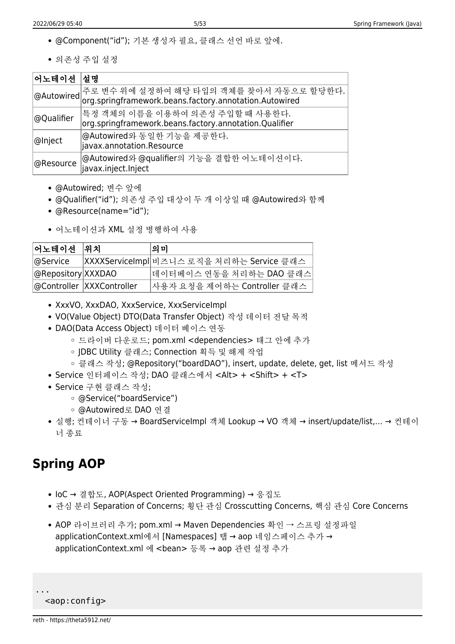- @Component("id"); 기본 생성자 필요, 클래스 선언 바로 앞에.
- 의존성 주입 설정

| 어노테이션  설명  |                                                                                                                           |
|------------|---------------------------------------------------------------------------------------------------------------------------|
|            | │@Autowired│주로 변수 위에 설정하여 해당 타입의 객체를 찾아서 자동으로 할당한다.<br>│@Autowired│org.springframework.beans.factory.annotation.Autowired |
| @Qualifier | 특정 객체의 이름을 이용하여 의존성 주입할 때 사용한다.<br>org.springframework.beans.factory.annotation.Qualifier                                 |
| @Inject    | @Autowired와 동일한 기능을 제공한다.<br>javax.annotation.Resource                                                                    |
| @Resource  | @Autowired와 @qualifier의 기능을 결합한 어노테이션이다.<br>javax.inject.Inject                                                           |

- @Autowired; 변수 앞에
- @Qualifier("id"); 의존성 주입 대상이 두 개 이상일 때 @Autowired와 함께
- @Resource(name="id");
- 어노테이션과 XML 설정 병행하여 사용

| │어노테이션 │위치         |                            | 의 미                                       |
|--------------------|----------------------------|-------------------------------------------|
| @Service           |                            | XXXXServiceImpl 비즈니스 로직을 처리하는 Service 클래스 |
| @Repository XXXDAO |                            | 데이터베이스 연동을 처리하는 DAO 클래스                   |
|                    | @Controller  XXXController | 사용자 요청을 제어하는 Controller 클래스               |

- XxxVO, XxxDAO, XxxService, XxxServiceImpl
- VO(Value Object) DTO(Data Transfer Object) 작성 데이터 전달 목적
- DAO(Data Access Object) 데이터 베이스 연동
	- 드라이버 다운로드; pom.xml <dependencies> 태그 안에 추가
	- JDBC Utility 클래스; Connection 획득 및 해제 작업
	- 클래스 작성; @Repository("boardDAO"), insert, update, delete, get, list 메서드 작성
- Service 인터페이스 작성; DAO 클래스에서 <Alt> + <Shift> + <T>
- Service 구현 클래스 작성;
	- @Service("boardService")
	- @Autowired로 DAO 연결
- 실행; 컨테이너 구동 → BoardServiceImpl 객체 Lookup → VO 객체 → insert/update/list,… → 컨테이 너 종료

# **Spring AOP**

- IoC → 결합도, AOP(Aspect Oriented Programming) → 응집도
- 관심 분리 Separation of Concerns; 횡단 관심 Crosscutting Concerns, 핵심 관심 Core Concerns
- AOP 라이브러리 추가; pom.xml → Maven Dependencies 확인 → 스프링 설정파일 applicationContext.xml에서 [Namespaces] 탭 → aop 네임스페이스 추가 → applicationContext.xml 에 <bean> 등록 → aop 관련 설정 추가

```
 <aop:config>
```
...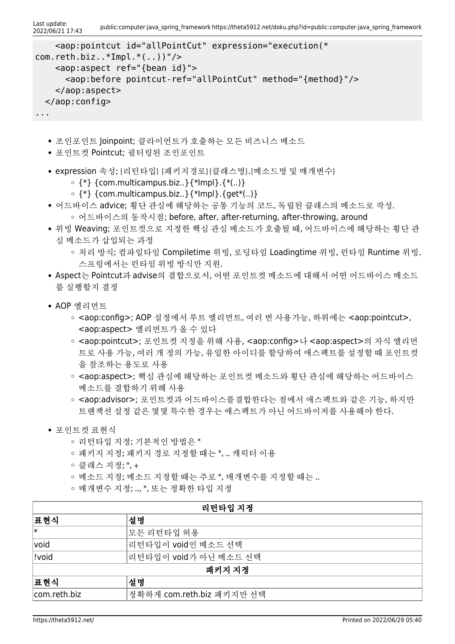Last update:<br>2022/06/21 17:43 public:computer:java\_spring\_framework https://theta5912.net/doku.php?id=public:computer:java\_spring\_framework

```
 <aop:pointcut id="allPointCut" expression="execution(*
com.reth.biz..*Impl.*(...))"/>
     <aop:aspect ref="{bean id}">
       <aop:before pointcut-ref="allPointCut" method="{method}"/>
     </aop:aspect>
  </aop:config>
...
```
- 조인포인트 Joinpoint; 클라이언트가 호출하는 모든 비즈니스 메소드
- 포인트컷 Pointcut; 필터링된 조인포인트
- expression 속성; {리턴타입} {패키지경로}{클래스명}.{메소드명 및 매개변수}
	- $\circ$  {\*} {com.multicampus.biz..}{\*lmpl}.{\*(..)}
	- $\circ$  {\*} {com.multicampus.biz..}{\*lmpl}.{get\*(..)}
- 어드바이스 advice; 횡단 관심에 해당하는 공통 기능의 코드, 독립된 클래스의 메소드로 작성. 어드바이스의 동작시점; before, after, after-returning, after-throwing, around
- 위빙 Weaving; 포인트컷으로 지정한 핵심 관심 메소드가 호출될 때, 어드바이스에 해당하는 횡단 관 심 메소드가 삽입되는 과정
	- 처리 방식; 컴파일타임 Compiletime 위빙, 로딩타임 Loadingtime 위빙, 런타임 Runtime 위빙. 스프링에서는 런타임 위빙 방식만 지원.
- Aspect는 Pointcut과 advise의 결합으로서, 어떤 포인트컷 메소드에 대해서 어떤 어드바이스 메소드 를 실행할지 결정
- AOP 엘리먼트
	- <aop:config>; AOP 설정에서 루트 엘리먼트, 여러 번 사용가능, 하위에는 <aop:pointcut>, <aop:aspect> 엘리먼트가 올 수 있다
	- <aop:pointcut>; 포인트컷 지정을 위해 사용, <aop:config>나 <aop:aspect>의 자식 엘리먼 트로 사용 가능, 여러 개 정의 가능, 유일한 아이디를 할당하여 애스팩트를 설정할 때 포인트컷 을 참조하는 용도로 사용
	- <aop:aspect>; 핵심 관심에 해당하는 포인트컷 메소드와 횡단 관심에 해당하는 어드바이스 메소드를 결합하기 위해 사용
	- <aop:advisor>; 포인트컷과 어드바이스를결합한다는 점에서 애스팩트와 같은 기능, 하지만 트랜잭션 설정 같은 몇몇 특수한 경우는 애스팩트가 아닌 어드바이저를 사용해야 한다.
- 포인트컷 표현식
	- 리턴타입 지정; 기본적인 방법은 \*
	- 패키지 지정; 패키지 경로 지정할 때는 \*, .. 캐릭터 이용
	- 클래스 지정; \*, +
	- 메소드 지정; 메소드 지정할 때는 주로 \*, 매개변수를 지정할 때는 ..
	- 매개변수 지정; .., \*, 또는 정확한 타입 지정

| 리턴타입 지정      |                           |  |
|--------------|---------------------------|--|
| │표현식         | 설명                        |  |
| ∣∗           | 모든 리턴타입 허용                |  |
| void         | 리턴타입이 void인 메소드 선택        |  |
| !void        | 리턴타입이 void가 아닌 메소드 선택     |  |
| 패키지 지정       |                           |  |
| │표현식         | 설명                        |  |
| com.reth.biz | 정확하게 com.reth.biz 패키지만 선택 |  |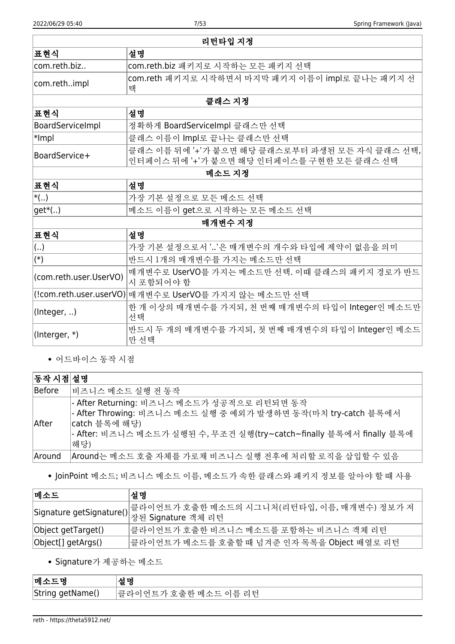| 리턴타입 지정                |                                                                                             |  |
|------------------------|---------------------------------------------------------------------------------------------|--|
| │표현식                   | 설명                                                                                          |  |
| com.reth.biz           | com.reth.biz 패키지로 시작하는 모든 패키지 선택                                                            |  |
| com.rethimpl           | com.reth 패키지로 시작하면서 마지막 패키지 이름이 impl로 끝나는 패키지 선<br>택                                        |  |
|                        | 클래스 지정                                                                                      |  |
| │표현식                   | 설명                                                                                          |  |
| BoardServiceImpl       | 정확하게 BoardServiceImpl 클래스만 선택                                                               |  |
| $ \ast $ mpl           | 클래스 이름이 Impl로 끝나는 클래스만 선택                                                                   |  |
| BoardService+          | 클래스 이름 뒤에 '+'가 붙으면 해당 클래스로부터 파생된 모든 자식 클래스 선택,<br>인터페이스 뒤에 '+'가 붙으면 해당 인터페이스를 구현한 모든 클래스 선택 |  |
|                        | 메소드 지정                                                                                      |  |
| │표현식                   | 설명                                                                                          |  |
| $ \ast( )$             | 가장 기본 설정으로 모든 메소드 선택                                                                        |  |
| $ get*(.) $            | 메소드 이름이 get으로 시작하는 모든 메소드 선택                                                                |  |
|                        | 매개변수 지정                                                                                     |  |
| │표현식                   | 설명                                                                                          |  |
| $\vert ()$             | 가장 기본 설정으로서 ''은 매개변수의 개수와 타입에 제약이 없음을 의미                                                    |  |
| $\ket{(*)}$            | 반드시 1개의 매개변수를 가지는 메소드만 선택                                                                   |  |
| (com.reth.user.UserVO) | 매개변수로 UserVO를 가지는 메소드만 선택. 이때 클래스의 패키지 경로가 반드<br>시 포함되어야 함                                  |  |
|                        | (!com.reth.user.userVO) 매개변수로 UserVO를 가지지 않는 메소드만 선택                                        |  |
| (Integer, )            | 한 개 이상의 매개변수를 가지되, 천 번째 매개변수의 타입이 Integer인 메소드만<br>선택                                       |  |
| (Interger, *)          | 반드시 두 개의 매개변수를 가지되, 첫 번째 매개변수의 타입이 Integer인 메소드<br>만 선택                                     |  |

어드바이스 동작 시점

#### $\sqrt{F_1 + F_2 + F_3}$  서적

| . <del>.</del> . |                                                                                                              |
|------------------|--------------------------------------------------------------------------------------------------------------|
| Before           | 비즈니스 메소드 실행 전 동작                                                                                             |
|                  | - After Returning: 비즈니스 메소드가 성공적으로 리턴되면 동작<br> - After Throwing: 비즈니스 메소드 실행 중 예외가 발생하면 동작(마치 try-catch 블록에서 |
| After            | catch 블록에 해당)<br> - After: 비즈니스 메소드가 실행된 수, 무조건 실행(try~catch~finally 블록에서 finally 블록에                        |
|                  | 해당)                                                                                                          |
| Around           | Around는 메소드 호출 자체를 가로채 비즈니스 실행 전후에 처리할 로직을 삽입할 수 있음                                                          |

JoinPoint 메소드; 비즈니스 메소드 이름, 메소드가 속한 클래스와 패키지 정보를 알아야 할 때 사용

| 메소드                | 설명                                                                                                            |
|--------------------|---------------------------------------------------------------------------------------------------------------|
|                    | 클라이언트가 호출한 메소드의 시그니처(리턴타입, 이름, 매개변수) 정보가 저<br><sub>,</sub> Signature getSignature() 동물 Signature <u>객체 리턴</u> |
| Object getTarget() | 클라이언트가 호출한 비즈니스 메소드를 포함하는 비즈니스 객체 리턴                                                                          |
| Object[] getArgs() | 클라이언트가 메소드를 호출할 때 넘겨준 인자 목록을 Object 배열로 리턴                                                                    |

Signature가 제공하는 메소드

| 메소드              | 서며                        |
|------------------|---------------------------|
| String getName() | 클라이언트가 호출한 메소드 이름 리턴<br>ᆢ |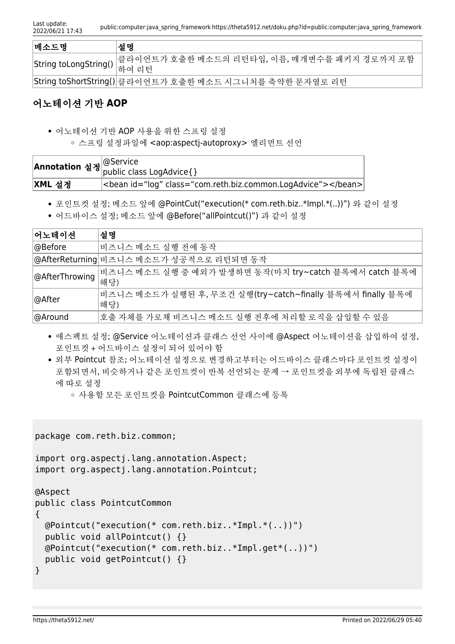| <b> 메소드명</b>                    | ∣설명                                                     |
|---------------------------------|---------------------------------------------------------|
| String toLongString()  를 다 인 단의 | 클라이언트가 호출한 메소드의 리턴타입, 이름, 매개변수를 패키지 경로까지 포함             |
|                                 | String toShortString() 클라이언트가 호출한 메소드 시그니처를 축약한 문자열로 리턴 |

## 어노테이션 기반 **AOP**

어노테이션 기반 AOP 사용을 위한 스프링 설정

스프링 설정파일에 <aop:aspectj-autoproxy> 엘리먼트 선언

|        | ' <b>*notation</b> 설정 <mark>@Service<br/>  public class LogAdvice{}</mark> |
|--------|----------------------------------------------------------------------------|
|        |                                                                            |
| XML 설정 | <bean class="com.reth.biz.common.LogAdvice" id="log"></bean>               |

포인트컷 설정; 메소드 앞에 @PointCut("execution(\* com.reth.biz..\*Impl.\*(..))") 와 같이 설정

어드바이스 설정; 메소드 앞에 @Before("allPointcut()") 과 같이 설정

| 어노테이션                       | '설명                                                                |  |
|-----------------------------|--------------------------------------------------------------------|--|
| ∣@Before                    | 비즈니스 메소드 실행 전에 동작                                                  |  |
|                             | @AfterReturning 비즈니스 메소드가 성공적으로 리턴되면 동작                            |  |
| @AfterThrowing  미스'<br> 해당) | 비즈니스 메소드 실행 중 예외가 발생하면 동작(마치 try~catch 블록에서 catch 블록에              |  |
| ∣@After                     | 비즈니스 메소드가 실행된 후, 무조건 실행(try~catch~finally 블록에서 finally 블록에<br>'해당) |  |
| ∣@Around                    | 호출 자체를 가로채 비즈니스 메소드 실행 전후에 처리할 로직을 삽입할 수 있음                        |  |

- 애스팩트 설정; @Service 어노테이션과 클래스 선언 사이에 @Aspect 어노테이션을 삽입하여 설정, 포인트컷 + 어드바이스 설정이 되어 있어야 함
- 외부 Pointcut 참조; 어노테이션 설정으로 변경하고부터는 어드바이스 클래스마다 포인트컷 설정이 포함되면서, 비슷하거나 같은 포인트컷이 반복 선언되는 문제 → 포인트컷을 외부에 독립된 클래스 에 따로 설정
	- 사용할 모든 포인트컷을 PointcutCommon 클래스에 등록

```
package com.reth.biz.common;
import org.aspectj.lang.annotation.Aspect;
import org.aspectj.lang.annotation.Pointcut;
@Aspect
public class PointcutCommon
{
  @Pointcut("execution(* com.reth.biz..*Impl.*(..))")
   public void allPointcut() {}
  @Pointcut("execution(* com.reth.biz..*Impl.get*(..))")
   public void getPointcut() {}
}
```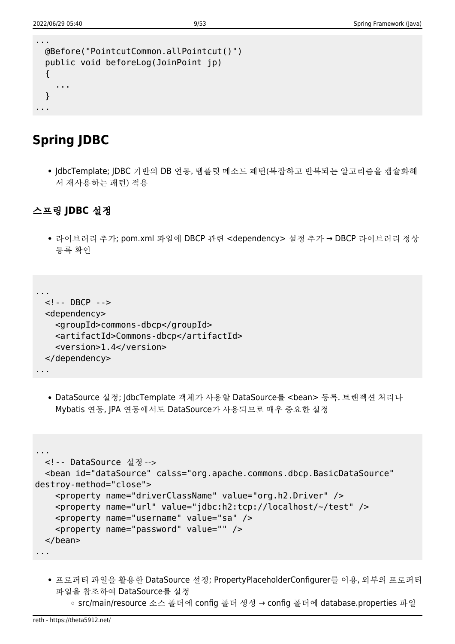...

```
 @Before("PointcutCommon.allPointcut()")
  public void beforeLog(JoinPoint jp)
  {
     ...
  }
...
```
## **Spring JDBC**

• IdbcTemplate; IDBC 기반의 DB 연동, 템플릿 메소드 패턴(복잡하고 반복되는 알고리즘을 캡슐화해 서 재사용하는 패턴) 적용

### 스프링 **JDBC** 설정

라이브러리 추가; pom.xml 파일에 DBCP 관련 <dependency> 설정 추가 → DBCP 라이브러리 정상 등록 확인

```
...
  <!-- DBCP -->
  <dependency>
     <groupId>commons-dbcp</groupId>
     <artifactId>Commons-dbcp</artifactId>
     <version>1.4</version>
  </dependency>
...
```
DataSource 설정; JdbcTemplate 객체가 사용할 DataSource를 <bean> 등록. 트랜젝션 처리나 Mybatis 연동, JPA 연동에서도 DataSource가 사용되므로 매우 중요한 설정

```
...
  <!-- DataSource 설정 -->
   <bean id="dataSource" calss="org.apache.commons.dbcp.BasicDataSource"
destroy-method="close">
     <property name="driverClassName" value="org.h2.Driver" />
     <property name="url" value="jdbc:h2:tcp://localhost/~/test" />
     <property name="username" value="sa" />
     <property name="password" value="" />
   </bean>
...
```
- 프로퍼티 파일을 활용한 DataSource 설정; PropertyPlaceholderConfigurer를 이용, 외부의 프로퍼티 파일을 참조하여 DataSource를 설정
	- src/main/resource 소스 폴더에 config 폴더 생성 → config 폴더에 database.properties 파일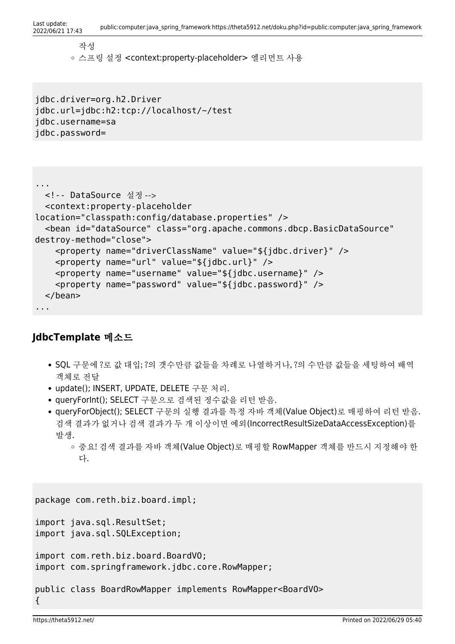```
Last update:<br>2022/06/21 17:43
                         public:computer:java_spring_framework https://theta5912.net/doku.php?id=public:computer:java_spring_framework
```
작성 스프링 설정 <context:property-placeholder> 엘리먼트 사용

jdbc.driver=org.h2.Driver jdbc.url=jdbc:h2:tcp://localhost/~/test jdbc.username=sa jdbc.password=

```
...
  <!-- DataSource 설정 -->
   <context:property-placeholder
location="classpath:config/database.properties" />
   <bean id="dataSource" class="org.apache.commons.dbcp.BasicDataSource"
destroy-method="close">
     <property name="driverClassName" value="${jdbc.driver}" />
     <property name="url" value="${jdbc.url}" />
     <property name="username" value="${jdbc.username}" />
     <property name="password" value="${jdbc.password}" />
   </bean>
...
```
### **JdbcTemplate** 메소드

- SQL 구문에 ?로 값 대입; ?의 갯수만큼 값들을 차례로 나열하거나, ?의 수만큼 값들을 세팅하여 배역 객체로 전달
- update(); INSERT, UPDATE, DELETE 구문 처리.
- queryForInt(); SELECT 구문으로 검색된 정수값을 리턴 받음.
- queryForObject(); SELECT 구문의 실행 결과를 특정 자바 객체(Value Object)로 매핑하여 리턴 받음. 검색 결과가 없거나 검색 결과가 두 개 이상이면 예외(IncorrectResultSizeDataAccessException)를 발생.
	- 중요! 검색 결과를 자바 객체(Value Object)로 매핑할 RowMapper 객체를 반드시 지정해야 한 다.

```
package com.reth.biz.board.impl;
import java.sql.ResultSet;
import java.sql.SQLException;
import com.reth.biz.board.BoardVO;
import com.springframework.jdbc.core.RowMapper;
public class BoardRowMapper implements RowMapper<BoardVO>
{
```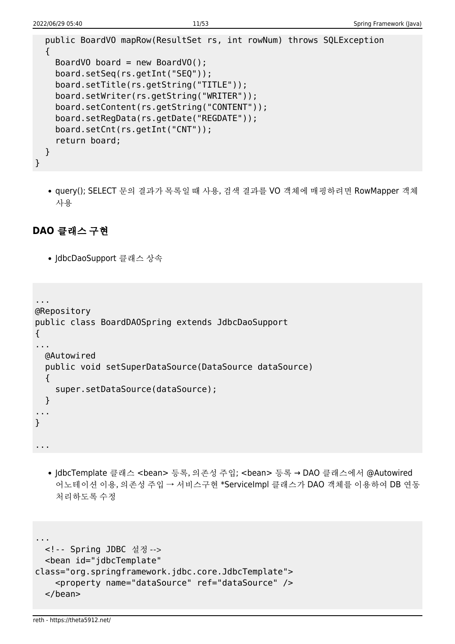```
 public BoardVO mapRow(ResultSet rs, int rowNum) throws SQLException
   {
    BoardVO board = new BoardVO();
     board.setSeq(rs.getInt("SEQ"));
     board.setTitle(rs.getString("TITLE"));
     board.setWriter(rs.getString("WRITER"));
     board.setContent(rs.getString("CONTENT"));
     board.setRegData(rs.getDate("REGDATE"));
     board.setCnt(rs.getInt("CNT"));
     return board;
  }
}
```
• query(); SELECT 문의 결과가 목록일 때 사용, 검색 결과를 VO 객체에 매핑하려면 RowMapper 객체 사용

### **DAO** 클래스 구현

• JdbcDaoSupport 클래스 상속

```
...
@Repository
public class BoardDAOSpring extends JdbcDaoSupport
{
...
  @Autowired
  public void setSuperDataSource(DataSource dataSource)
   {
     super.setDataSource(dataSource);
   }
...
}
...
```
• JdbcTemplate 클래스 <bean> 등록, 의존성 주입; <bean> 등록 → DAO 클래스에서 @Autowired 어노테이션 이용, 의존성 주입 → 서비스구현 \*ServiceImpl 클래스가 DAO 객체를 이용하여 DB 연동 처리하도록 수정

```
...
  <!-- Spring JDBC 설정 -->
   <bean id="jdbcTemplate"
class="org.springframework.jdbc.core.JdbcTemplate">
     <property name="dataSource" ref="dataSource" />
   </bean>
```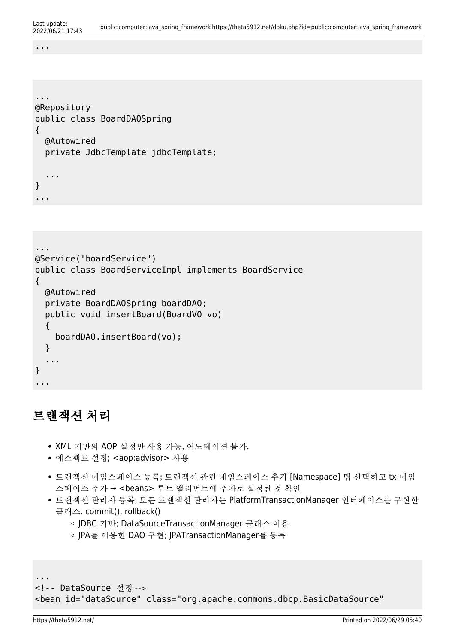...

```
...
@Repository
public class BoardDAOSpring
{
   @Autowired
   private JdbcTemplate jdbcTemplate;
   ...
}
...
```

```
...
@Service("boardService")
public class BoardServiceImpl implements BoardService
{
  @Autowired
   private BoardDAOSpring boardDAO;
   public void insertBoard(BoardVO vo)
   {
     boardDAO.insertBoard(vo);
   }
   ...
}
...
```
## 트랜잭션 처리

- XML 기반의 AOP 설정만 사용 가능, 어노테이션 불가.
- 애스팩트 설정; <aop:advisor> 사용
- 트랜잭션 네임스페이스 등록; 트랜젝션 관련 네임스페이스 추가 [Namespace] 탭 선택하고 tx 네임 스페이스 추가 → <beans> 루트 앨리먼트에 추가로 설정된 것 확인
- 트랜잭션 관리자 등록; 모든 트랜잭션 관리자는 PlatformTransactionManager 인터페이스를 구현한 클래스. commit(), rollback()
	- JDBC 기반; DataSourceTransactionManager 클래스 이용
	- JPA를 이용한 DAO 구현; JPATransactionManager를 등록

<!-- DataSource 설정 --> <bean id="dataSource" class="org.apache.commons.dbcp.BasicDataSource"

...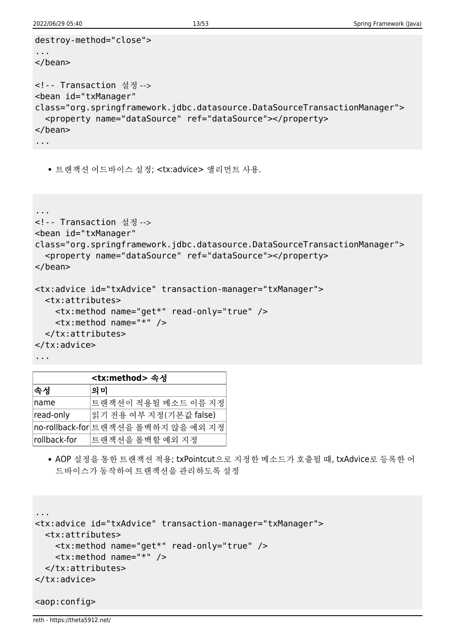```
destroy-method="close">
...
</bean>
<!-- Transaction 설정 -->
<bean id="txManager"
class="org.springframework.jdbc.datasource.DataSourceTransactionManager">
   <property name="dataSource" ref="dataSource"></property>
</bean>
...
```
트랜잭션 어드바이스 설정; <tx:advice> 앨리먼트 사용.

```
...
<!-- Transaction 설정 -->
<bean id="txManager"
class="org.springframework.jdbc.datasource.DataSourceTransactionManager">
   <property name="dataSource" ref="dataSource"></property>
</bean>
<tx:advice id="txAdvice" transaction-manager="txManager">
   <tx:attributes>
     <tx:method name="get*" read-only="true" />
     <tx:method name="*" />
   </tx:attributes>
</tx:advice>
...
```

| <tx:method> 속성</tx:method> |                                     |  |
|----------------------------|-------------------------------------|--|
| 속성                         | 의미                                  |  |
| name                       | 트랜잭션이 적용될 메소드 이름 지정                 |  |
| read-only                  | 읽기 전용 여부 지정(기본값 false)              |  |
|                            | no-rollback-for 트랜잭션을 롤백하지 않을 예외 지정 |  |
| rollback-for               | 트랜잭션을 롤백할 예외 지정                     |  |

AOP 설정을 통한 트랜잭션 적용; txPointcut으로 지정한 메소드가 호출될 때, txAdvice로 등록한 어 드바이스가 동작하여 트랜잭션을 관리하도록 설정

```
...
<tx:advice id="txAdvice" transaction-manager="txManager">
  <tx:attributes>
     <tx:method name="get*" read-only="true" />
     <tx:method name="*" />
  </tx:attributes>
</tx:advice>
```

```
<aop:config>
```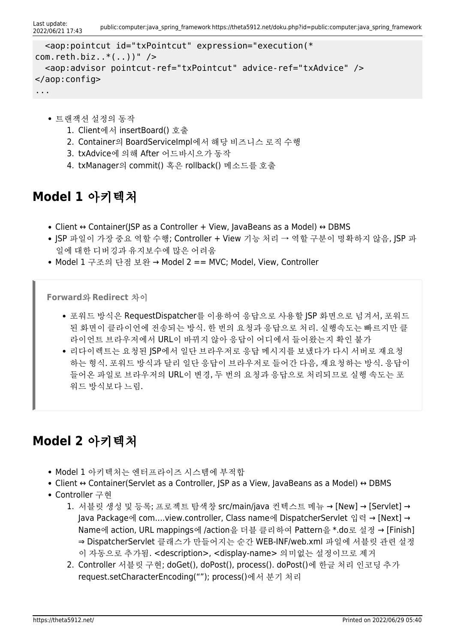```
 <aop:pointcut id="txPointcut" expression="execution(*
com.reth.biz..*(..))" />
   <aop:advisor pointcut-ref="txPointcut" advice-ref="txAdvice" />
</aop:config>
...
```
- 트랜잭션 설정의 동작
	- 1. Client에서 insertBoard() 호출
	- 2. Container의 BoardServiceImpl에서 해당 비즈니스 로직 수행
	- 3. txAdvice에 의해 After 어드바시으가 동작
	- 4. txManager의 commit() 혹은 rollback() 메소드를 호출

## **Model 1** 아키텍처

- Client ↔ Container(ISP as a Controller + View, lavaBeans as a Model) ↔ DBMS
- JSP 파일이 가장 중요 역할 수행; Controller + View 기능 처리 → 역할 구분이 명확하지 않음, JSP 파 일에 대한 디버깅과 유지보수에 많은 어려움
- Model 1 구조의 단점 보완 → Model 2 == MVC; Model, View, Controller

**Forward**와 **Redirect** 차이

- 포워드 방식은 RequestDispatcher를 이용하여 응답으로 사용할 JSP 화면으로 넘겨서, 포워드 된 화면이 클라이언에 전송되는 방식. 한 번의 요청과 응답으로 처리. 실행속도는 빠르지만 클 라이언트 브라우저에서 URL이 바뀌지 않아 응답이 어디에서 들어왔는지 확인 불가
- 리다이렉트는 요청된 JSP에서 일단 브라우저로 응답 메시지를 보냈다가 다시 서버로 재요청 하는 형식. 포워드 방식과 달리 일단 응답이 브라우저로 들어간 다음, 재요청하는 방식. 응답이 들어온 파일로 브라우저의 URL이 변경, 두 번의 요청과 응답으로 처리되므로 실행 속도는 포 워드 방식보다 느림.

## **Model 2** 아키텍처

- Model 1 아키텍처는 엔터프라이즈 시스템에 부적합
- Client ↔ Container(Servlet as a Controller, JSP as a View, JavaBeans as a Model) ↔ DBMS
- Controller 구현
	- 1. 서블릿 생성 및 등록; 프로젝트 탐색창 src/main/java 컨텍스트 메뉴 → [New] → [Servlet] → Java Package에 com….view.controller, Class name에 DispatcherServlet 입력 → [Next] → Name에 action, URL mappings에 /action을 더블 클리하여 Pattern을 \*.do로 설정 → [Finish] ⇒ DispatcherServlet 클래스가 만들어지는 순간 WEB-INF/web.xml 파일에 서블릿 관련 설정 이 자동으로 추가됨. <description>, <display-name> 의미없는 설정이므로 제거
	- 2. Controller 서블릿 구현; doGet(), doPost(), process(). doPost()에 한글 처리 인코딩 추가 request.setCharacterEncoding(""); process()에서 분기 처리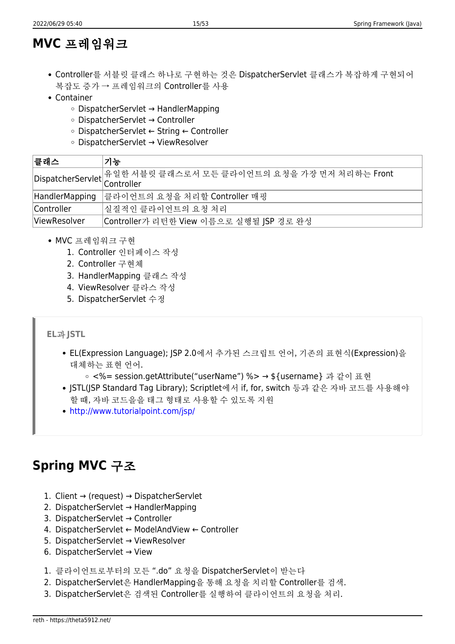## **MVC** 프레임워크

- Controller를 서블릿 클래스 하나로 구현하는 것은 DispatcherServlet 클래스가 복잡하게 구현되어 복잡도 증가 → 프레임워크의 Controller를 사용
- Container
	- DispatcherServlet → HandlerMapping
	- DispatcherServlet → Controller
	- DispatcherServlet ← String ← Controller
	- DispatcherServlet → ViewResolver

| │클래스           | 기능                                                                       |  |
|----------------|--------------------------------------------------------------------------|--|
|                | <br> DispatcherServlet  유일한 서블릿 클래스로서 모든 클라이언트의 요청을 가장 먼저 처리하는 Front<br> |  |
|                |                                                                          |  |
| HandlerMapping | 클라이언트의 요청을 처리할 Controller 매핑                                             |  |
| Controller     | 실질적인 클라이언트의 요청 처리                                                        |  |
| ViewResolver   | Controller가 리턴한 View 이름으로 실행될 JSP 경로 완성                                  |  |

- MVC 프레임워크 구현
	- 1. Controller 인터페이스 작성
	- 2. Controller 구현체
	- 3. HandlerMapping 클래스 작성
	- 4. ViewResolver 클라스 작성
	- 5. DispatcherServlet 수정

#### **EL**과 **JSTL**

EL(Expression Language); JSP 2.0에서 추가된 스크립트 언어, 기존의 표현식(Expression)을 대체하는 표현 언어.

○ <%= session.getAttribute("userName") %> → \$ {username} 과 같이 표현

- JSTL(JSP Standard Tag Library); Scriptlet에서 if, for, switch 등과 같은 자바 코드를 사용해야 할 때, 자바 코드을을 태그 형태로 사용할 수 있도록 지원
- <http://www.tutorialpoint.com/jsp/>

## **Spring MVC** 구조

- 1. Client  $\rightarrow$  (request)  $\rightarrow$  DispatcherServlet
- 2. DispatcherServlet → HandlerMapping
- 3. DispatcherServlet → Controller
- 4. DispatcherServlet ← ModelAndView ← Controller
- 5. DispatcherServlet → ViewResolver
- 6. DispatcherServlet → View
- 1. 클라이언트로부터의 모든 ".do" 요청을 DispatcherServlet이 받는다
- 2. DispatcherServlet은 HandlerMapping을 통해 요청을 치리할 Controller를 검색.
- 3. DispatcherServlet은 검색된 Controller를 실행하여 클라이언트의 요청을 처리.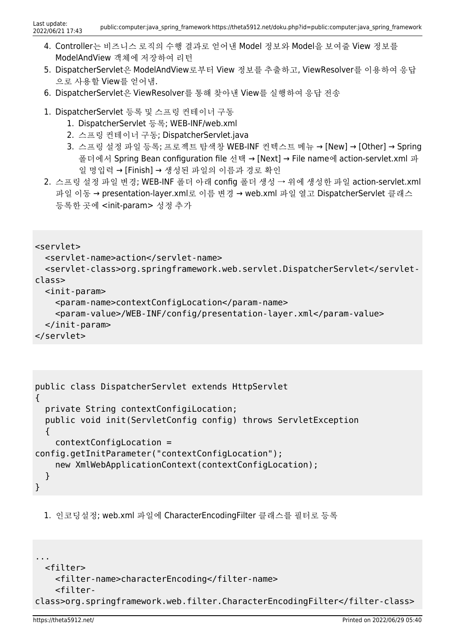- 4. Controller는 비즈니스 로직의 수행 결과로 얻어낸 Model 정보와 Model을 보여줄 View 정보를 ModelAndView 객체에 저장하여 리턴
- 5. DispatcherServlet은 ModelAndView로부터 View 정보를 추출하고, ViewResolver를 이용하여 응답 으로 사용할 View를 얻어냄.
- 6. DispatcherServlet은 ViewResolver를 통해 찾아낸 View를 실행하여 응답 전송
- 1. DispatcherServlet 등록 및 스프링 컨테이너 구동
	- 1. DispatcherServlet 등록; WEB-INF/web.xml
	- 2. 스프링 컨테이너 구동; DispatcherServlet.java
	- 3. 스프링 설정 파일 등록; 프로젝트 탐색창 WEB-INF 컨텍스트 메뉴 → [New] → [Other] → Spring 폴더에서 Spring Bean configuration file 선택 → [Next] → File name에 action-servlet.xml 파 일 명입력 → [Finish] → 생성된 파일의 이름과 경로 확인
- 2. 스프링 설정 파일 변경; WEB-INF 폴더 아래 config 폴더 생성 → 위에 생성한 파일 action-servlet.xml 파일 이동 → presentation-layer.xml로 이름 변경 → web.xml 파일 열고 DispatcherServlet 클래스 등록한 곳에 <init-param> 성정 추가

```
<servlet>
```

```
 <servlet-name>action</servlet-name>
```

```
 <servlet-class>org.springframework.web.servlet.DispatcherServlet</servlet-
class>
```

```
 <init-param>
```

```
 <param-name>contextConfigLocation</param-name>
     <param-value>/WEB-INF/config/presentation-layer.xml</param-value>
   </init-param>
</servlet>
```

```
public class DispatcherServlet extends HttpServlet
{
   private String contextConfigiLocation;
   public void init(ServletConfig config) throws ServletException
   {
     contextConfigLocation =
config.getInitParameter("contextConfigLocation");
    new XmlWebApplicationContext(contextConfigLocation);
   }
}
```
1. 인코딩설정; web.xml 파일에 CharacterEncodingFilter 클래스를 필터로 등록

```
...
   <filter>
     <filter-name>characterEncoding</filter-name>
     <filter-
class>org.springframework.web.filter.CharacterEncodingFilter</filter-class>
```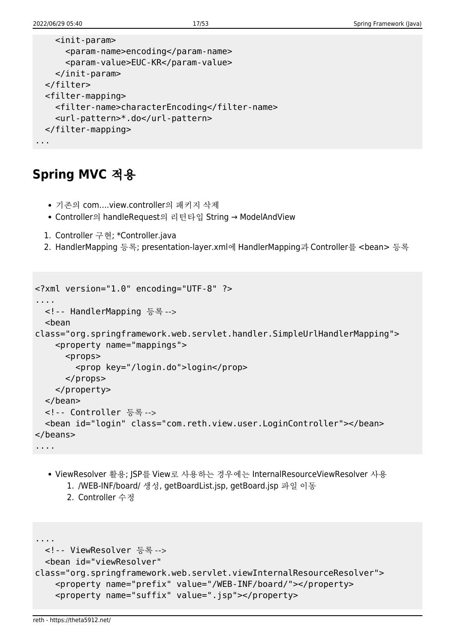```
 <init-param>
       <param-name>encoding</param-name>
       <param-value>EUC-KR</param-value>
    </init-param>
  </filter>
  <filter-mapping>
    <filter-name>characterEncoding</filter-name>
    <url-pattern>*.do</url-pattern>
  </filter-mapping>
...
```
## **Spring MVC** 적용

- 기존의 com….view.controller의 패키지 삭제
- Controller의 handleRequest의 리턴타입 String → ModelAndView
- 1. Controller 구현; \*Controller.java
- 2. HandlerMapping 등록; presentation-layer.xml에 HandlerMapping과 Controller를 <bean> 등록

```
<?xml version="1.0" encoding="UTF-8" ?>
....
  <!-- HandlerMapping 등록 -->
   <bean
class="org.springframework.web.servlet.handler.SimpleUrlHandlerMapping">
     <property name="mappings">
      <sub>prons</sub></sub>
         <prop key="/login.do">login</prop>
      </props> </property>
  </bean>
   <!-- Controller 등록 -->
   <bean id="login" class="com.reth.view.user.LoginController"></bean>
</beans>
....
```
- ViewResolver 활용; JSP를 View로 사용하는 경우에는 InternalResourceViewResolver 사용 1. /WEB-INF/board/ 생성, getBoardList.jsp, getBoard.jsp 파일 이동
	- 2. Controller 수정

```
....
  <!-- ViewResolver 등록 -->
   <bean id="viewResolver"
class="org.springframework.web.servlet.viewInternalResourceResolver">
     <property name="prefix" value="/WEB-INF/board/"></property>
     <property name="suffix" value=".jsp"></property>
```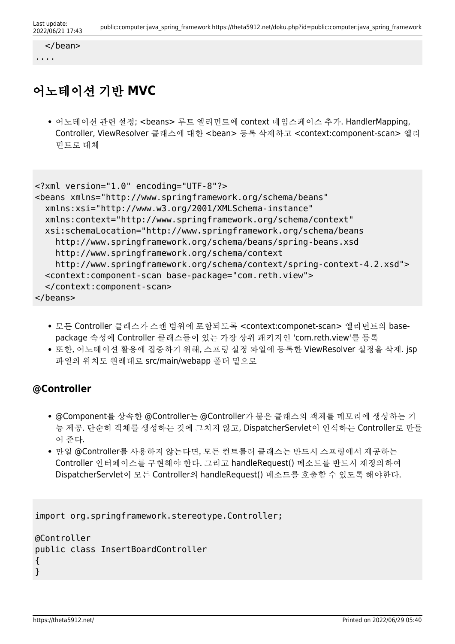```
 </bean>
```
....

# 어노테이션 기반 **MVC**

어노테이션 관련 설정; <beans> 루트 엘리먼트에 context 네임스페이스 추가. HandlerMapping, Controller, ViewResolver 클래스에 대한 <bean> 등록 삭제하고 <context:component-scan> 엘리 먼트로 대체

```
<?xml version="1.0" encoding="UTF-8"?>
<beans xmlns="http://www.springframework.org/schema/beans"
  xmlns:xsi="http://www.w3.org/2001/XMLSchema-instance"
  xmlns:context="http://www.springframework.org/schema/context"
  xsi:schemaLocation="http://www.springframework.org/schema/beans
    http://www.springframework.org/schema/beans/spring-beans.xsd
    http://www.springframework.org/schema/context
    http://www.springframework.org/schema/context/spring-context-4.2.xsd">
  <context:component-scan base-package="com.reth.view">
   </context:component-scan>
</beans>
```
- 모든 Controller 클래스가 스캔 범위에 포함되도록 <context:componet-scan> 엘리먼트의 basepackage 속성에 Controller 클래스들이 있는 가장 상위 패키지인 'com.reth.view'를 등록
- 또한, 어노테이션 활용에 집중하기 위해, 스프링 설정 파일에 등록한 ViewResolver 설정을 삭제. jsp 파일의 위치도 원래대로 src/main/webapp 폴더 밑으로

## **@Controller**

- @Component를 상속한 @Controller는 @Controller가 붙은 클래스의 객체를 메모리에 생성하는 기 능 제공. 단순히 객체를 생성하는 것에 그치지 않고, DispatcherServlet이 인식하는 Controller로 만들 어 준다.
- 만일 @Controller를 사용하지 않는다면, 모든 컨트롤러 클래스는 반드시 스프링에서 제공하는 Controller 인터페이스를 구현해야 한다. 그리고 handleRequest() 메소드를 반드시 재정의하여 DispatcherServlet이 모든 Controller의 handleRequest() 메소드를 호출할 수 있도록 해야한다.

```
import org.springframework.stereotype.Controller;
```

```
@Controller
public class InsertBoardController
{
}
```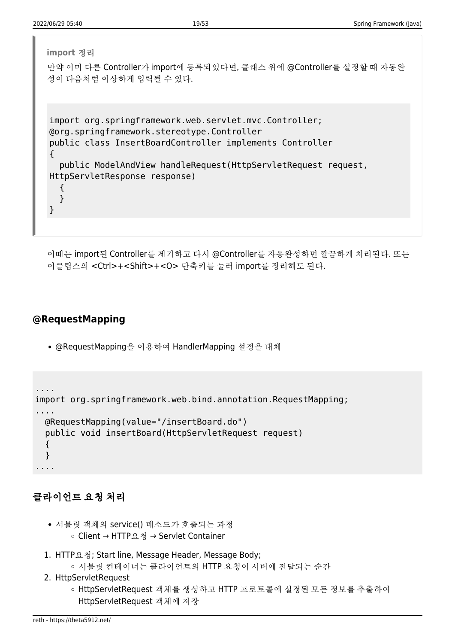| import 정리                                                                                                                                                                                                                                                           |
|---------------------------------------------------------------------------------------------------------------------------------------------------------------------------------------------------------------------------------------------------------------------|
| 만약 이미 다른 Controller가 import에 등록되었다면, 클래스 위에 @Controller를 설정할 때 자동완<br>성이 다음처럼 이상하게 입력될 수 있다.                                                                                                                                                                        |
| import org.springframework.web.servlet.mvc.Controller;<br>@org.springframework.stereotype.Controller<br>public class InsertBoardController implements Controller<br>public ModelAndView handleRequest (HttpServletRequest request,<br>HttpServletResponse response) |

이때는 import된 Controller를 제거하고 다시 @Controller를 자동완성하면 깔끔하게 처리된다. 또는 이클립스의 <Ctrl>+<Shift>+<O> 단축키를 눌러 import를 정리해도 된다.

### **@RequestMapping**

@RequestMapping을 이용하여 HandlerMapping 설정을 대체

```
....
import org.springframework.web.bind.annotation.RequestMapping;
....
  @RequestMapping(value="/insertBoard.do")
   public void insertBoard(HttpServletRequest request)
   {
   }
....
```
### 클라이언트 요청 처리

- 서블릿 객체의 service() 메소드가 호출되는 과정 Client → HTTP요청 → Servlet Container
- 1. HTTP요청; Start line, Message Header, Message Body; 서블릿 컨테이너는 클라이언트의 HTTP 요청이 서버에 전달되는 순간
- 2. HttpServletRequest
	- HttpServletRequest 객체를 생성하고 HTTP 프로토콜에 설정된 모든 정보를 추출하여 HttpServletRequest 객체에 저장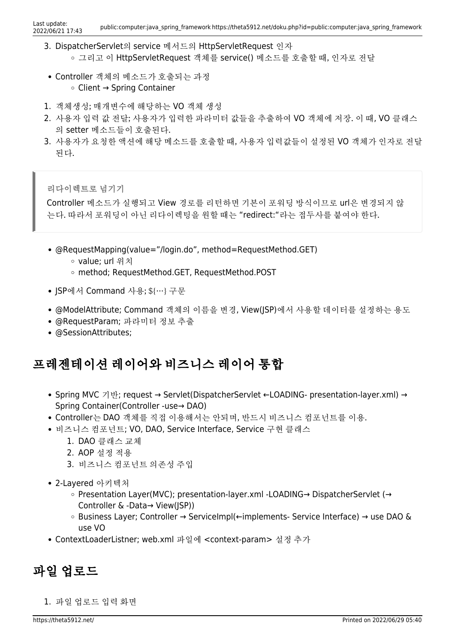- 3. DispatcherServlet의 service 메서드의 HttpServletRequest 인자 그리고 이 HttpServletRequest 객체를 service() 메소드를 호출할 때, 인자로 전달
- Controller 객체의 메소드가 호출되는 과정 Client → Spring Container
- 1. 객체생성; 매개변수에 해당하는 VO 객체 생성
- 2. 사용자 입력 값 전달; 사용자가 입력한 파라미터 값들을 추출하여 VO 객체에 저장. 이 때, VO 클래스 의 setter 메소드들이 호출된다.
- 3. 사용자가 요청한 액션에 해당 메소드를 호출할 때, 사용자 입력값들이 설정된 VO 객체가 인자로 전달 된다.

리다이렉트로 넘기기

Controller 메소드가 실행되고 View 경로를 리턴하면 기본이 포워딩 방식이므로 url은 변경되지 않 는다. 따라서 포워딩이 아닌 리다이렉팅을 원할 때는 "redirect:"라는 접두사를 붙여야 한다.

- @RequestMapping(value="/login.do", method=RequestMethod.GET)
	- value; url 위치
	- method; RequestMethod.GET, RequestMethod.POST
- JSP에서 Command 사용; \${…} 구문
- @ModelAttribute; Command 객체의 이름을 변경, View(JSP)에서 사용할 데이터를 설정하는 용도
- @RequestParam; 파라미터 정보 추출
- @SessionAttributes;

## 프레젠테이션 레이어와 비즈니스 레이어 통합

- Spring MVC 기반; request → Servlet(DispatcherServlet ←LOADING- presentation-layer.xml) → Spring Container(Controller -use→ DAO)
- Controller는 DAO 객체를 직접 이용해서는 안되며, 반드시 비즈니스 컴포넌트를 이용.
- 비즈니스 컴포넌트; VO, DAO, Service Interface, Service 구현 클래스
	- 1. DAO 클래스 교체
	- 2. AOP 설정 적용
	- 3. 비즈니스 컴포넌트 의존성 주입
- 2-Layered 아키텍처
	- Presentation Layer(MVC); presentation-layer.xml -LOADING→ DispatcherServlet (→ Controller & -Data→ View(JSP))
	- Business Layer; Controller → ServiceImpl(←implements- Service Interface) → use DAO & use VO
- ContextLoaderListner; web.xml 파일에 <context-param> 설정 추가

## 파일 업로드

1. 파일 업로드 입력 화면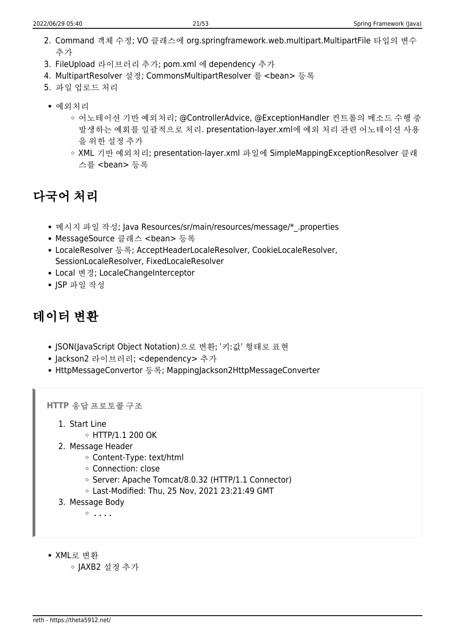- 2. Command 객체 수정; VO 클래스에 org.springframework.web.multipart.MultipartFile 타입의 변수 추가
- 3. FileUpload 라이브러리 추가; pom.xml 에 dependency 추가
- 4. MultipartResolver 설정; CommonsMultipartResolver 를 <bean> 등록
- 5. 파일 업로드 처리
- 예외처리
	- 어노테이션 기반 예외처리; @ControllerAdvice, @ExceptionHandler 컨트롤의 메소드 수행 중 발생하는 예회를 일괄적으로 처리. presentation-layer.xml에 예외 처리 관련 어노테이션 사용 을 위한 설정 추가
	- XML 기반 예외처리; presentation-layer.xml 파일에 SimpleMappingExceptionResolver 클래 스를 <bean> 등록

# 다국어 처리

- 메시지 파일 작성; Java Resources/sr/main/resources/message/\* .properties
- MessageSource 클래스 <bean> 등록
- LocaleResolver 등록; AcceptHeaderLocaleResolver, CookieLocaleResolver, SessionLocaleResolver, FixedLocaleResolver
- Local 변경; LocaleChangeInterceptor
- ISP 파일 작성

## 데이터 변환

- JSON(JavaScript Object Notation)으로 변환; '키:값' 형태로 표현
- Jackson2 라이브러리; <dependency> 추가
- HttpMessageConvertor 등록; MappingJackson2HttpMessageConverter

**HTTP** 응답 프로토콜 구조

- 1. Start Line
	- $\circ$  HTTP/1.1 200 OK
- 2. Message Header
	- Content-Type: text/html
	- Connection: close
	- Server: Apache Tomcat/8.0.32 (HTTP/1.1 Connector)
	- Last-Modified: Thu, 25 Nov, 2021 23:21:49 GMT
- 3. Message Body

 $0.1.1.1$ 

- XML로 변환
	- JAXB2 설정 추가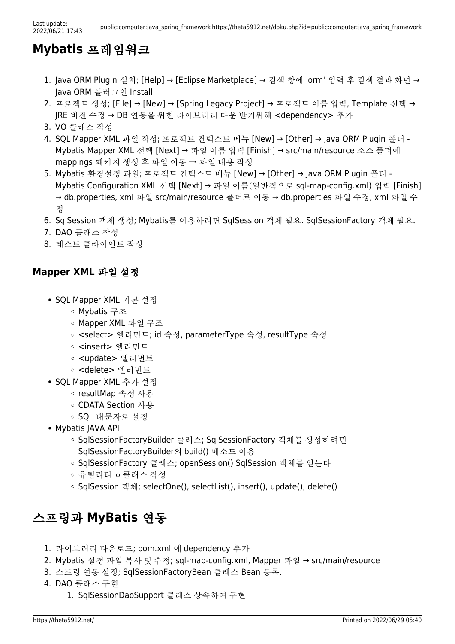## **Mybatis** 프레임워크

- 1. Java ORM Plugin 설치; [Help] → [Eclipse Marketplace] → 검색 창에 'orm' 입력 후 검색 결과 화면 → Java ORM 플러그인 Install
- 2. 프로젝트 생성; [File] → [New] → [Spring Legacy Project] → 프로젝트 이름 입력, Template 선택 → JRE 버전 수정 → DB 연동을 위한 라이브러리 다운 받기위해 <dependency> 추가
- 3. VO 클래스 작성
- 4. SQL Mapper XML 파일 작성; 프로젝트 컨텍스트 메뉴 [New] → [Other] → Java ORM Plugin 폴더 Mybatis Mapper XML 선택 [Next] → 파일 이름 입력 [Finish] → src/main/resource 소스 폴더에 mappings 패키지 생성 후 파일 이동 → 파일 내용 작성
- 5. Mybatis 환경설정 파일; 프로젝트 컨텍스트 메뉴 [New] → [Other] → Java ORM Plugin 폴더 Mybatis Configuration XML 선택 [Next] → 파일 이름(일반적으로 sql-map-config.xml) 입력 [Finish] → db.properties, xml 파일 src/main/resource 폴더로 이동 → db.properties 파일 수정, xml 파일 수 정
- 6. SqlSession 객체 생성; Mybatis를 이용하려면 SqlSession 객체 필요. SqlSessionFactory 객체 필요.
- 7. DAO 클래스 작성
- 8. 테스트 클라이언트 작성

### **Mapper XML** 파일 설정

- SQL Mapper XML 기본 설정
	- Mybatis 구조
	- Mapper XML 파일 구조
	- <select> 엘리먼트; id 속성, parameterType 속성, resultType 속성
	- <insert> 엘리먼트
	- <update> 엘리먼트
	- <delete> 엘리먼트
- SQL Mapper XML 추가 설정
	- resultMap 속성 사용
	- CDATA Section 사용
	- SQL 대문자로 설정
- Mybatis JAVA API
	- SqlSessionFactoryBuilder 클래스; SqlSessionFactory 객체를 생성하려면 SqlSessionFactoryBuilder의 build() 메소드 이용
	- SqlSessionFactory 클래스; openSession() SqlSession 객체를 얻는다
	- 유틸리티 ㅇ클래스 작성
	- SqlSession 객체; selectOne(), selectList(), insert(), update(), delete()

## 스프링과 **MyBatis** 연동

- 1. 라이브러리 다운로드; pom.xml 에 dependency 추가
- 2. Mybatis 설정 파일 복사 및 수정; sql-map-config.xml, Mapper 파일 → src/main/resource
- 3. 스프링 연동 설정; SqlSessionFactoryBean 클래스 Bean 등록.
- 4. DAO 클래스 구현
	- 1. SqlSessionDaoSupport 클래스 상속하여 구현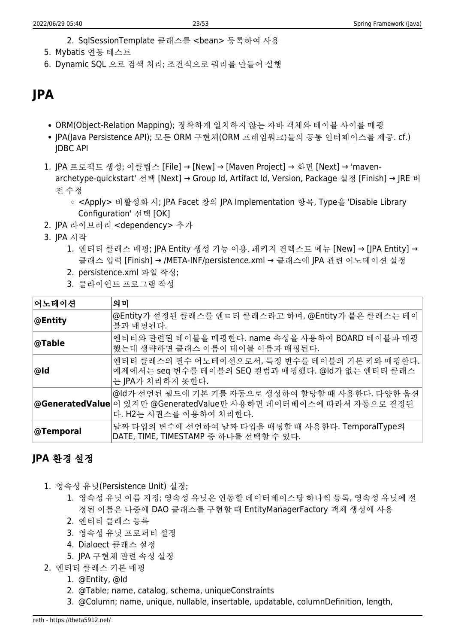- 2. SqlSessionTemplate 클래스를 <bean> 등록하여 사용
- 5. Mybatis 연동 테스트
- 6. Dynamic SQL 으로 검색 처리; 조건식으로 쿼리를 만들어 실행

## **JPA**

- ORM(Object-Relation Mapping); 정확하게 일치하지 않는 자바 객체와 테이블 사이를 매핑
- JPA(Java Persistence API); 모든 ORM 구현체(ORM 프레임워크)들의 공통 인터페이스를 제공. cf.) JDBC API
- 1. JPA 프로젝트 생성; 이클립스 [File] → [New] → [Maven Project] → 화면 [Next] → 'mavenarchetype-quickstart' 선택 [Next] → Group Id, Artifact Id, Version, Package 설정 [Finish] → JRE 버 전 수정
	- <Apply> 비활성화 시; JPA Facet 창의 JPA Implementation 항목, Type을 'Disable Library Configuration' 선택 [OK]
- 2. JPA 라이브러리 <dependency> 추가
- 3. JPA 시작
	- 1. 엔티티 클래스 매핑; JPA Entity 생성 기능 이용. 패키지 컨텍스트 메뉴 [New] → [JPA Entity] → 클래스 입력 [Finish] → /META-INF/persistence.xml → 클래스에 JPA 관련 어노테이션 설정
	- 2. persistence.xml 파일 작성;
	- 3. 클라이언트 프로그램 작성

| 어노테이션      | 의미                                                                                                                                               |  |
|------------|--------------------------------------------------------------------------------------------------------------------------------------------------|--|
| ∣@Entity   | @Entity가 설정된 클래스를 엔ㅌ티 클래스라고 하며, @Entity가 붙은 클래스는 테이  <br>블과 매핑된다.                                                                                |  |
| ∣@Table    | 엔티티와 관련된 테이블을 매핑한다. name 속성을 사용하여 BOARD 테이블과 매핑  <br>했는데 생략하면 클래스 이름이 테이블 이름과 매핑된다.                                                              |  |
| ∣@Id       | 엔티티 클래스의 필수 어노테이션으로서, 특정 변수를 테이블의 기본 키와 매핑한다.<br>예제에서는 seq 변수를 테이블의 SEQ 컬럼과 매핑했다. @ld가 없는 엔티티 클래스<br>는 JPA가 처리하지 못한다.                            |  |
|            | @ld가 선언된 필드에 기본 키를 자동으로 생성하여 할당할 때 사용한다. 다양한 옵션  <br> @GeneratedValue 이 있지만 @GeneratedValue만 사용하면 데이터베이스에 따라서 자동으로 결정된<br>다. H2는 시퀀스를 이용하여 처리한다. |  |
| ∣@Temporal | 날짜 타입의 변수에 선언하여 날짜 타입을 매핑할 때 사용한다. TemporalType의<br>DATE, TIME, TIMESTAMP 중 하나를 선택할 수 있다.                                                        |  |

## **JPA** 환경 설정

- 1. 영속성 유닛(Persistence Unit) 설정;
	- 1. 영속성 유닛 이름 지정; 영속성 유닛은 연동할 데이터베이스당 하나씩 등록, 영속성 유닛에 설 정된 이름은 나중에 DAO 클래스를 구현할 때 EntityManagerFactory 객체 생성에 사용
	- 2. 엔티티 클래스 등록
	- 3. 영속성 유닛 프로퍼티 설정
	- 4. Dialoect 클래스 설정
	- 5. JPA 구현체 관련 속성 설정
- 2. 엔티티 클래스 기본 매핑
	- 1. @Entity, @Id
	- 2. @Table; name, catalog, schema, uniqueConstraints
	- 3. @Column; name, unique, nullable, insertable, updatable, columnDefinition, length,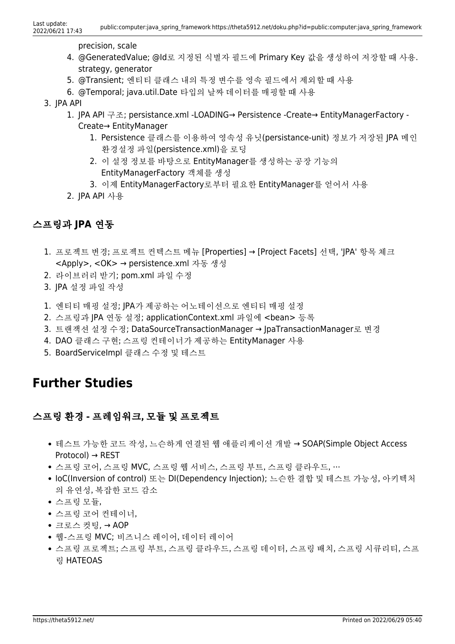precision, scale

- 4. @GeneratedValue; @Id로 지정된 식별자 필드에 Primary Key 값을 생성하여 저장할 때 사용. strategy, generator
- 5. @Transient; 엔티티 클래스 내의 특정 변수를 영속 필드에서 제외할 때 사용
- 6. @Temporal; java.util.Date 타입의 날짜 데이터를 매핑할 때 사용
- 3. JPA API
	- 1. JPA API 구조; persistance.xml -LOADING→ Persistence -Create→ EntityManagerFactory Create→ EntityManager
		- 1. Persistence 클래스를 이용하여 영속성 유닛(persistance-unit) 정보가 저장된 JPA 메인 환경설정 파일(persistence.xml)을 로딩
		- 2. 이 설정 정보를 바탕으로 EntityManager를 생성하는 공장 기능의 EntityManagerFactory 객체를 생성
		- 3. 이제 EntityManagerFactory로부터 필요한 EntityManager를 얻어서 사용
	- 2. JPA API 사용

### 스프링과 **JPA** 연동

- 1. 프로젝트 변경; 프로젝트 컨텍스트 메뉴 [Properties] → [Project Facets] 선택, 'JPA' 항목 체크 <Apply>, <OK> → persistence.xml 자동 생성
- 2. 라이브러리 받기; pom.xml 파일 수정
- 3. JPA 설정 파일 작성
- 1. 엔티티 매핑 설정; JPA가 제공하는 어노테이션으로 엔티티 매핑 설정
- 2. 스프링과 JPA 연동 설정; applicationContext.xml 파일에 <bean> 등록
- 3. 트랜잭션 설정 수정; DataSourceTransactionManager → JpaTransactionManager로 변경
- 4. DAO 클래스 구현; 스프링 컨테이너가 제공하는 EntityManager 사용
- 5. BoardServiceImpl 클래스 수정 및 테스트

## **Further Studies**

### 스프링 환경 - 프레임워크, 모듈 및 프로젝트

- 테스트 가능한 코드 작성, 느슨하게 연결된 웹 애플리케이션 개발 → SOAP(Simple Object Access Protocol) → REST
- 스프링 코어, 스프링 MVC, 스프링 웹 서비스, 스프링 부트, 스프링 클라우드, …
- IoC(Inversion of control) 또는 DI(Dependency Injection); 느슨한 결합 및 테스트 가능성, 아키텍처 의 유연성, 복잡한 코드 감소
- 스프링 모듈,
- 스프링 코어 컨테이너,
- 크로스 컷팅, → AOP
- 웹-스프링 MVC; 비즈니스 레이어, 데이터 레이어
- 스프링 프로젝트; 스프링 부트, 스프링 클라우드, 스프링 데이터, 스프링 배치, 스프링 시큐리티, 스프 링 HATEOAS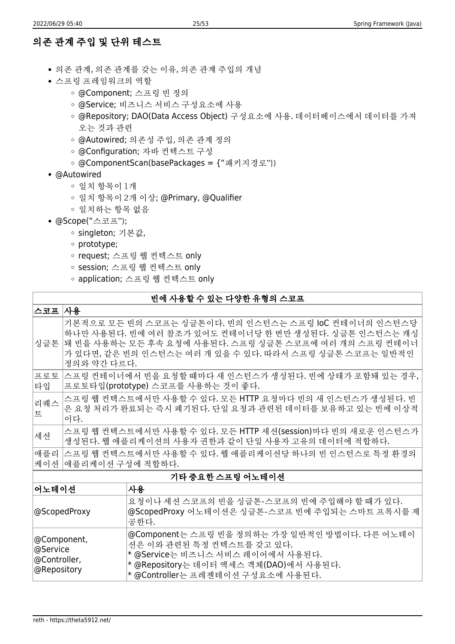## 의존 관계 주입 및 단위 테스트

- 의존 관계, 의존 관계를 갖는 이유, 의존 관계 주입의 개념
- 스프링 프레임워크의 역할
	- @Component; 스프링 빈 정의
	- @Service; 비즈니스 서비스 구성요소에 사용
	- @Repository; DAO(Data Access Object) 구성요소에 사용. 데이터베이스에서 데이터를 가져 오는 것과 관련
	- @Autowired; 의존성 주입, 의존 관계 정의
	- @Configuration; 자바 컨텍스트 구성
	- @ComponentScan(basePackages = {"패키지경로"})
- @Autowired
	- 일치 항목이 1개
	- 일치 항목이 2개 이상; @Primary, @Qualifier
	- 일치하는 항목 없음
- @Scope("스코프");
	- singleton; 기본값,
	- prototype;
	- request; 스프링 웹 컨텍스트 only
	- session; 스프링 웹 컨텍스트 only
	- application; 스프링 웹 컨텍스트 only

#### 빈에 사용할 수 있는 다양한 유형의 스코프

| 스코프                                                       | 사용                                                                                                                                                                                                                                              |                                                                                                                                                                                               |  |
|-----------------------------------------------------------|-------------------------------------------------------------------------------------------------------------------------------------------------------------------------------------------------------------------------------------------------|-----------------------------------------------------------------------------------------------------------------------------------------------------------------------------------------------|--|
| 싱글톤                                                       | 기본적으로 모든 빈의 스코프는 싱글톤이다. 빈의 인스턴스는 스프링 IoC 컨테이너의 인스턴스당<br>하나만 사용된다. 빈에 여러 참조가 있어도 컨테이너당 한 번만 생성된다. 싱글톤 인스턴스는 캐싱<br>थ 비을 사용하는 모든 후속 요청에 사용된다. 스프링 싱글톤 스코프에 여러 개의 스프링 컨테이너<br>가 있다면, 같은 빈의 인스턴스는 여러 개 있을 수 있다. 따라서 스프링 싱글톤 스코프는 일반적인<br>정의와 약간 다르다. |                                                                                                                                                                                               |  |
| 프로토<br>타입                                                 | 스프링 컨테이너에서 빈을 요청할 때마다 새 인스턴스가 생성된다. 빈에 상태가 포함돼 있는 경우,<br>프로토타입(prototype) 스코프를 사용하는 것이 좋다.                                                                                                                                                      |                                                                                                                                                                                               |  |
| 리퀘스<br>트                                                  | 스프링 웹 컨텍스트에서만 사용할 수 있다. 모든 HTTP 요청마다 빈의 새 인스턴스가 생성된다. 빈<br>은 요청 처리가 완료되는 즉시 폐기된다. 단일 요청과 관련된 데이터를 보유하고 있는 빈에 이상적<br>이다.                                                                                                                         |                                                                                                                                                                                               |  |
| 세션                                                        | 스프링 웹 컨텍스트에서만 사용할 수 있다. 모든 HTTP 세션(session)마다 빈의 새로운 인스턴스가<br>생성된다. 웹 애플리케이션의 사용자 권한과 같이 단일 사용자 고유의 데이터에 적합하다.                                                                                                                                  |                                                                                                                                                                                               |  |
| 애플리<br>케이션                                                | │스프링 웹 컨텍스트에서만 사용할 수 있다. 웹 애플리케이션당 하나의 빈 인스턴스로 특정 환경의<br> 애플리케이션 구성에 적합하다.                                                                                                                                                                      |                                                                                                                                                                                               |  |
| 기타 중요한 스프링 어노테이션                                          |                                                                                                                                                                                                                                                 |                                                                                                                                                                                               |  |
| 사용<br> 어노테이션                                              |                                                                                                                                                                                                                                                 |                                                                                                                                                                                               |  |
| @ScopedProxy                                              |                                                                                                                                                                                                                                                 | 요청이나 세션 스코프의 빈을 싱글톤-스코프의 빈에 주입해야 할 때가 있다.<br>@ScopedProxy 어노테이션은 싱글톤-스코프 빈에 주입되는 스마트 프록시를 제<br>공한다.                                                                                           |  |
| @Component,<br>∣@Service<br> @Controller,<br> @Repository |                                                                                                                                                                                                                                                 | @Component는 스프링 빈을 정의하는 가장 일반적인 방법이다. 다른 어노테이<br>션은 이와 관련된 특정 컨텍스트를 갖고 있다.<br>* @Service는 비즈니스 서비스 레이어에서 사용된다.<br>* @Repository는 데이터 액세스 객체(DAO)에서 사용된다.<br>* @Controller는 프레젠테이션 구성요소에 사용된다. |  |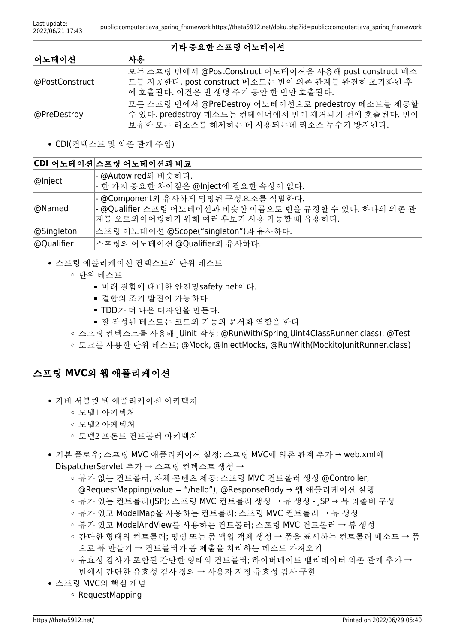#### 기타 중요한 스프링 어노테이션

| 어노테이션          | 사용                                                                                                                                                 |
|----------------|----------------------------------------------------------------------------------------------------------------------------------------------------|
| @PostConstruct | 모든 스프링 빈에서 @PostConstruct 어노테이션을 사용해 post construct 메소<br> 드를 지공한다. post construct 메소드는 빈이 의존 관계를 완전히 초기화된 후<br>│에 호출된다. 이건은 빈 생명 주기 동안 한 번만 호출된다. |
| @PreDestroy    | 모든 스프링 빈에서 @PreDestroy 어노테이션으로 predestroy 메소드를 제공할<br>수 있다. predestroy 메소드는 컨테이너에서 빈이 제거되기 전에 호출된다. 빈이<br>보유한 모든 리소스를 해제하는 데 사용되는데 리소스 누수가 방지된다.   |

CDI(컨텍스트 및 의존 관계 주입)

### **CDI** 어노테이션 스프링 어노테이션과 비교

| ∣@Inject                                                                                                                                       | - @Autowired와 비슷하다.<br> - 한 가지 중요한 차이점은 @Inject에 필요한 속성이 없다. |
|------------------------------------------------------------------------------------------------------------------------------------------------|--------------------------------------------------------------|
| - @Component와 유사하게 명명된 구성요소를 식별한다.<br>- @Qualifier 스프링 어노테이션과 비슷한 이름으로 빈을 규정할 수 있다. 하나의 의존 관<br>@Named<br>계를 오토와이어링하기 위해 여러 후보가 사용 가능할 때 유용하다. |                                                              |
| 스프링 어노테이션 @Scope("singleton")과 유사하다.<br>$ $ @Singleton                                                                                         |                                                              |
| 스프링의 어노테이션 @Qualifier와 유사하다.<br> @Qualifier                                                                                                    |                                                              |

- 스프링 애플리케이션 컨텍스트의 단위 테스트
	- 단위 테스트
		- 미래 결함에 대비한 안전망safety net이다.
		- 결함의 조기 발견이 가능하다
		- TDD가 더 나은 디자인을 만든다.
		- 잘 작성된 테스트는 코드와 기능의 문서화 역할을 한다
	- 스프링 컨텍스트를 사용해 JUinit 작성; @RunWith(SpringJUint4ClassRunner.class), @Test
	- 모크를 사용한 단위 테스트; @Mock, @InjectMocks, @RunWith(MockitoJunitRunner.class)

#### 스프링 **MVC**의 웹 애플리케이션

- 자바 서블릿 웹 애플리케이션 아키텍처
	- 모델1 아키텍처
	- 모델2 아케텍처
	- 모델2 프론트 컨트롤러 아키텍처
- 기본 플로우; 스프링 MVC 애플리케이션 설정: 스프링 MVC에 의존 관계 추가 → web.xml에 DispatcherServlet 추가 → 스프링 컨텍스트 생성 →
	- 뷰가 없는 컨트롤러, 자체 콘텐츠 제공; 스프링 MVC 컨트롤러 생성 @Controller, @RequestMapping(value = "/hello"), @ResponseBody → 웹 애플리케이션 실행
	- 뷰가 있는 컨트롤러(JSP); 스프링 MVC 컨트롤러 생성 → 뷰 생성 JSP → 뷰 리졸버 구성
	- 뷰가 있고 ModelMap을 사용하는 컨트롤러; 스프링 MVC 컨트롤러 → 뷰 생성
	- 뷰가 있고 ModelAndView를 사용하는 컨트롤러; 스프링 MVC 컨트롤러 → 뷰 생성
	- 간단한 형태의 컨트롤러; 명령 또는 폼 백업 객체 생성 → 폼을 표시하는 컨트롤러 메소드 → 폼 으로 퓨 만들기 → 컨트롤러가 폼 제출을 처리하는 메소드 가져오기
	- 유효성 검사가 포함된 간다한 형태의 커트롤러; 하이버네이트 밸리데이터 의존 관계 추가 → 빈에서 간단한 유효성 검사 정의 → 사용자 지정 유효성 검사 구현
- 스프링 MVC의 핵심 개념
	- $\circ$  RequestMapping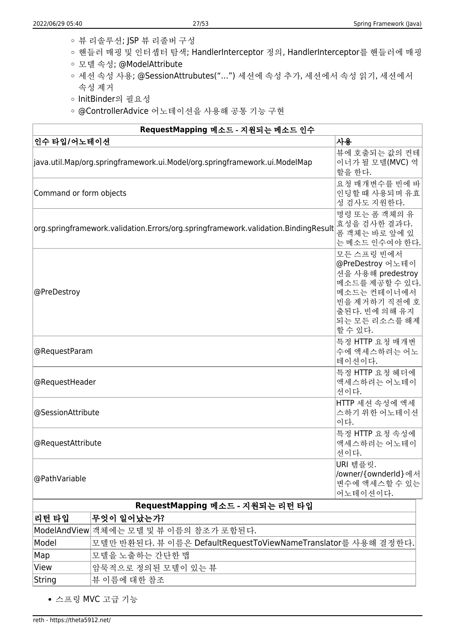- 뷰 리솔루션; JSP 뷰 리졸버 구성
- 핸들러 매핑 및 인터셉터 탐색; HandlerInterceptor 정의, HandlerInterceptor를 핸들러에 매핑
- 모델 속성; @ModelAttribute
- 세션 속성 사용; @SessionAttrubutes("…") 세션에 속성 추가, 세션에서 속성 읽기, 세션에서 속성 제거
- InitBinder의 필요성
- @ControllerAdvice 어노테이션을 사용해 공통 기능 구현

| RequestMapping 메소드 - 지원되는 메소드 인수                                                   |                                                                                                                                                    |  |
|------------------------------------------------------------------------------------|----------------------------------------------------------------------------------------------------------------------------------------------------|--|
| 인수 타입/어노테이션                                                                        | 사용                                                                                                                                                 |  |
| java.util.Map/org.springframework.ui.Model/org.springframework.ui.ModelMap         | 뷰에 호출되는 값의 컨테<br>이너가 될 모델(MVC) 역<br>할을 한다.                                                                                                         |  |
| Command or form objects                                                            | 요청 매개변수를 빈에 바<br>인딩할 때 사용되며 유효<br>성 검사도 지원한다.                                                                                                      |  |
| org.springframework.validation.Errors/org.springframework.validation.BindingResult | 명령 또는 폼 객체의 유<br>효성을 검사한 결과다.<br>폼 객체는 바로 앞에 있<br>는 메소드 인수여야 한다.                                                                                   |  |
| @PreDestroy                                                                        | 모든 스프링 빈에서<br>@PreDestroy 어노테이<br>션을 사용해 predestroy<br>메소드를 제공할 수 있다.<br>메소드는 컨테이너에서<br>빈을 제거하기 직전에 호<br>출된다. 빈에 의해 유지<br>되는 모든 리소스를 해제<br>할 수 있다. |  |
| @RequestParam                                                                      | 특정 HTTP 요청 매개변<br>수에 액세스하려는 어노<br>테이션이다.                                                                                                           |  |
| @RequestHeader                                                                     | 특정 HTTP 요청 헤더에<br>액세스하려는 어노테이<br>션이다.                                                                                                              |  |
| @SessionAttribute                                                                  | HTTP 세션 속성에 액세<br>스하기 위한 어노테이션<br>이다.                                                                                                              |  |
| @RequestAttribute                                                                  | 특정 HTTP 요청 속성에<br>액세스하려는 어노테이<br>션이다.                                                                                                              |  |
| @PathVariable                                                                      | URI 템플릿.<br>/owner/{ownderId}에서<br>변수에 액세스할 수 있는<br>어노테이션이다.                                                                                       |  |
| RequestMapping 메소드 - 지원되는 리턴 타입                                                    |                                                                                                                                                    |  |
| $\pi$ ALALALAIL. $\pi$<br>$-1$ $-1$ $-1$ $-1$                                      |                                                                                                                                                    |  |

| │리턴 타입 | 무엇이 일어났는가?                                                    |
|--------|---------------------------------------------------------------|
|        | ModelAndView 객체에는 모델 및 뷰 이름의 참조가 포함된다.                        |
| Model  | 모델만 반환된다. 뷰 이름은 DefaultRequestToViewNameTranslator를 사용해 결정한다. |
| Map    | 모델을 노출하는 간단한 맵                                                |
| View   | 암묵적으로 정의된 모델이 있는 뷰                                            |
| String | 뷰 이름에 대한 참조                                                   |

스프링 MVC 고급 기능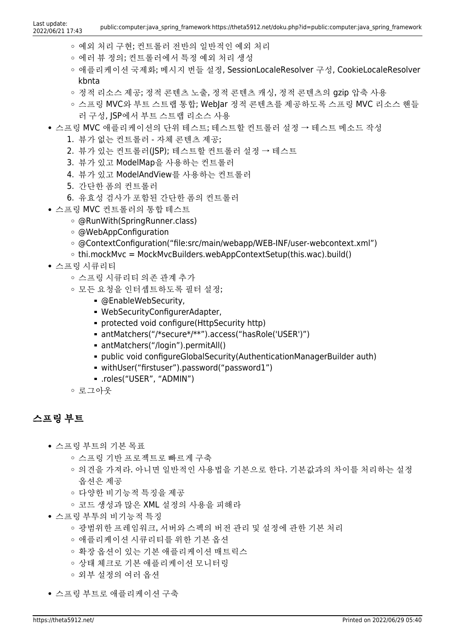- 예외 처리 구현; 컨트롤러 전반의 일반적인 예외 처리
- 에러 뷰 정의; 컨트롤러에서 특정 예외 처리 생성
- 애플리케이션 국제화; 메시지 번들 설정, SessionLocaleResolver 구성, CookieLocaleResolver kbnta
- 정적 리소스 제공; 정적 콘텐츠 노출, 정적 콘텐츠 캐싱, 정적 콘텐츠의 gzip 압축 사용
- 스프링 MVC와 부트 스트랩 통합; WebJar 정적 콘텐츠를 제공하도록 스프링 MVC 리소스 핸들 러 구성, JSP에서 부트 스트랩 리소스 사용
- 스프링 MVC 애플리케이션의 단위 테스트; 테스트할 컨트롤러 설정 → 테스트 메소드 작성
	- 1. 뷰가 없는 컨트롤러 자체 콘텐츠 제공;
	- 2. 뷰가 있는 컨트롤러(JSP); 테스트할 컨트롤러 설정 → 테스트
	- 3. 뷰가 있고 ModelMap을 사용하는 컨트롤러
	- 4. 뷰가 있고 ModelAndView를 사용하는 컨트롤러
	- 5. 간단한 폼의 컨트롤러
	- 6. 유효성 검사가 포함된 간단한 폼의 컨트롤러
- 스프링 MVC 컨트롤러의 통합 테스트
	- @RunWith(SpringRunner.class)
	- @WebAppConfiguration
	- @ContextConfiguration("file:src/main/webapp/WEB-INF/user-webcontext.xml")
	- $\circ$  thi.mockMvc = MockMvcBuilders.webAppContextSetup(this.wac).build()
- 스프링 시큐리티
	- 스프링 시큐리티 의존 관계 추가
	- 모든 요청을 인터셉트하도록 필터 설정;
		- @EnableWebSecurity,
		- WebSecurityConfigurerAdapter,
		- **Protected void configure (HttpSecurity http)**
		- antMatchers("/\*secure\*/\*\*").access("hasRole('USER')")
		- antMatchers("/login").permitAll()
		- public void configureGlobalSecurity(AuthenticationManagerBuilder auth)
		- withUser("firstuser").password("password1")
		- .roles("USER", "ADMIN")
	- 로그아웃

### 스프링 부트

- 스프링 부트의 기본 목표
	- 스프링 기반 프로젝트로 빠르게 구축
	- 의견을 가져라. 아니면 일반적인 사용법을 기본으로 한다. 기본값과의 차이를 처리하는 설정 옵션은 제공
	- 다양한 비기능적 특징을 제공
	- 코드 생성과 많은 XML 설정의 사용을 피해라
- 스프링 부투의 비기능적 특징
	- 광범위한 프레임워크, 서버와 스펙의 버전 관리 및 설정에 관한 기본 처리
	- 애플리케이션 시큐리티를 위한 기본 옵션
	- 확장 옵션이 있는 기본 애플리케이션 매트릭스
	- 상태 체크로 기본 애플리케이션 모니터링
	- 외부 설정의 여러 옵션
- 스프링 부트로 애플리케이션 구축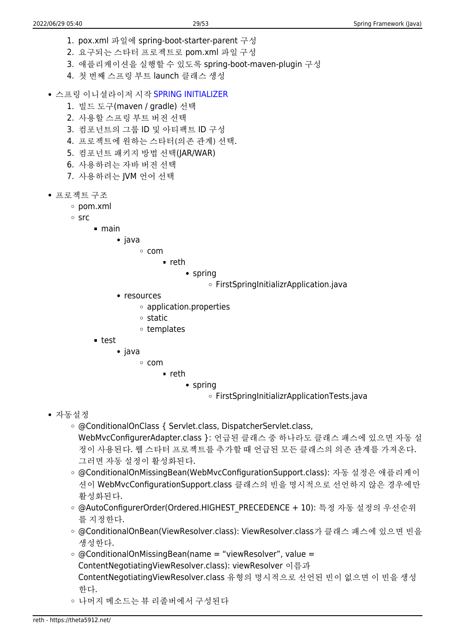- 1. pox.xml 파일에 spring-boot-starter-parent 구성
- 2. 요구되는 스타터 프로젝트로 pom.xml 파일 구성
- 3. 애플리케이션을 실행할 수 있도록 spring-boot-maven-plugin 구성
- 4. 첫 번째 스프링 부트 launch 클래스 생성
- 스프링 이니셜라이저 시작 [SPRING INITIALIZER](https://start.spring.io)
	- 1. 빌드 도구(maven / gradle) 선택
	- 2. 사용할 스프링 부트 버전 선택
	- 3. 컴포넌트의 그룹 ID 및 아티팩트 ID 구성
	- 4. 프로젝트에 원하는 스타터(의존 관계) 선택.
	- 5. 컴포넌트 패키지 방법 선택(JAR/WAR)
	- 6. 사용하려는 자바 버전 선택
	- 7. 사용하려는 JVM 언어 선택
- 프로젝트 구조
	- pom.xml
	- $\circ$  src
- main
	- java
		- com
			- reth
				- spring
					- FirstSpringInitializrApplication.java
	- resources
		- application.properties
		- $\circ$  static
		- templates
- test
	- java
		- com
			- reth
				- spring
					- FirstSpringInitializrApplicationTests.java

- 자동설정
	- @ConditionalOnClass { Servlet.class, DispatcherServlet.class, WebMvcConfigurerAdapter.class }: 언급된 클래스 중 하나라도 클래스 패스에 있으면 자동 설 정이 사용된다. 웹 스타터 프로젝트를 추가할 때 언급된 모든 클래스의 의존 관계를 가져온다. 그러면 자동 설정이 활성화된다.
	- @ConditionalOnMissingBean(WebMvcConfigurationSupport.class): 자동 설정은 애플리케이 션이 WebMvcConfigurationSupport.class 클래스의 빈을 명시적으로 선언하지 않은 경우에만 활성화된다.
	- @AutoConfigurerOrder(Ordered.HIGHEST\_PRECEDENCE + 10): 특정 자동 설정의 우선순위 를 지정한다.
	- @ConditionalOnBean(ViewResolver.class): ViewResolver.class가 클래스 패스에 있으면 빈을 생성한다.
	- $\circ$  @ConditionalOnMissingBean(name = "viewResolver", value = ContentNegotiatingViewResolver.class): viewResolver 이름과 ContentNegotiatingViewResolver.class 유형의 명시적으로 선언된 빈이 없으면 이 빈을 생성 한다.
	- 나머지 메소드는 뷰 리졸버에서 구성된다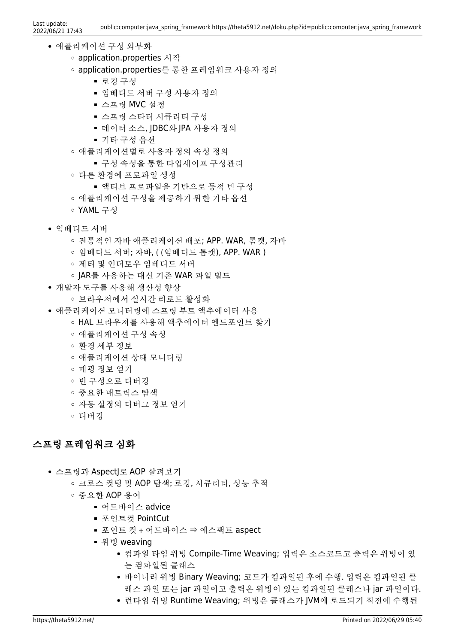- 애플리케이션 구성 외부화
	- application.properties 시작
	- application.properties를 통한 프레임워크 사용자 정의
		- 로깅 구성
		- 임베디드 서버 구성 사용자 정의
		- 스프링 MVC 설정
		- 스프링 스타터 시큐리티 구성
		- 데이터 소스, |DBC와 |PA 사용자 정의
		- 기타 구성 옴셔
	- 애플리케이션별로 사용자 정의 속성 정의
		- 구성 속성을 통한 타입세이프 구성관리
	- 다른 환경에 프로파일 생성
		- 액티브 프로파일을 기반으로 동적 빈 구성
	- 애플리케이션 구성을 제공하기 위한 기타 옵션
	- YAML 구성
- 임베디드 서버
	- 전통적인 자바 애플리케이션 배포; APP. WAR, 톰캣, 자바
	- 임베디드 서버; 자바, ( (임베디드 톰캣), APP. WAR )
	- 제티 및 언더토우 임베디드 서버
	- JAR를 사용하는 대신 기존 WAR 파일 빌드
- 개발자 도구를 사용해 생산성 향상
	- 브라우저에서 실시간 리로드 활성화
- 애플리케이션 모니터링에 스프링 부트 액추에이터 사용
	- HAL 브라우저를 사용해 액추에이터 엔드포인트 찾기
	- 애플리케이션 구성 속성
	- 환경 세부 정보
	- 애플리케이션 상태 모니터링
	- 매핑 정보 얻기
	- 빈 구성으로 디버깅
	- 중요한 매트릭스 탐색
	- 자동 설정의 디버그 정보 얻기
	- 디버깅

### 스프링 프레임워크 심화

- 스프링과 AspectJ로 AOP 살펴보기
	- 크로스 컷팅 및 AOP 탐색; 로깅, 시큐리티, 성능 추적
	- 중요한 AOP 용어
		- 어드바이스 advice
		- 포인트컷 PointCut
		- 포인트 컷 + 어드바이스 ⇒ 애스팩트 aspect
		- 위빙 weaving
			- 컴파일 타임 위빙 Compile-Time Weaving; 입력은 소스코드고 출력은 위빙이 있 는 컴파일된 클래스
			- 바이너리 위빙 Binary Weaving; 코드가 컴파일된 후에 수행. 입력은 컴파일된 클 래스 파일 또는 jar 파일이고 출력은 위빙이 있는 컴파일된 클래스나 jar 파일이다.
			- 런타임 위빙 Runtime Weaving; 위빙은 클래스가 JVM에 로드되기 직전에 수행된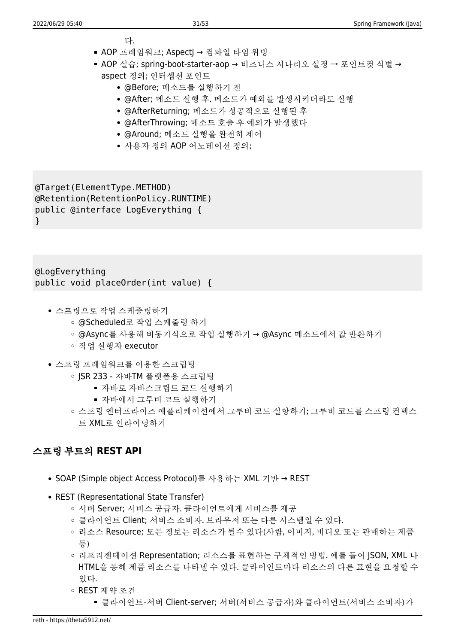- 다.
- AOP 프레임워크; Aspect → 컴파일 타임 위빙
- AOP 실습; spring-boot-starter-aop → 비즈니스 시나리오 설정 → 포인트컷 식별 → aspect 정의; 인터셉션 포인트
	- @Before; 메소드를 실행하기 전
	- @After; 메소드 실행 후. 메소드가 예외를 발생시키더라도 실행
	- @AfterReturning; 메소드가 성공적으로 실행된 후
	- @AfterThrowing; 메소드 호출 후 예외가 발생했다
	- @Around; 메소드 실행을 완전히 제어
	- 사용자 정의 AOP 어노테이션 정의;

@Target(ElementType.METHOD) @Retention(RetentionPolicy.RUNTIME) public @interface LogEverything { }

@LogEverything public void placeOrder(int value) {

- 스프링으로 작업 스케줄링하기
	- @Scheduled로 작업 스케줄링 하기
	- @Async를 사용해 비동기식으로 작업 실행하기 → @Async 메소드에서 값 반환하기
	- 작업 실행자 executor
- 스프링 프레임워크를 이용한 스크립팅
	- ISR 233 자바TM 플랫폼용 스크립팅
		- 자바로 자바스크립트 코드 실행하기
		- 자바에서 그루비 코드 실행하기
	- 스프링 엔터프라이즈 애플리케이션에서 그루비 코드 실항하기; 그루비 코드를 스프링 컨텍스 트 XML로 인라이닝하기

### 스프링 부트의 **REST API**

- SOAP (Simple object Access Protocol)를 사용하는 XML 기반 → REST
- REST (Representational State Transfer)
	- 서버 Server; 서비스 공급자. 클라이언트에게 서비스를 제공
	- 클라이언트 Client; 서비스 소비자. 브라우저 또는 다른 시스템일 수 있다.
	- 리소스 Resource; 모든 정보는 리소스가 될수 있다(사람, 이미지, 비디오 또는 판매하는 제품 등)
	- 리프리젠테이션 Representation; 리소스를 표현하는 구체적인 방법. 예를 들어 JSON, XML 나 HTML을 통해 제품 리소스를 나타낼 수 있다. 클라이언트마다 리소스의 다른 표현을 요청할 수 있다.
	- REST 제약 조건
		- 클라이언트-서버 Client-server; 서버(서비스 공급자)와 클라이언트(서비스 소비자)가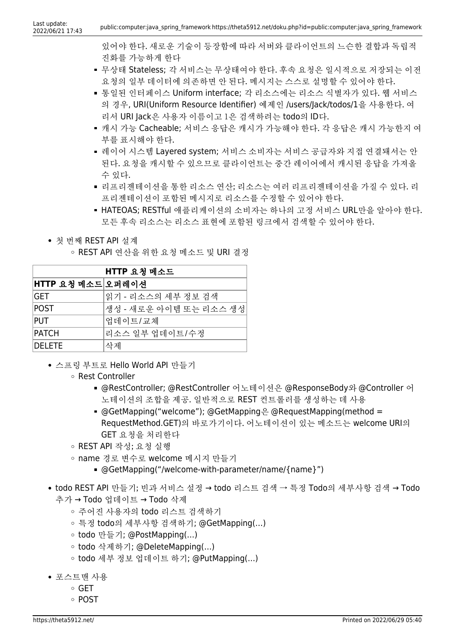있어야 한다. 새로운 기술이 등장함에 따라 서버와 클라이언트의 느슨한 결합과 독립적 진화를 가능하게 한다

- 무상태 Stateless; 각 서비스는 무상태여야 한다. 후속 요청은 일시적으로 저장되는 이전 요청의 일부 데이터에 의존하면 안 된다. 메시지는 스스로 설명할 수 있어야 한다.
- 통일된 인터페이스 Uniform interface; 각 리소스에는 리소스 식별자가 있다. 웹 서비스 의 경우, URI(Uniform Resource Identifier) 예제인 /users/Jack/todos/1을 사용한다. 여 리서 URI Jack은 사용자 이름이고 1은 검색하려는 todo의 ID다.
- 캐시 가능 Cacheable; 서비스 응답은 캐시가 가능해야 한다. 각 응답은 캐시 가능한지 여 부를 표시해야 한다.
- 레이어 시스템 Layered system; 서비스 소비자는 서비스 공급자와 지접 연결돼서는 안 된다. 요청을 캐시할 수 있으므로 클라이언트는 중간 레이어에서 캐시된 응답을 가져올 수 있다.
- 리프리젠테이션을 통한 리소스 연산; 리소스는 여러 리프리젠테이션을 가질 수 있다. 리 프리젠테이션이 포함된 메시지로 리소스를 수정할 수 있어야 한다.
- HATEOAS; RESTful 애플리케이션의 소비자는 하나의 고정 서비스 URL만을 알아야 한다. 모든 후속 리소스는 리소스 표현에 포함된 링크에서 검색할 수 있어야 한다.
- 첫 번째 REST API 설계
	- REST API 연산을 위한 요청 메소드 및 URI 결정

| HTTP 요청 메소드       |                        |
|-------------------|------------------------|
| HTTP 요청 메소드 오퍼레이션 |                        |
| GET               | 읽기 - 리소스의 세부 정보 검색     |
| <b>POST</b>       | 생성 - 새로운 아이템 또는 리소스 생성 |
| PUT               | 업데이트/교체                |
| <b>PATCH</b>      | 리소스 일부 업데이트/수정         |
| <b>DELETE</b>     | 삭제                     |

- 스프링 부트로 Hello World API 만들기
	- Rest Controller
		- @RestController; @RestController 어노테이션은 @ResponseBody와 @Controller 어 노테이션의 조합을 제공. 일반적으로 REST 컨트롤러를 생성하는 데 사용
		- $\bullet$  @GetMapping("welcome"); @GetMapping $\frac{10}{10}$  @RequestMapping(method = RequestMethod.GET)의 바로가기이다. 어노테이션이 있는 메소드는 welcome URI의 GET 요청을 처리한다
	- REST API 작성; 요청 실행
	- name 경로 변수로 welcome 메시지 만들기
		- @GetMapping("/welcome-with-parameter/name/{name}")
- todo REST API 만들기; 빈과 서비스 설정 → todo 리스트 검색 → 특정 Todo의 세부사항 검색 → Todo 추가 → Todo 업데이트 → Todo 삭제
	- 주어진 사용자의 todo 리스트 검색하기
	- 특정 todo의 세부사항 검색하기; @GetMapping(…)
	- todo 만들기; @PostMapping(…)
	- todo 삭제하기; @DeleteMapping(…)
	- todo 세부 정보 업데이트 하기; @PutMapping(…)
- 포스트맨 사용
	- GET
	- POST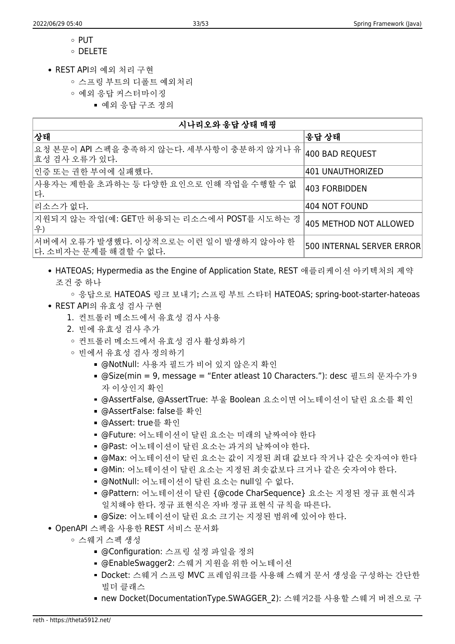- $\circ$  PUT
- DELETE
- REST API의 예외 처리 구현
	- 스프링 부트의 디폴트 예외처리
	- 예외 응답 커스터마이징
		- 예외 응답 구조 정의

| 시나리오와 응답 상태 매핑                                                   |                           |
|------------------------------------------------------------------|---------------------------|
| 상태                                                               | 응답 상태                     |
| 요청 본문이 API 스펙을 충족하지 않는다. 세부사항이 충분하지 않거나 유<br> 효성 검사 오류가 있다.      | 400 BAD REQUEST           |
| 인증 또는 권한 부여에 실패했다.                                               | 1401 UNAUTHORIZED         |
| 사용자는 제한을 초과하는 등 다양한 요인으로 인해 작업을 수행할 수 없<br>다.                    | 403 FORBIDDEN             |
| 리소스가 없다.                                                         | 404 NOT FOUND             |
| 지원되지 않는 작업(예: GET만 허용되는 리소스에서 POST를 시도하는 경<br>우)                 | 405 METHOD NOT ALLOWED    |
| 서버에서 오류가 발생했다. 이상적으로는 이런 일이 발생하지 않아야 한<br> 다. 소비자는 문제를 해결할 수 없다. | 500 INTERNAL SERVER ERROR |

- HATEOAS; Hypermedia as the Engine of Application State, REST 애플리케이션 아키텍처의 제약 조건 중 하나
	- 응답으로 HATEOAS 링크 보내기; 스프링 부트 스타터 HATEOAS; spring-boot-starter-hateoas
- REST API의 유효성 검사 구현
	- 1. 컨트롤러 메소드에서 유효성 검사 사용
	- 2. 빈에 유효성 검사 추가
	- 커트롤러 메소드에서 유효성 검사 활성화하기
	- 빈에서 유효성 검사 정의하기
		- @NotNull: 사용자 필드가 비어 있지 않은지 확인
		- @Size(min = 9, message = "Enter atleast 10 Characters."): desc 필드의 문자수가 9 자 이상인지 확인
		- @AssertFalse, @AssertTrue: 부울 Boolean 요소이면 어노테이션이 달린 요소를 획인
		- @AssertFalse: false를 확인
		- @Assert: true를 확인
		- @Future: 어노테이션이 달린 요소는 미래의 날짜여야 한다
		- @Past: 어노테이션이 달린 요소는 과거의 날짜여야 한다.
		- @Max: 어노테이션이 달린 요소는 값이 지정된 최대 값보다 작거나 같은 숫자여야 한다
		- @Min: 어노테이션이 달린 요소는 지정된 최솟값보다 크거나 같은 숫자여야 한다.
		- @NotNull: 어노테이션이 달린 요소는 null일 수 없다.
		- @Pattern: 어노테이션이 달린 {@code CharSequence} 요소는 지정된 정규 표현식과 일치해야 한다. 정규 표현식은 자바 정규 표현식 규칙을 따른다.
		- @Size: 어노테이션이 달린 요소 크기는 지정된 범위에 있어야 한다.
- OpenAPI 스펙을 사용한 REST 서비스 문서화
	- 스웨거 스펙 생성
		- @Configuration: 스프링 설정 파일을 정의
		- @EnableSwagger2: 스웨거 지원을 위한 어노테이션
		- Docket: 스웨거 스프링 MVC 프레임워크를 사용해 스웨거 문서 생성을 구성하는 간단한 빌더 클래스
		- new Docket(DocumentationType.SWAGGER\_2): 스웨거2를 사용할 스웨거 버전으로 구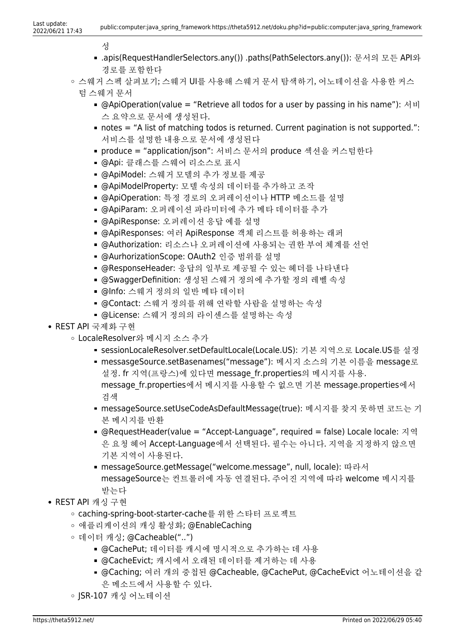성

- .apis(RequestHandlerSelectors.any()) .paths(PathSelectors.any()): 문서의 모든 API와 경로를 포함한다
- 스웨거 스펙 살펴보기; 스웨거 UI를 사용해 스웨거 문서 탐색하기, 어노테이션을 사용한 커스
	- 텀 스웨거 문서
		- @ApiOperation(value = "Retrieve all todos for a user by passing in his name"): 서비 스 요약으로 문서에 생성된다.
		- $\blacksquare$  notes  $\spadesuit$  "A list of matching todos is returned. Current pagination is not supported.": 서비스를 설명한 내용으로 문서에 생성된다
		- produce = "application/json": 서비스 문서의 produce 섹션을 커스텀한다
		- @Api: 클래스를 스웨어 리소스로 표시
		- @ApiModel: 스웨거 모델의 추가 정보를 제공
		- @ApiModelProperty: 모델 속성의 데이터를 추가하고 조작
		- @ApiOperation: 특정 경로의 오퍼레이션이나 HTTP 메소드를 설명
		- @ApiParam: 오퍼레이션 파라미터에 추가 메타 데이터를 추가
		- @ApiResponse: 오퍼레이션 응답 예를 설명
		- @ApiResponses: 여러 ApiResponse 객체 리스트를 허용하는 래퍼
		- @Authorization: 리소스나 오퍼레이션에 사용되는 권한 부여 체계를 선언
		- @AurhorizationScope: OAuth2 인증 범위를 설명
		- @ResponseHeader: 응답의 일부로 제공될 수 있는 헤더를 나타낸다
		- @SwaggerDefinition: 생성된 스웨거 정의에 추가할 정의 레벨 속성
		- @Info: 스웨거 정의의 일반 메타 데이터
		- @Contact: 스웨거 정의를 위해 연락할 사람을 설명하는 속성
		- @License: 스웨거 정의의 라이센스를 설명하는 속성
- REST API 국제화 구현
	- LocaleResolver와 메시지 소스 추가
		- sessionLocaleResolver.setDefaultLocale(Locale.US): 기본 지역으로 Locale.US를 설정
		- messasgeSource.setBasenames("message"): 메시지 소스의 기본 이름을 message로 설정. fr 지역(프랑스)에 있다면 message fr.properties의 메시지를 사용. message fr.properties에서 메시지를 사용할 수 없으면 기본 message.properties에서 검색
		- messageSource.setUseCodeAsDefaultMessage(true): 메시지를 찾지 못하면 코드는 기 본 메시지를 반환
		- @RequestHeader(value = "Accept-Language", required = false) Locale locale: 지역 은 요청 헤어 Accept-Language에서 선택된다. 필수는 아니다. 지역을 지정하지 않으면 기본 지역이 사용된다.
		- messageSource.getMessage("welcome.message", null, locale): 따라서 messageSource는 컨트롤러에 자동 연결된다. 주어진 지역에 따라 welcome 메시지를 받는다
- REST API 캐싱 구현
	- caching-spring-boot-starter-cache를 위한 스타터 프로젝트
	- 애플리케이션의 캐싱 활성화; @EnableCaching
	- 데이터 캐싱; @Cacheable("..")
		- @CachePut; 데이터를 캐시에 명시적으로 추가하는 데 사용
		- @CacheEvict; 캐시에서 오래된 데이터를 제거하는 데 사용
		- @Caching; 여러 개의 중첩된 @Cacheable, @CachePut, @CacheEvict 어노테이션을 같 은 메소드에서 사용할 수 있다.
	- JSR-107 캐싱 어노테이션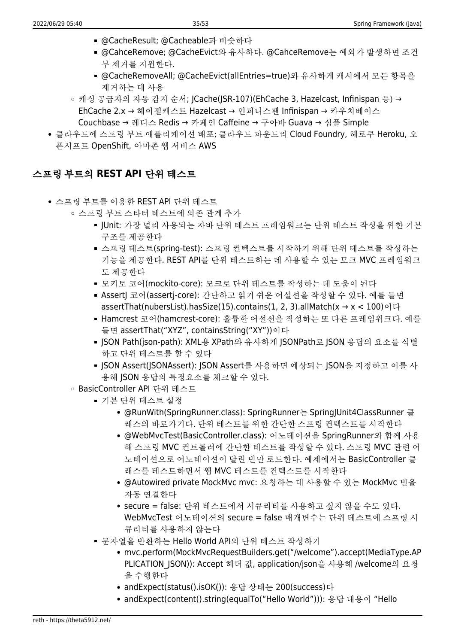- @CacheResult; @Cacheable과 비슷하다
- @CahceRemove; @CacheEvict와 유사하다. @CahceRemove는 예외가 발생하면 조건 부 제거를 지원한다.
- @CacheRemoveAll; @CacheEvict(allEntries=true)와 유사하게 캐시에서 모든 항목을 제거하는 데 사용
- 캐싱 공급자의 자동 감지 순서; JCache(JSR-107)(EhCache 3, Hazelcast, Infinispan 등) → EhCache 2.x → 헤이젤캐스트 Hazelcast → 인피니스팬 Infinispan → 카우치베이스 Couchbase → 레디스 Redis → 카페인 Caffeine → 구아바 Guava → 심플 Simple
- 클라우드에 스프링 부트 애플리케이션 배포; 클라우드 파운드리 Cloud Foundry, 헤로쿠 Heroku, 오 픈시프트 OpenShift, 아마존 웹 서비스 AWS

### 스프링 부트의 **REST API** 단위 테스트

- 스프링 부트를 이용한 REST API 단위 테스트
	- 스프링 부트 스타터 테스트에 의존 관계 추가
		- JUnit: 가장 널리 사용되는 자바 단위 테스트 프레임워크는 단위 테스트 작성을 위한 기본 구조를 제공한다
		- 스프링 테스트(spring-test): 스프링 컨텍스트를 시작하기 위해 단위 테스트를 작성하는 기능을 제공한다. REST API를 단위 테스트하는 데 사용할 수 있는 모크 MVC 프레임워크 도 제공한다
		- 모키토 코어(mockito-core): 모크로 단위 테스트를 작성하는 데 도움이 된다
		- AssertJ 코어(assertj-core): 간단하고 읽기 쉬운 어설션을 작성할 수 있다. 예를 들면 assertThat(nubersList).hasSize(15).contains(1, 2, 3).allMatch( $x \rightarrow x$  < 100)이다
		- Hamcrest 코어(hamcrest-core): 훌륭한 어설션을 작성하는 또 다른 프레임워크다. 예를 들면 assertThat("XYZ", containsString("XY"))이다
		- JSON Path(json-path): XML용 XPath와 유사하게 JSONPath로 JSON 응답의 요소를 식별 하고 단위 테스트를 할 수 있다
		- JSON Assert(JSONAssert): JSON Assert를 사용하면 예상되는 JSON을 지정하고 이를 사 용해 JSON 응답의 특정요소를 체크할 수 있다.
	- BasicController API 단위 테스트
		- 기본 단위 테스트 설정
			- @RunWith(SpringRunner.class): SpringRunner는 SpringJUnit4ClassRunner 클 래스의 바로가기다. 단위 테스트를 위한 간단한 스프링 컨텍스트를 시작한다
			- @WebMvcTest(BasicController.class): 어노테이션을 SpringRunner와 함께 사용 해 스프링 MVC 컨트롤러에 간단한 테스트를 작성할 수 있다. 스프링 MVC 관련 어 노테이션으로 어노테이션이 달린 빈만 로드한다. 예제에서는 BasicController 클 래스를 테스트하면서 웹 MVC 테스트를 컨텍스트를 시작한다
			- @Autowired private MockMvc mvc: 요청하는 데 사용할 수 있는 MockMvc 빈을 자동 연결한다
			- secure = false: 단위 테스트에서 시큐리티를 사용하고 싶지 않을 수도 있다. WebMvcTest 어노테이션의 secure = false 매개변수는 단위 테스트에 스프링 시 큐리티를 사용하지 않는다
		- 문자열을 반환하는 Hello World API의 단위 테스트 작성하기
			- mvc.perform(MockMvcRequestBuilders.get("/welcome").accept(MediaType.AP PLICATION\_JSON)): Accept 헤더 값, application/json을 사용해 /welcome의 요청 을 수행한다
			- andExpect(status().isOK()): 응답 상태는 200(success)다
			- andExpect(content().string(equalTo("Hello World"))): 응답 내용이 "Hello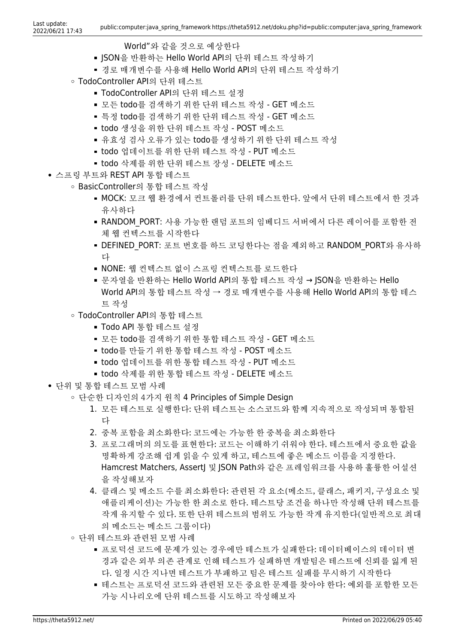- World"와 같을 것으로 예상한다
- ISON을 반환하는 Hello World API의 단위 테스트 작성하기
- 경로 매개변수를 사용해 Hello World API의 단위 테스트 작성하기
- TodoController API의 단위 테스트
	- TodoController API의 단위 테스트 설정
	- 모든 todo를 검색하기 위한 단위 테스트 작성 GET 메소드
	- 특정 todo를 검색하기 위한 단위 테스트 작성 GET 메소드
	- todo 생성을 위한 단위 테스트 작성 POST 메소드
	- 유효성 검사 오류가 있는 todo를 생성하기 위한 단위 테스트 작성
	- todo 업데이트를 위한 단위 테스트 작성 PUT 메소드
	- todo 삭제를 위한 단위 테스트 장성 DELETE 메소드
- 스프링 부트와 REST API 통합 테스트
	- BasicController의 통합 테스트 작성
		- MOCK: 모크 웹 환경에서 컨트롤러를 단위 테스트한다. 앞에서 단위 테스트에서 한 것과 유사하다
		- RANDOM\_PORT: 사용 가능한 램덤 포트의 임베디드 서버에서 다른 레이어를 포함한 전 체 웹 컨텍스트를 시작한다
		- DEFINED PORT: 포트 번호를 하드 코딩한다는 점을 제외하고 RANDOM\_PORT와 유사하 다
		- NONE: 웹 컨텍스트 없이 스프링 컨텍스트를 로드한다
		- 문자열을 반환하는 Hello World API의 통합 테스트 작성 → JSON을 반환하는 Hello World API의 통합 테스트 작성 → 경로 매개변수를 사용해 Hello World API의 통합 테스 트 작성
	- TodoController API의 통합 테스트
		- Todo API 통합 테스트 설정
		- 모든 todo를 검색하기 위한 통합 테스트 작성 GET 메소드
		- todo를 만들기 위한 통합 테스트 작성 POST 메소드
		- todo 업데이트를 위한 통합 테스트 작성 PUT 메소드
		- todo 삭제를 위한 통합 테스트 작성 DELETE 메소드
- 단위 및 통합 테스트 모범 사례
	- 단순한 디자인의 4가지 원칙 4 Principles of Simple Design
		- 1. 모든 테스트로 실행한다: 단위 테스트는 소스코드와 함께 지속적으로 작성되며 통합된 다
		- 2. 중복 포함을 최소화한다: 코드에는 가능한 한 중복을 최소화한다
		- 3. 프로그래머의 의도를 표현한다: 코드는 이해하기 쉬워야 한다. 테스트에서 중요한 값을 명확하게 강조해 쉽게 읽을 수 있게 하고, 테스트에 좋은 메소드 이름을 지정한다. Hamcrest Matchers, Assertl 및 ISON Path와 같은 프레임워크를 사용하 훌륭하 어설셔 을 작성해보자
		- 4. 클래스 및 메소드 수를 최소화한다: 관련된 각 요소(메소드, 클래스, 패키지, 구성요소 및 애플리케이션)는 가능한 한 최소로 한다. 테스트당 조건을 하나만 작성해 단위 테스트를 작게 유지할 수 있다. 또한 단위 테스트의 범위도 가능한 작게 유지한다(일반적으로 최대 의 메소드는 메소드 그룹이다)
	- 단위 테스트와 관련된 모범 사례
		- 프로덕션 코드에 문제가 있는 경우에만 테스트가 실패한다: 데이터베이스의 데이터 변 경과 같은 외부 의존 관계로 인해 테스트가 실패하면 개발팀은 테스트에 신뢰를 잃게 된 다. 일정 시간 지나면 테스트가 부패하고 팀은 테스트 실패를 무시하기 시작한다
		- 테스트는 프로덕션 코드와 관련된 모든 중요한 문제를 찾아야 한다: 예외를 포함한 모든 가능 시나리오에 단위 테스트를 시도하고 작성해보자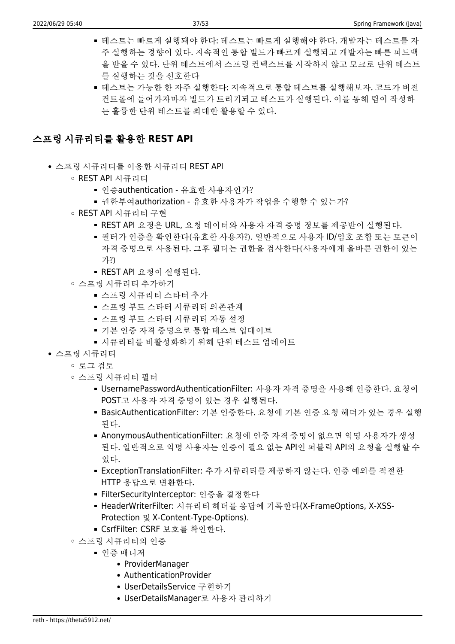- 테스트는 빠르게 실행돼야 한다: 테스트는 빠르게 실행해야 한다. 개발자는 테스트를 자 주 실행하는 경향이 있다. 지속적인 통합 빌드가 빠르게 실행되고 개발자는 빠른 피드백 을 받을 수 있다. 단위 테스트에서 스프링 컨텍스트를 시작하지 않고 모크로 단위 테스트 를 실행하는 것을 선호한다
- 테스트는 가능한 한 자주 실행한다: 지속적으로 통합 테스트를 실행해보자. 코드가 버전 컨트롤에 들어가자마자 빌드가 트리거되고 테스트가 실행된다. 이를 통해 팀이 작성하 는 훌륭한 단위 테스트를 최대한 활용할 수 있다.

### 스프링 시큐리티를 활용한 **REST API**

- 스프링 시큐리티를 이용한 시큐리티 REST API
	- REST API 시큐리티
		- 인증authentication 유효한 사용자인가?
		- 권한부여authorization 유효한 사용자가 작업을 수행할 수 있는가?
	- REST API 시큐리티 구현
		- REST API 요정은 URL, 요청 데이터와 사용자 자격 증명 정보를 제공받이 실행된다.
		- 필터가 인증을 확인한다(유효한 사용자?). 일반적으로 사용자 ID/암호 조합 또는 토큰이 자격 증명으로 사용된다. 그후 필터는 권한을 검사한다(사용자에게 올바른 권한이 있는 가?)
		- REST API 요청이 실행된다.
	- 스프링 시큐리티 추가하기
		- 스프링 시큐리티 스타터 추가
		- 스프링 부트 스타터 시큐리티 의존관계
		- 스프링 부트 스타터 시큐리티 자동 설정
		- 기본 인증 자격 증명으로 통합 테스트 업데이트
		- 시큐리티를 비활성화하기 위해 단위 테스트 업데이트
- 스프링 시큐리티
	- 로그 검토
	- 스프링 시큐리티 필터
		- UsernamePasswordAuthenticationFilter: 사용자 자격 증명을 사용해 인증한다. 요청이 POST고 사용자 자격 증명이 있는 경우 실행된다.
		- BasicAuthenticationFilter: 기본 인증한다. 요청에 기본 인증 요청 헤더가 있는 경우 실행 된다.
		- AnonymousAuthenticationFilter: 요청에 인증 자격 증명이 없으면 익명 사용자가 생성 된다. 일반적으로 익명 사용자는 인증이 필요 없는 API인 퍼블릭 API의 요청을 실행할 수 있다.
		- ExceptionTranslationFilter: 추가 시큐리티를 제공하지 않는다. 인증 예외를 적절한 HTTP 응답으로 변환한다.
		- FilterSecurityInterceptor: 인증을 결정한다
		- HeaderWriterFilter: 시큐리티 헤더를 응답에 기록한다(X-FrameOptions, X-XSS-Protection 및 X-Content-Type-Options).
		- CsrfFilter: CSRF 보호를 확인한다.
	- 스프링 시큐리티의 인증
		- 인증 매니저
			- ProviderManager
			- AuthenticationProvider
			- UserDetailsService 구현하기
			- UserDetailsManager로 사용자 관리하기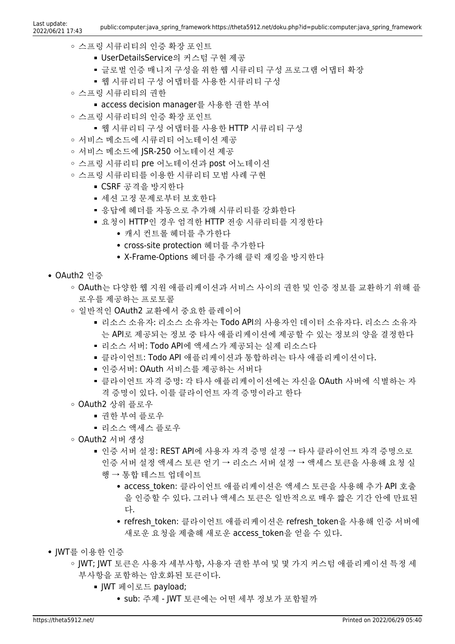- 스프링 시큐리티의 인증 확장 포인트
	- UserDetailsService의 커스텀 구현 제공
	- 글로벌 인증 매니저 구성을 위한 웹 시큐리티 구성 프로그램 어댑터 확장
	- 웹 시큐리티 구성 어댑터를 사용한 시큐리티 구성
- 스프링 시큐리티의 권한
	- access decision manager를 사용한 권한 부여
- 스프링 시큐리티의 인증 확장 포인트
	- 웹 시큐리티 구성 어댑터를 사용한 HTTP 시큐리티 구성
- 서비스 메소드에 시큐리티 어노테이션 제공
- 서비스 메소드에 JSR-250 어노테이션 제공
- 스프링 시큐리티 pre 어노테이션과 post 어노테이션
- 스프링 시큐리티를 이용한 시큐리티 모범 사례 구현
	- CSRF 공격을 방지한다
	- 세션 고정 문제로부터 보호한다
	- 응답에 헤더를 자동으로 추가해 시큐리티를 강화한다
	- 요청이 HTTP인 경우 엄격한 HTTP 전송 시큐리티를 지정한다
		- 캐시 컨트롤 헤더를 추가한다
		- cross-site protection 헤더를 추가한다
		- X-Frame-Options 헤더를 추가해 클릭 재킹을 방지한다
- OAuth2 인증
	- OAuth는 다양한 웹 지워 애플리케이셔과 서비스 사이의 권한 및 인증 정보를 교환하기 위해 플 로우를 제공하는 프로토콜
	- 일반적인 OAuth2 교환에서 중요한 플레이어
		- 리소스 소유자: 리소스 소유자는 Todo API의 사용자인 데이터 소유자다. 리소스 소유자 는 API로 제공되는 정보 중 타사 애플리케이션에 제공할 수 있는 정보의 양을 결정한다
		- 리소스 서버: Todo API에 액세스가 제공되는 실제 리소스다
		- 클라이언트: Todo API 애플리케이션과 통합하려는 타사 애플리케이션이다.
		- 인증서버: OAuth 서비스를 제공하는 서버다
		- 클라이언트 자격 증명: 각 타사 애플리케이이션에는 자신을 OAuth 사버에 식별하는 자 격 증명이 있다. 이를 클라이언트 자격 증명이라고 한다
	- OAuth2 상위 플로우
		- 권한 부여 플로우
		- 리소스 액세스 플로우
	- OAuth2 서버 생성
		- 인증 서버 설정: REST API에 사용자 자격 증명 설정 → 타사 클라이언트 자격 증명으로 인증 서버 설정 액세스 토큰 얻기 → 리소스 서버 설정 → 액세스 토큰을 사용해 요청 실
			- 행 → 통합 테스트 업데이트
				- access\_token: 클라이언트 애플리케이션은 액세스 토큰을 사용해 추가 API 호출 을 인증할 수 있다. 그러나 액세스 토큰은 일반적으로 매우 짧은 기간 안에 만료된 다.
				- refresh token: 클라이언트 애플리케이션은 refresh token을 사용해 인증 서버에 새로운 요청을 제출해 새로운 access\_token을 얻을 수 있다.
- IWT를 이용한 이증
	- JWT; JWT 토큰은 사용자 세부사항, 사용자 권한 부여 및 몇 가지 커스텀 애플리케이션 특정 세 부사항을 포함하는 암호화된 토큰이다.
		- JWT 페이로드 payload;
			- sub: 주제 JWT 토큰에는 어떤 세부 정보가 포함될까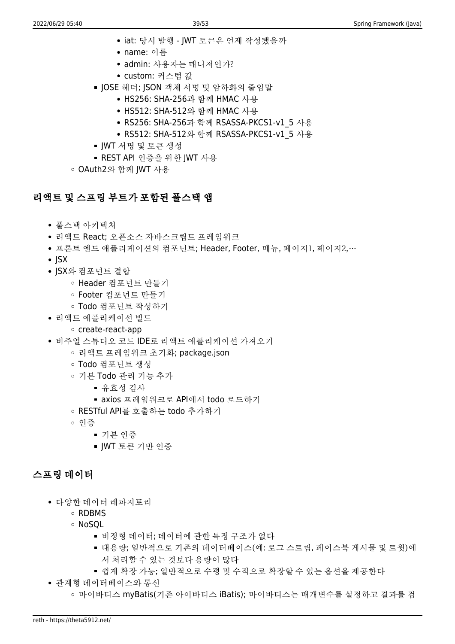- iat: 당시 발행 JWT 토큰은 언제 작성됐을까
- name: 이름
- admin: 사용자는 매니저인가?
- custom: 커스텀 값
- JOSE 헤더; JSON 객체 서명 및 암하화의 줄임말
	- HS256: SHA-256과 함께 HMAC 사용
	- HS512: SHA-512와 함께 HMAC 사용
	- RS256: SHA-256과 함께 RSASSA-PKCS1-v1 5 사용
	- RS512: SHA-512와 함께 RSASSA-PKCS1-v1 5 사용
- JWT 서명 및 토큰 생성
- REST API 인증을 위한 JWT 사용

OAuth2와 함께 JWT 사용

## 리액트 및 스프링 부트가 포함된 풀스택 앱

- 풀스택 아키텍처
- 리액트 React; 오픈소스 자바스크립트 프레임워크
- 프론트 엔드 애플리케이션의 컴포넌트; Header, Footer, 메뉴, 페이지1, 페이지2,…
- $\cdot$  ISX
- ISX와 컴포넌트 결합
	- Header 컴포넌트 만들기
	- Footer 컴포넌트 만들기
	- Todo 컴포넌트 작성하기
- 리액트 애플리케이션 빌드

#### create-react-app

- 비주얼 스튜디오 코드 IDE로 리액트 애플리케이션 가져오기
	- 리액트 프레임워크 초기화; package.json
	- Todo 컴포넌트 생성
	- 기본 Todo 관리 기능 추가
		- 유효성 검사
		- axios 프레임워크로 API에서 todo 로드하기
	- RESTful API를 호출하는 todo 추가하기
	- 인증
		- 기본 인증
		- JWT 토큰 기반 인증

## 스프링 데이터

- 다양한 데이터 레파지토리
	- RDBMS
	- NoSQL
		- 비정형 데이터; 데이터에 관한 특정 구조가 없다
		- 대용량; 일반적으로 기존의 데이터베이스(예: 로그 스트림, 페이스북 게시물 및 트윗)에 서 처리할 수 있는 것보다 용량이 많다
		- 쉽게 확장 가능; 일반적으로 수평 및 수직으로 확장할 수 있는 옵션을 제공한다
- 관계형 데이터베이스와 통신
	- 마이바티스 myBatis(기존 아이바티스 iBatis); 마이바티스는 매개변수를 설정하고 결과를 검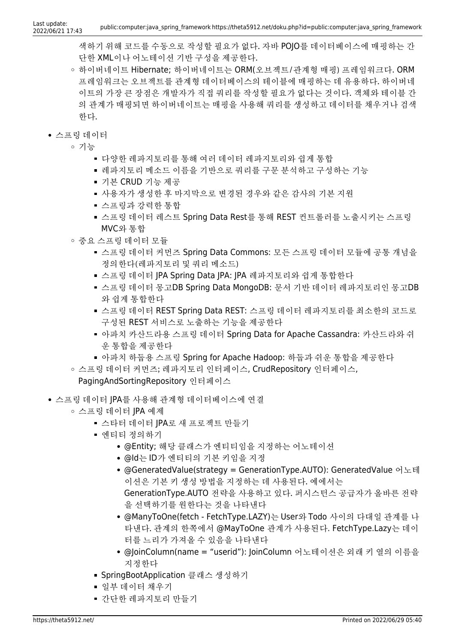색하기 위해 코드를 수동으로 작성할 필요가 없다. 자바 POJO를 데이터베이스에 매핑하는 간 단한 XML이나 어노테이션 기반 구성을 제공한다.

- 하이버네이트 Hibernate; 하이버네이트는 ORM(오브젝트/관계형 매핑) 프레임워크다. ORM 프레임워크는 오브젝트를 관계형 데이터베이스의 테이블에 매핑하는 데 유용하다. 하이버네 이트의 가장 큰 장점은 개발자가 직접 쿼리를 작성할 필요가 없다는 것이다. 객체와 테이블 간 의 관계가 매핑되면 하이버네이트는 매핑을 사용해 쿼리를 생성하고 데이터를 채우거나 검색 한다.
- 스프링 데이터
	- 기능
		- 다양한 레파지토리를 통해 여러 데이터 레파지토리와 쉽게 통합
		- 레파지토리 메소드 이름을 기반으로 쿼리를 구문 분석하고 구성하는 기능
		- 기본 CRUD 기능 제공
		- 사용자가 생성한 후 마지막으로 변경된 경우와 같은 감사의 기본 지원
		- 스프링과 강력한 통합
		- 스프링 데이터 레스트 Spring Data Rest를 통해 REST 컨트롤러를 노출시키는 스프링 MVC와 통합
	- 중요 스프링 데이터 모듈
		- 스프링 데이터 커먼즈 Spring Data Commons: 모든 스프링 데이터 모듈에 공통 개념을 정의한다(레파지토리 및 쿼리 메소드)
		- 스프링 데이터 JPA Spring Data JPA: JPA 레파지토리와 쉽게 통합한다
		- 스프링 데이터 몽고DB Spring Data MongoDB: 문서 기반 데이터 레파지토리인 몽고DB 와 쉽게 통합한다
		- 스프링 데이터 REST Spring Data REST: 스프링 데이터 레파지토리를 최소한의 코드로 구성된 REST 서비스로 노출하는 기능을 제공한다
		- 아파치 카산드라용 스프링 데이터 Spring Data for Apache Cassandra: 카산드라와 쉬 운 통합을 제공한다
		- 아파치 하둡용 스프링 Spring for Apache Hadoop: 하둡과 쉬운 통합을 제공한다
	- 스프링 데이터 커먼즈; 레파지토리 인터페이스, CrudRepository 인터페이스,

#### PagingAndSortingRepository 인터페이스

- 스프링 데이터 JPA를 사용해 관계형 데이터베이스에 연결
	- 스프링 데이터 JPA 예제
		- 스타터 데이터 IPA로 새 프로젝트 만들기
		- 엔티티 정의하기
			- @Entity; 해당 클래스가 엔티티임을 지정하는 어노테이션
			- @Id는 ID가 엔티티의 기본 키임을 지정
			- @GeneratedValue(strategy = GenerationType.AUTO): GeneratedValue 어노테 이션은 기본 키 생성 방법을 지정하는 데 사용된다. 예에서는 GenerationType.AUTO 전략을 사용하고 있다. 퍼시스턴스 공급자가 올바른 전략 을 선택하기를 원한다는 것을 나타낸다
			- @ManyToOne(fetch FetchType.LAZY)는 User와 Todo 사이의 다대일 관계를 나 타낸다. 관계의 한쪽에서 @MayToOne 관계가 사용된다. FetchType.Lazy는 데이 터를 느리가 가져올 수 있음을 나타낸다
			- @JoinColumn(name = "userid"): JoinColumn 어노테이션은 외래 키 열의 이름을 지정한다
		- SpringBootApplication 클래스 생성하기
		- 일부 데이터 채우기
		- 간단한 레파지토리 만들기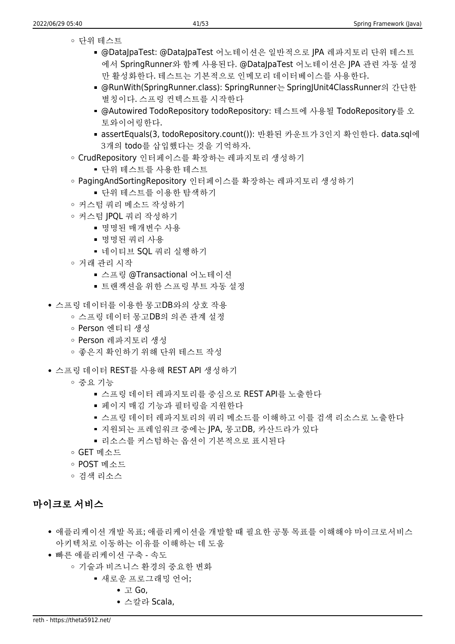- 단위 테스트
	- @DataJpaTest: @DataJpaTest 어노테이션은 일반적으로 JPA 레파지토리 단위 테스트 에서 SpringRunner와 함께 사용된다. @DataJpaTest 어노테이션은 JPA 관련 자동 설정 만 활성화한다. 테스트는 기본적으로 인메모리 데이터베이스를 사용한다.
	- @RunWith(SpringRunner.class): SpringRunner는 SpringJUnit4ClassRunner의 간단한 별칭이다. 스프링 컨텍스트를 시작한다
	- @Autowired TodoRepository todoRepository: 테스트에 사용될 TodoRepository를 오 토와이어링한다.
	- assertEquals(3, todoRepository.count()): 반환된 카운트가 3인지 확인한다. data.sql에 3개의 todo를 삽입했다는 것을 기억하자.
- CrudRepository 인터페이스를 확장하는 레파지토리 생성하기
	- 단위 테스트를 사용한 테스트
- PagingAndSortingRepository 인터페이스를 확장하는 레파지토리 생성하기
	- 단위 테스트를 이용한 탐색하기
- 커스텀 쿼리 메소드 작성하기
- 커스텀 JPQL 쿼리 작성하기
	- 명명된 매개변수 사용
	- 명명된 쿼리 사용
	- 네이티브 SOL 쿼리 실행하기
- 거래 관리 시작
	- 스프링 @Transactional 어노테이션
	- 트랜잭션을 위한 스프링 부트 자동 설정
- 스프링 데이터를 이용한 몽고DB와의 상호 작용
	- 스프링 데이터 몽고DB의 의존 관계 설정
	- Person 엔티티 생성
	- Person 레파지토리 생성
	- 좋은지 확인하기 위해 단위 테스트 작성
- 스프링 데이터 REST를 사용해 REST API 생성하기
	- 중요 기능
		- 스프링 데이터 레파지토리를 중심으로 REST API를 노출한다
		- 페이지 매김 기능과 필터링을 지원한다
		- 스프링 데이터 레파지토리의 쿼리 메소드를 이해하고 이를 검색 리소스로 노출한다
		- 지원되는 프레임워크 중에는 JPA, 몽고DB, 카산드라가 있다
		- 리소스를 커스텀하는 옵션이 기본적으로 표시된다
	- GET 메소드
	- POST 메소드
	- 검색 리소스

#### 마이크로 서비스

- 애플리케이션 개발 목표; 애플리케이션을 개발할 때 필요한 공통 목표를 이해해야 마이크로서비스 아키텍처로 이동하는 이유를 이해하는 데 도움
- 빠른 애플리케이션 구축 속도
	- 기술과 비즈니스 환경의 중요한 변화
		- 새로운 프로그래밍 언어;
			- 고 Go,
			- 스칼라 Scala,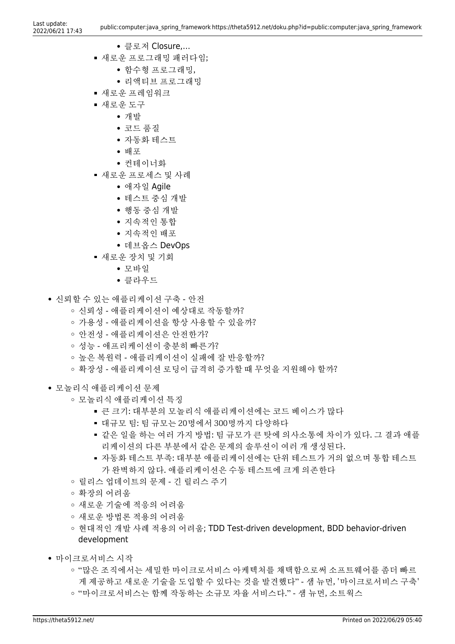- 클로저 Closure,…
- 새로운 프로그래밍 패러다임;
	- 함수형 프로그래밍,
	- 리액티브 프로그래밍
- 새로운 프레임워크
- 새로운 도구
	- 개발
		- 코드 품질
		- 자동화 테스트
		- 배포
		- 커테이너화
- 새로운 프로세스 및 사례
	- 애자일 Agile
	- 테스트 중심 개발
	- 행동 중심 개발
	- 지속적인 통합
	- 지속적인 배포
	- 데브옵스 DevOps
- 새로운 장치 및 기회
	- 모바일
	- 클라우드
- 신뢰할 수 있는 애플리케이션 구축 안전
	- 신뢰성 애플리케이션이 예상대로 작동할까?
	- 가용성 애플리케이션을 항상 사용할 수 있을까?
	- 안전성 애플리케이션은 안전한가?
	- 성능 애프리케이션이 충분히 빠른가?
	- 높은 복원력 애플리케이션이 실패에 잘 반응할까?
	- 확장성 애플리케이션 로딩이 급격히 증가할 때 무엇을 지원해야 할까?
- 모놀리식 애플리케이션 문제
	- 모놀리식 애플리케이션 특징
		- 큰 크기: 대부분의 모놀리식 애플리케이션에는 코드 베이스가 많다
		- 대규모 팀: 팀 규모는 20명에서 300명까지 다양하다
		- 같은 일을 하는 여러 가지 방법: 팀 규모가 큰 탓에 의사소통에 차이가 있다. 그 결과 애플 리케이션의 다른 부분에서 같은 문제의 솔루션이 여러 개 생성된다.
		- 자동화 테스트 부족: 대부분 애플리케이션에는 단위 테스트가 거의 없으며 통합 테스트 가 완벽하지 않다. 애플리케이션은 수동 테스트에 크게 의존한다
	- 릴리스 업데이트의 문제 긴 릴리스 주기
	- 확장의 어려움
	- 새로운 기술에 적응의 어려움
	- 새로운 방법론 적용의 어려움
	- 현대적인 개발 사례 적용의 어려움; TDD Test-driven development, BDD behavior-driven development
- 마이크로서비스 시작
	- "많은 조직에서는 세밀한 마이크로서비스 아케텍처를 채택함으로써 소프트웨어를 좀더 빠르 게 제공하고 새로운 기술을 도입할 수 있다는 것을 발견했다" - 샘 뉴먼, '마이크로서비스 구축' ◦ "마이크로서비스는 함께 작동하는 소규모 자율 서비스다." - 샘 뉴먼, 소트웍스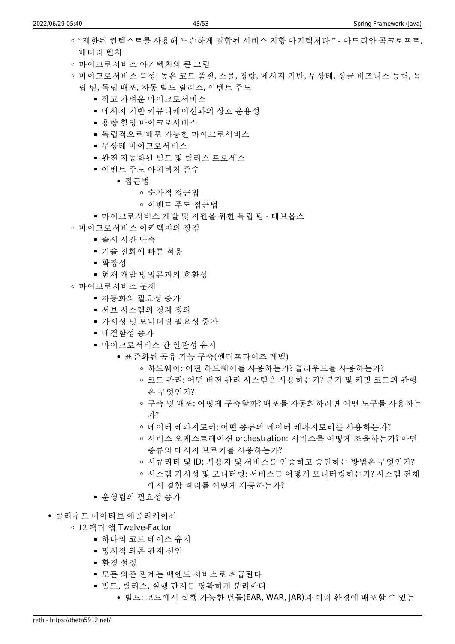- "제하되 커텍스트를 사용해 느슨하게 결합된 서비스 지향 아키텍처다." 아드리안 콕크로프트, 배터리 벤처
- 마이크로서비스 아키텍처의 큰 그림
- 마이크로서비스 특성; 높은 코드 품질, 스몰, 경량, 메시지 기반, 무상태, 싱글 비즈니스 능력, 독 립 팀, 독립 배포, 자동 빌드 릴리스, 이벤트 주도
	- 작고 가벼운 마이크로서비스
	- 메시지 기반 커뮤니케이션과의 상호 운용성
	- 용량 할당 마이크로서비스
	- 독립적으로 배포 가능한 마이크로서비스
	- 무상태 마이크로서비스
	- 완전 자동화된 빌드 및 릴리스 프로세스
	- 이벤트 주도 아키텍처 준수
		- 접근법
			- 순차적 접근법
			- 이벤트 주도 접근법
	- 마이크로서비스 개발 및 지원을 위한 독립 팀 데브옵스
- 마이크로서비스 아키텍처의 장점
	- 출시 시간 단축
	- 기술 진화에 빠른 적응
	- 확장성
	- 현재 개발 방법론과의 호환성
- 마이크로서비스 문제
	- 자동화의 필요성 증가
	- 서브 시스템의 경계 정의
	- 가시성 및 모니터링 필요성 증가
	- 내결함성 증가
	- 마이크로서비스 간 일관성 유지
		- 표준화된 공유 기능 구축(엔터프라이즈 레벨)
			- 하드웨어: 어떤 하드웨어를 사용하는가? 클라우드를 사용하는가?
			- 코드 관리: 어떤 버전 관리 시스템을 사용하는가? 분기 및 커밋 코드의 관행 은 무엇인가?
			- 구축 및 배포: 어떻게 구축할까? 배포를 자동화하려면 어떤 도구를 사용하는 가?
			- 데이터 레파지토리: 어떤 종류의 데이터 레파지토리를 사용하는가?
			- 서비스 오케스트레이션 orchestration: 서비스를 어떻게 조율하는가? 아떤 종류의 메시지 브로커를 사용하는가?
			- 시큐리티 및 ID: 사용자 및 서비스를 인증하고 승인하는 방법은 무엇인가?
			- 시스템 가시성 및 모니터링: 서비스를 어떻게 모니터링하는가? 시스템 전체 에서 결함 격리를 어떻게 제공하는가?
	- 우영팀의 필요성 증가
- 클라우드 네이티브 애플리케이션
	- 12 팩터 앱 Twelve-Factor
		- 하나의 코드 베이스 유지
		- 명시적 의존 관계 선언
		- 환경 설정
		- 모든 의존 관계는 백엔드 서비스로 취급된다
		- 빌드, 릴리스, 실행 단계를 명확하게 분리한다
			- 빌드: 코드에서 실행 가능한 번들(EAR, WAR, JAR)과 여러 환경에 배포할 수 있는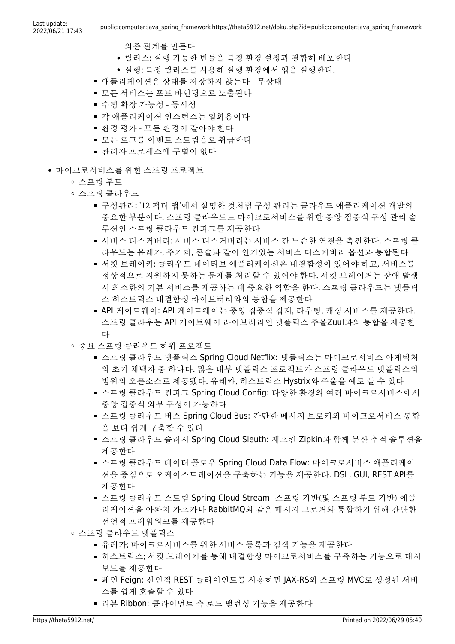- 의존 관계를 만든다
- 릴리스: 실행 가능한 번들을 특정 환경 설정과 결합해 배포한다
- 실행: 특정 릴리스를 사용해 실행 환경에서 앱을 실행한다.
- 애플리케이션은 상태를 저장하지 않는다 무상태
- 모든 서비스는 포트 바인딩으로 노출된다
- 수평 확장 가능성 동시성
- 각 애플리케이션 인스턴스는 일회용이다
- 환경 평가 모든 환경이 같아야 한다
- 모든 로그를 이벤트 스트림을로 취급한다
- 관리자 프로세스에 구별이 없다
- 마이크로서비스를 위한 스프링 프로젝트

스프링 부트

- 스프링 클라우드
	- 구성관리: '12 팩터 앱'에서 설명한 것처럼 구성 관리는 클라우드 애플리케이션 개발의 중요한 부분이다. 스프링 클라우드느 마이크로서비스를 위한 중앙 집중식 구성 관리 솔 루션인 스프링 클라우드 컨피그를 제공한다
	- 서비스 디스커버리: 서비스 디스커버리는 서비스 간 느슨한 연결을 촉진한다. 스프링 클 라우드는 유레카, 주키퍼, 콘솔과 같이 인기있는 서비스 디스커버리 옵션과 통합된다
	- 서킷 브레이커: 클라우드 네이티브 애플리케이션은 내결함성이 있어야 하고, 서비스를 정상적으로 지원하지 못하는 문제를 처리할 수 있어야 한다. 서킷 브레이커는 장애 발생 시 최소한의 기본 서비스를 제공하는 데 중요한 역할을 한다. 스프링 클라우드는 넷플릭 스 히스트릭스 내결함성 라이브러리와의 통합을 제공한다
	- API 게이트웨이: API 게이트웨이는 중앙 집중식 집계, 라우팅, 캐싱 서비스를 제공한다. 스프링 클라우는 API 게이트웨이 라이브러리인 넷플릭스 주울Zuul과의 통합을 제공한 다
- 중요 스프링 클라우드 하위 프로젝트
	- 스프링 클라우드 넷플릭스 Spring Cloud Netflix: 넷플릭스는 마이크로서비스 아케텍처 의 초기 채택자 중 하나다. 많은 내부 넷플릭스 프로젝트가 스프링 클라우드 넷플릭스의 범위의 오픈소스로 제공됐다. 유레카, 히스트릭스 Hystrix와 주울을 예로 들 수 있다
	- 스프링 클라우드 컨피그 Spring Cloud Config: 다양한 환경의 여러 마이크로서비스에서 중앙 집중식 외부 구성이 가능하다
	- 스프링 클라우드 버스 Spring Cloud Bus: 간단한 메시지 브로커와 마이크로서비스 통합 을 보다 쉽게 구축할 수 있다
	- 스프링 클라우드 슬러시 Spring Cloud Sleuth: 제프킨 Zipkin과 함께 분산 추적 솔루션을 제공한다
	- 스프링 클라우드 데이터 플로우 Spring Cloud Data Flow: 마이크로서비스 애플리케이 션을 중심으로 오케이스트레이션을 구축하는 기능을 제공한다. DSL, GUI, REST API를 제공한다
	- 스프링 클라우드 스트림 Spring Cloud Stream: 스프링 기반(및 스프링 부트 기반) 애플 리케이션을 아파치 카프카나 RabbitMQ와 같은 메시지 브로커와 통합하기 위해 간단한 선언적 프레임워크를 제공한다
- 스프링 클라우드 넷플릭스
	- 유레카; 마이크로서비스를 위한 서비스 등록과 검색 기능을 제공한다
	- 히스트릭스; 서킷 브레이커를 통해 내결함성 마이크로서비스를 구축하는 기능으로 대시 보드를 제공한다
	- 페인 Feign: 선언적 REST 클라이언트를 사용하면 JAX-RS와 스프링 MVC로 생성된 서비 스를 쉽게 호출할 수 있다
	- 리본 Ribbon: 클라이언트 측 로드 밸런싱 기능을 제공한다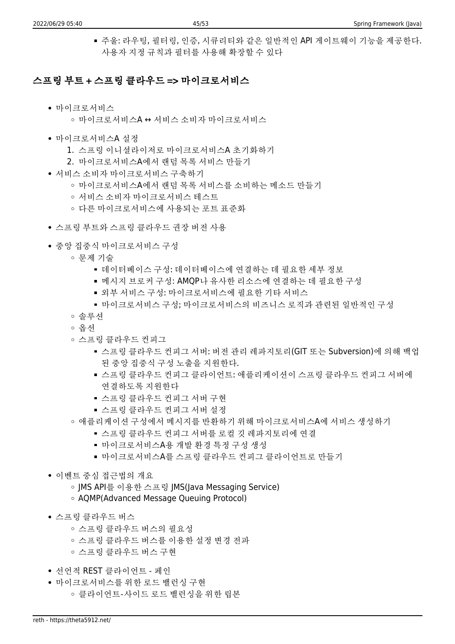주울: 라우팅, 필터링, 인증, 시큐리티와 같은 일반적인 API 게이트웨이 기능을 제공한다. 사용자 지정 규칙과 필터를 사용해 확장할 수 있다

#### 스프링 부트 + 스프링 클라우드 => 마이크로서비스

- 마이크로서비스
	- 마이크로서비스A ↔ 서비스 소비자 마이크로서비스
- 마이크로서비스A 설정
	- 1. 스프링 이니셜라이저로 마이크로서비스A 초기화하기
	- 2. 마이크로서비스A에서 랜덤 목록 서비스 만들기
- 서비스 소비자 마이크로서비스 구축하기
	- 마이크로서비스A에서 랜덤 목록 서비스를 소비하는 메소드 만들기
	- 서비스 소비자 마이크로서비스 테스트
	- 다른 마이크로서비스에 사용되는 포트 표준화
- 스프링 부트와 스프링 클라우드 권장 버전 사용
- 중앙 집중식 마이크로서비스 구성
	- 문제 기술
		- 데이터베이스 구성: 데이터베이스에 연결하는 데 필요한 세부 정보
		- 메시지 브로커 구성: AMQP나 유사한 리소스에 연결하는 데 필요한 구성
		- 외부 서비스 구성: 마이크로서비스에 필요한 기타 서비스
		- 마이크로서비스 구성; 마이크로서비스의 비즈니스 로직과 관련된 일반적인 구성
	- 솔루션
	- 옵션
	- 스프링 클라우드 컨피그
		- 스프링 클라우드 컨피그 서버: 버전 관리 레파지토리(GIT 또는 Subversion)에 의해 백업 된 중앙 집중식 구성 노출을 지원한다.
		- 스프링 클라우드 컨피그 클라이언트: 애플리케이션이 스프링 클라우드 컨피그 서버에 연결하도록 지원한다
		- 스프링 클라우드 컨피그 서버 구현
		- 스프링 클라우드 컨피그 서버 설정
	- 애플리케이션 구성에서 메시지를 반환하기 위해 마이크로서비스A에 서비스 생성하기
		- 스프링 클라우드 컨피그 서버를 로컬 깃 레파지토리에 연결
		- 마이크로서비스A용 개발 환경 특정 구성 생성
		- 마이크로서비스A를 스프링 클라우드 컨피그 클라이언트로 만들기
- 이벤트 중심 접근법의 개요
	- JMS API를 이용한 스프링 JMS(Java Messaging Service)
	- AQMP(Advanced Message Queuing Protocol)
- 스프링 클라우드 버스
	- 스프링 클라우드 버스의 필요성
	- 스프링 클라우드 버스를 이용한 설정 변경 전파
	- 스프링 클라우드 버스 구현
- 선언적 REST 클라이언트 페인
- 마이크로서비스를 위한 로드 밸런싱 구현
	- 클라이언트-사이드 로드 밸런싱을 위한 립본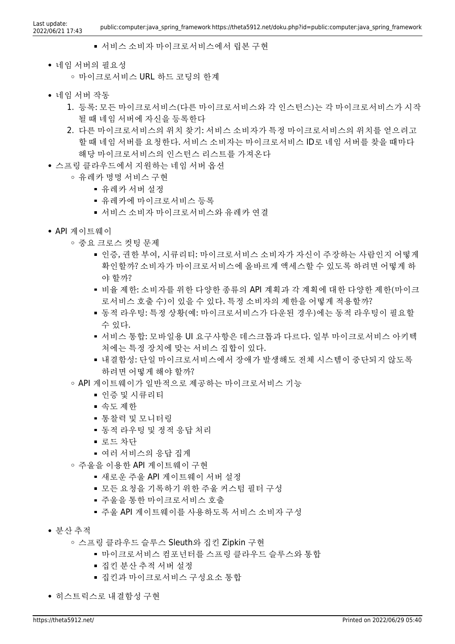- 서비스 소비자 마이크로서비스에서 립본 구현
- 네임 서버의 필요성 마이크로서비스 URL 하드 코딩의 한계
- 네임 서버 작동
	- 1. 등록: 모든 마이크로서비스(다른 마이크로서비스와 각 인스턴스)는 각 마이크로서비스가 시작 될 때 네임 서버에 자신을 등록한다
	- 2. 다른 마이크로서비스의 위치 찾기: 서비스 소비자가 특정 마이크로서비스의 위치를 얻으려고 할 때 네임 서버를 요청한다. 서비스 소비자는 마이크로서비스 ID로 네임 서버를 찾을 때마다 해당 마이크로서비스의 인스턴스 리스트를 가져온다
- 스프링 클라우드에서 지원하는 네임 서버 옵션
	- 유레카 명명 서비스 구현
		- 유레카 서버 설정
		- 유레카에 마이크로서비스 등록
		- 서비스 소비자 마이크로서비스와 유레카 연결
- API 게이트웨이
	- 중요 크로스 컷팅 문제
		- 인증, 권한 부여, 시큐리티: 마이크로서비스 소비자가 자신이 주장하는 사람인지 어떻게 확인할까? 소비자가 마이크로서비스에 올바르게 액세스할 수 있도록 하려면 어떻게 하 야 할까?
		- 비율 제한: 소비자를 위한 다양한 종류의 API 계획과 각 계획에 대한 다양한 제한(마이크 로서비스 호출 수)이 있을 수 있다. 특정 소비자의 제한을 어떻게 적용할까?
		- 동적 라우팅: 특정 상황(예: 마이크로서비스가 다운된 경우)에는 동적 라우팅이 필요할 수 있다.
		- 서비스 통합: 모바일용 UI 요구사항은 데스크톱과 다르다. 일부 마이크로서비스 아키텍 처에는 특정 장치에 맞는 서비스 집합이 있다.
		- 내결함성: 단일 마이크로서비스에서 장애가 발생해도 전체 시스템이 중단되지 않도록 하려면 어떻게 해야 할까?
	- API 게이트웨이가 일반적으로 제공하는 마이크로서비스 기능
		- 인증 및 시큐리티
		- 속도 제한
		- 통찰력 및 모니터링
		- 동적 라우팅 및 정적 응답 처리
		- 로드 차다
		- 여러 서비스의 응답 집게
	- 주울을 이용한 API 게이트웨이 구현
		- 새로운 주울 API 게이트웨이 서버 설정
		- 모든 요청을 기록하기 위한 주울 커스텀 필터 구성
		- 주울을 통한 마이크로서비스 호출
		- 주울 API 게이트웨이를 사용하도록 서비스 소비자 구성
- 분산 추적
	- 스프링 클라우드 슬루스 Sleuth와 집킨 Zipkin 구현
		- 마이크로서비스 컴포넌터를 스프링 클라우드 슬루스와 통합
		- 집킨 분산 추적 서버 설정
		- 집킨과 마이크로서비스 구성요소 통합
- 히스트릭스로 내결함성 구현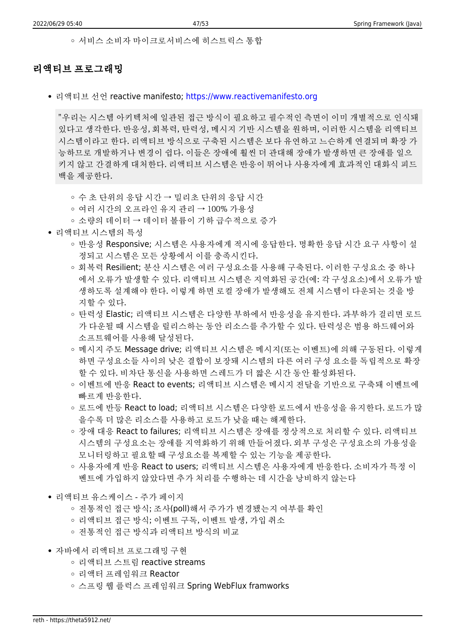서비스 소비자 마이크로서비스에 히스트릭스 통합

#### 리액티브 프로그래밍

• 리액티브 선언 reactive manifesto;<https://www.reactivemanifesto.org>

"우리는 시스템 아키텍처에 일관된 접근 방식이 필요하고 필수적인 측면이 이미 개별적으로 인식돼 있다고 생각한다. 반응성, 회복력, 탄력성, 메시지 기반 시스템을 원하며, 이러한 시스템을 리액티브 시스템이라고 한다. 리액티브 방식으로 구축된 시스템은 보다 유연하고 느슨하게 연결되며 확장 가 능하므로 개발하거나 변경이 쉽다. 이들은 장애에 훨씬 더 관대해 장애가 발생하면 큰 장애를 일으 키지 않고 간결하게 대처한다. 리액티브 시스템은 반응이 뛰어나 사용자에게 효과적인 대화식 피드 백을 제공한다.

- 수 초 단위의 응답 시간 → 밀리초 단위의 응답 시간
- 여러 시간의 오프라인 유지 관리 → 100% 가용성
- 소량의 데이터 → 데이터 볼륨이 기하 급수적으로 증가
- 리액티브 시스템의 특성
	- 반응성 Responsive; 시스템은 사용자에게 적시에 응답한다. 명확한 응답 시간 요구 사항이 설 정되고 시스템은 모든 상황에서 이를 충족시킨다.
	- 회복력 Resilient; 분산 시스템은 여러 구성요소를 사용해 구축된다. 이러한 구성요소 중 하나 에서 오류가 발생할 수 있다. 리액티브 시스템은 지역화된 공간(예: 각 구성요소)에서 오류가 발 생하도록 설계해야 한다. 이렇게 하면 로컬 장애가 발생해도 전체 시스템이 다운되는 것을 방 지할 수 있다.
	- 탄력성 Elastic; 리액티브 시스템은 다양한 부하에서 반응성을 유지한다. 과부하가 걸리면 로드 가 다운될 때 시스템을 릴리스하는 동안 리소스를 추가할 수 있다. 탄력성은 범용 하드웨어와 소프트웨어를 사용해 달성된다.
	- 메시지 주도 Message drive; 리액티브 시스템은 메시지(또는 이벤트)에 의해 구동된다. 이렇게 하면 구성요소들 사이의 낮은 결합이 보장돼 시스템의 다른 여러 구성 요소를 독립적으로 확장 할 수 있다. 비차단 통신을 사용하면 스레드가 더 짧은 시간 동안 활성화된다.
	- 이벤트에 반응 React to events; 리액티브 시스템은 메시지 전달을 기반으로 구축돼 이벤트에 빠르게 반응한다.
	- 로드에 반등 React to load; 리액티브 시스템은 다양하 로드에서 반응성을 유지하다. 로드가 많 을수록 더 많은 리소스를 사용하고 로드가 낮을 때는 해제한다.
	- 장애 대응 React to failures; 리액티브 시스템은 장애를 정상적으로 처리할 수 있다. 리액티브 시스템의 구성요소는 장애를 지역화하기 위해 만들어졌다. 외부 구성은 구성요소의 가용성을 모니터링하고 필요할 때 구성요소를 복제할 수 있는 기능을 제공한다.
	- 사용자에게 반응 React to users; 리액티브 시스템은 사용자에게 반응한다. 소비자가 특정 이 벤트에 가입하지 않았다면 추가 처리를 수행하는 데 시간을 낭비하지 않는다
- 리액티브 유스케이스 주가 페이지
	- 전통적인 접근 방식; 조사(poll)해서 주가가 변경됐는지 여부를 확인
	- 리액티브 접근 방식; 이벤트 구독, 이벤트 발생, 가입 취소
	- 전통적인 접근 방식과 리액티브 방식의 비교
- 자바에서 리액티브 프로그래밍 구현
	- 리액티브 스트림 reactive streams
	- 리액터 프레임워크 Reactor
	- 스프링 웹 플럭스 프레임워크 Spring WebFlux framworks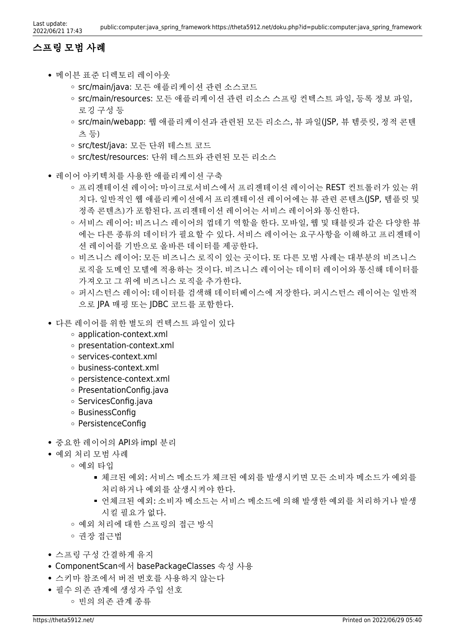### 스프링 모범 사례

- 메이븐 표준 디렉토리 레이아웃
	- src/main/java: 모든 애플리케이션 관련 소스코드
	- src/main/resources: 모든 애플리케이션 관련 리소스 스프링 컨텍스트 파일, 등록 정보 파일, 로깅 구성 등
	- src/main/webapp: 웹 애플리케이션과 관련된 모든 리소스, 뷰 파일(JSP, 뷰 템픗릿, 정적 콘텐 츠 등)
	- src/test/java: 모든 단위 테스트 코드
	- src/test/resources: 단위 테스트와 관련된 모든 리소스
- 레이어 아키텍처를 사용한 애플리케이션 구축
	- 프리젠테이션 레이어: 마이크로서비스에서 프리젠테이션 레이어는 REST 컨트롤러가 있는 위 치다. 일반적인 웹 애플리케이션에서 프리젠테이션 레이어에는 뷰 관련 콘텐츠(JSP, 템플릿 및 정족 콘텐츠)가 포함된다. 프리젠테이션 레이어는 서비스 레이어와 통신한다.
	- 서비스 레이어: 비즈니스 레이어의 껍데기 역할을 한다. 모바일, 웹 및 태블릿과 같은 다양한 뷰 에는 다른 종류의 데이터가 필요할 수 있다. 서비스 레이어는 요구사항을 이해하고 프리젠테이 션 레이어를 기반으로 올바른 데이터를 제공한다.
	- 비즈니스 레이어: 모든 비즈니스 로직이 있는 곳이다. 또 다른 모범 사례는 대부분의 비즈니스 로직을 도메인 모델에 적용하는 것이다. 비즈니스 레이어는 데이터 레이어와 통신해 데이터를 가져오고 그 위에 비즈니스 로직을 추가한다.
	- 퍼시스턴스 레이어: 데이터를 검색해 데이터베이스에 저장한다. 퍼시스턴스 레이어는 일반적 으로 JPA 매핑 또는 JDBC 코드를 포함한다.
- 다른 레이어를 위한 별도의 컨텍스트 파일이 있다
	- application-context.xml
	- presentation-context.xml
	- services-context.xml
	- business-context.xml
	- persistence-context.xml
	- o PresentationConfig.java
	- ServicesConfig.java
	- BusinessConfig
	- o PersistenceConfig
- 중요한 레이어의 API와 impl 분리
- 예외 처리 모범 사례
	- 예외 타입
		- 체크된 예외: 서비스 메소드가 체크된 예외를 발생시키면 모든 소비자 메소드가 예외를 처리하거나 예외를 살생시켜야 한다.
		- 언체크된 예외: 소비자 메소드는 서비스 메소드에 의해 발생한 예외를 처리하거나 발생 시킬 필요가 없다.
		- 예외 처리에 대한 스프링의 접근 방식
		- 권장 접근법
- 스프링 구성 간결하게 유지
- ComponentScan에서 basePackageClasses 속성 사용
- 스키마 참조에서 버전 번호를 사용하지 않는다
- 필수 의존 관계에 생성자 주입 선호
	- 빈의 의존 관계 종류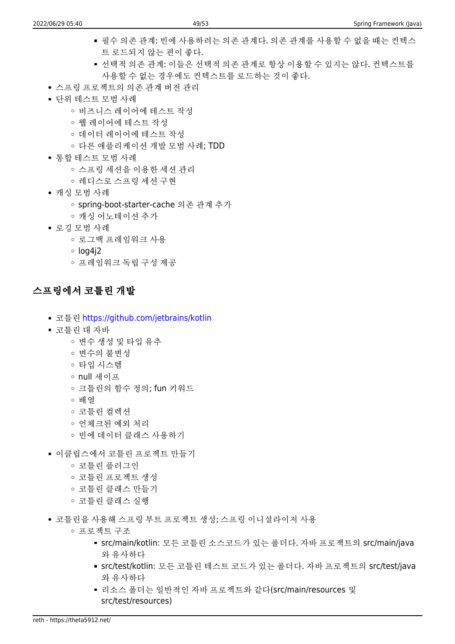- 필수 의존 관계: 빈에 사용하려는 의존 관계다. 의존 관계를 사용할 수 없을 때는 컨텍스 트 로드되지 않는 편이 좋다.
- 선택적 의존 관계: 이들은 선택적 의존 관계로 항상 이용할 수 있지는 않다. 컨텍스트를 사용할 수 없는 경우에도 컨텍스트를 로드하는 것이 좋다.
- 스프링 프로젝트의 의존 관계 버전 관리
- 단위 테스트 모범 사례
	- 비즈니스 레이어에 테스트 작성
	- 웹 레이어에 테스트 작성
	- 데이터 레이어에 테스트 작성
	- 다른 애플리케이션 개발 모범 사례; TDD
- 통합 테스트 모범 사례
	- 스프링 세션을 이용한 세션 관리
	- 레디스로 스프링 세션 구현
- 캐싱 모범 사례
	- spring-boot-starter-cache 의존 관계 추가
	- 캐싱 어노테이션 추가
- 로깅 모범 사례
	- 로그백 프레임워크 사용
	- $\circ$  log4i2
	- 프레임워크 독립 구성 제공

### 스프링에서 코틀린 개발

- 코틀린 <https://github.com/jetbrains/kotlin>
- 코틀린 대 자바
	- 변수 생성 및 타입 유추
	- 변수의 불변성
	- 타입 시스템
	- null 세이프
	- 크틀린의 함수 정의; fun 키워드
	- 배열
	- 코틀린 컬렉션
	- 언체크된 예외 처리
	- 빈에 데이터 클래스 사용하기
- 이클립스에서 코틀린 프로젝트 만들기
	- 코틀린 플러그인
	- 코틀린 프로젝트 생성
	- 코틀린 클래스 만들기
	- 코틀린 클래스 실행
- 코틀린을 사용해 스프링 부트 프로젝트 생성; 스프링 이니셜라이저 사용
	- 프로젝트 구조
		- src/main/kotlin: 모든 코틀린 소스코드가 있는 폴더다. 자바 프로젝트의 src/main/java 와 유사하다
		- src/test/kotlin: 모든 코틀린 테스트 코드가 있는 폴더다. 자바 프로젝트의 src/test/java 와 유사하다
		- 리소스 폴더는 일반적인 자바 프로젝트와 같다(src/main/resources 및 src/test/resources)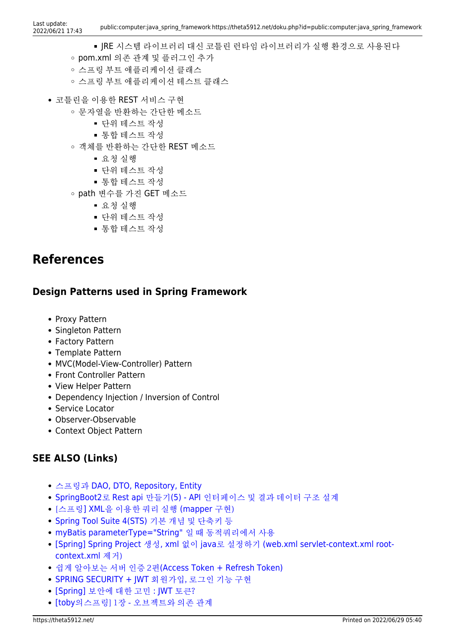- JRE 시스템 라이브러리 대신 코틀린 런타임 라이브러리가 실행 환경으로 사용된다
- pom.xml 의존 관계 및 플러그인 추가
- 스프링 부트 애플리케이션 클래스
- 스프링 부트 애플리케이션 테스트 클래스
- 코틀린을 이용한 REST 서비스 구현
	- 문자열을 반환하는 간단한 메소드
		- 단위 테스트 작성
		- 통합 테스트 작성
	- 객체를 반환하는 간단한 REST 메소드
		- 요청 실행
		- 단위 테스트 작성
		- 통합 테스트 작성
	- path 변수를 가진 GET 메소드
		- 요청 실행
		- 단위 테스트 작성
		- 통합 테스트 작성

## **References**

### **Design Patterns used in Spring Framework**

- Proxy Pattern
- Singleton Pattern
- Factory Pattern
- Template Pattern
- MVC(Model-View-Controller) Pattern
- Front Controller Pattern
- View Helper Pattern
- Dependency Injection / Inversion of Control
- Service Locator
- Observer-Observable
- Context Object Pattern

### **SEE ALSO (Links)**

- [스프링과](https://velog.io/@agugu95/%EC%8A%A4%ED%94%84%EB%A7%81-%ED%8C%A8%ED%84%B4%EA%B3%BC-DAO-DTO-Repository) [DAO, DTO, Repository, Entity](https://velog.io/@agugu95/%EC%8A%A4%ED%94%84%EB%A7%81-%ED%8C%A8%ED%84%B4%EA%B3%BC-DAO-DTO-Repository)
- [SpringBoot2](https://daddyprogrammer.org/post/404/spring-boot2-design-api-interface-and-data-structure/)[로](https://daddyprogrammer.org/post/404/spring-boot2-design-api-interface-and-data-structure/) [Rest api](https://daddyprogrammer.org/post/404/spring-boot2-design-api-interface-and-data-structure/) [만들기](https://daddyprogrammer.org/post/404/spring-boot2-design-api-interface-and-data-structure/)[\(5\) API](https://daddyprogrammer.org/post/404/spring-boot2-design-api-interface-and-data-structure/) [인터페이스 및 결과 데이터 구조 설계](https://daddyprogrammer.org/post/404/spring-boot2-design-api-interface-and-data-structure/)
- [\[스프링](https://holybell87.tistory.com/26#.YaXxR9BByUk)[\] XML](https://holybell87.tistory.com/26#.YaXxR9BByUk)[을 이용한 쿼리 실행](https://holybell87.tistory.com/26#.YaXxR9BByUk) [\(mapper](https://holybell87.tistory.com/26#.YaXxR9BByUk) [구현\)](https://holybell87.tistory.com/26#.YaXxR9BByUk)
- [Spring Tool Suite 4\(STS\)](https://cjy324.tistory.com/4) [기본 개념 및 단축키 등](https://cjy324.tistory.com/4)
- [myBatis parameterType="String"](https://blog.naver.com/PostView.nhn?isHttpsRedirect=true&blogId=roropoly1&logNo=221184569655&parentCategoryNo=&categoryNo=9&viewDate=&isShowPopularPosts=true&from=search) [일 때 동적쿼리에서 사용](https://blog.naver.com/PostView.nhn?isHttpsRedirect=true&blogId=roropoly1&logNo=221184569655&parentCategoryNo=&categoryNo=9&viewDate=&isShowPopularPosts=true&from=search)
- [\[Spring\] Spring Project](https://lee1535.tistory.com/118) [생성](https://lee1535.tistory.com/118)[, xml](https://lee1535.tistory.com/118) [없이](https://lee1535.tistory.com/118) [java](https://lee1535.tistory.com/118)[로 설정하기](https://lee1535.tistory.com/118) [\(web.xml servlet-context.xml root](https://lee1535.tistory.com/118)[context.xml](https://lee1535.tistory.com/118) [제거\)](https://lee1535.tistory.com/118)
- [쉽게 알아보는 서버 인증 2편](https://tansfil.tistory.com/59?category=255594)[\(Access Token + Refresh Token\)](https://tansfil.tistory.com/59?category=255594)
- [SPRING SECURITY + JWT](https://webfirewood.tistory.com/115) [회원가입, 로그인 기능 구현](https://webfirewood.tistory.com/115)
- [\[Spring\]](https://myunji.tistory.com/452) [보안에 대한 고민](https://myunji.tistory.com/452) : IWT [토큰?](https://myunji.tistory.com/452)
- [\[toby](https://kunner.tistory.com/969)[의스프링\] 1장 오브젝트와 의존 관계](https://kunner.tistory.com/969)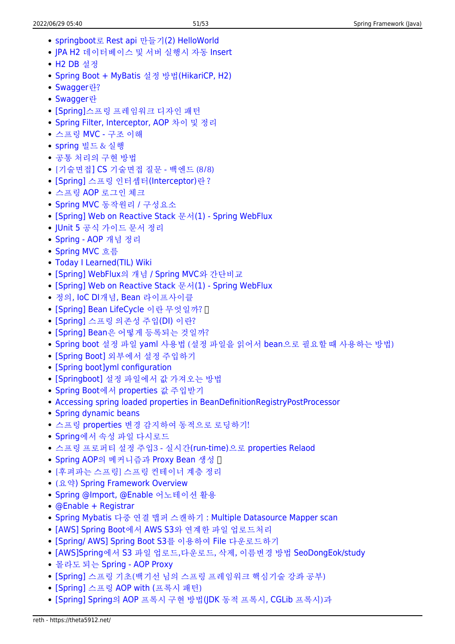- [springboot](https://pepega.tistory.com/3)[로](https://pepega.tistory.com/3) [Rest api](https://pepega.tistory.com/3) [만들기](https://pepega.tistory.com/3)[\(2\) HelloWorld](https://pepega.tistory.com/3)
- [JPA H2](https://khdscor.tistory.com/4?category=977203) [데이터베이스 및 서버 실행시 자동](https://khdscor.tistory.com/4?category=977203) [Insert](https://khdscor.tistory.com/4?category=977203)
- [H2 DB](https://dahye-jeong.gitbook.io/til/spring/2021-02-15-spring-boot/2021-02-16-boot-h2) [설정](https://dahye-jeong.gitbook.io/til/spring/2021-02-15-spring-boot/2021-02-16-boot-h2)
- [Spring Boot + MyBatis](https://atoz-develop.tistory.com/entry/Spring-Boot-MyBatis-%EC%84%A4%EC%A0%95-%EB%B0%A9%EB%B2%95) [설정 방법](https://atoz-develop.tistory.com/entry/Spring-Boot-MyBatis-%EC%84%A4%EC%A0%95-%EB%B0%A9%EB%B2%95)[\(HikariCP, H2\)](https://atoz-develop.tistory.com/entry/Spring-Boot-MyBatis-%EC%84%A4%EC%A0%95-%EB%B0%A9%EB%B2%95)
- [Swagger](https://doozi316.github.io/web/2020/10/16/WEB29/)[란?](https://doozi316.github.io/web/2020/10/16/WEB29/)
- [Swagger](https://sarc.io/index.php/development/1974-swagger)[란](https://sarc.io/index.php/development/1974-swagger)
- [\[Spring\]](https://blog.naver.com/PostView.nhn?blogId=hj_kim97&logNo=222295968816)[스프링 프레임워크 디자인 패턴](https://blog.naver.com/PostView.nhn?blogId=hj_kim97&logNo=222295968816)
- [Spring Filter, Interceptor, AOP](https://intro0517.tistory.com/150?category=461919) [차이 및 정리](https://intro0517.tistory.com/150?category=461919)
- [스프링](https://catsbi.oopy.io/f52511f3-1455-4a01-b8b7-f10875895d5b) [MVC](https://catsbi.oopy.io/f52511f3-1455-4a01-b8b7-f10875895d5b) [구조 이해](https://catsbi.oopy.io/f52511f3-1455-4a01-b8b7-f10875895d5b)
- [spring](https://mminky.tistory.com/72) [빌드 & 실행](https://mminky.tistory.com/72)
- [공통 처리의 구현 방법](http://yuminmo.blogspot.com/2018/01/spring.html)
- [\[기술면접](https://mangkyu.tistory.com/95)[\] CS](https://mangkyu.tistory.com/95) [기술면접 질문 백엔드 \(8/8\)](https://mangkyu.tistory.com/95)
- [\[Spring\]](https://popo015.tistory.com/115) [스프링 인터셉터](https://popo015.tistory.com/115)[\(Interceptor\)](https://popo015.tistory.com/115)[란 ?](https://popo015.tistory.com/115)
- [스프링](https://taetae0079.tistory.com/18) [AOP](https://taetae0079.tistory.com/18) [로그인 체크](https://taetae0079.tistory.com/18)
- [Spring MVC](https://starkying.tistory.com/entry/Spring-MVC-%EB%8F%99%EC%9E%91%EC%9B%90%EB%A6%AC-%EA%B5%AC%EC%84%B1%EC%9A%94%EC%86%8C) [동작원리 / 구성요소](https://starkying.tistory.com/entry/Spring-MVC-%EB%8F%99%EC%9E%91%EC%9B%90%EB%A6%AC-%EA%B5%AC%EC%84%B1%EC%9A%94%EC%86%8C)
- [\[Spring\] Web on Reactive Stack](https://12bme.tistory.com/597) [문서](https://12bme.tistory.com/597)[\(1\) Spring WebFlux](https://12bme.tistory.com/597)
- [JUnit 5](https://velog.io/@jaehoonlee/JUnit-5-%EA%B3%B5%EC%8B%9D-%EA%B0%80%EC%9D%B4%EB%93%9C-%EB%AC%B8%EC%84%9C-%EC%A0%95%EB%A6%AC) [공식 가이드 문서 정리](https://velog.io/@jaehoonlee/JUnit-5-%EA%B3%B5%EC%8B%9D-%EA%B0%80%EC%9D%B4%EB%93%9C-%EB%AC%B8%EC%84%9C-%EC%A0%95%EB%A6%AC)
- [Spring AOP](https://isstory83.tistory.com/90) [개념 정리](https://isstory83.tistory.com/90)
- [Spring MVC](https://github.com/cheese10yun/TIL/blob/master/Spring/mvc/mvc-flow.md) [흐름](https://github.com/cheese10yun/TIL/blob/master/Spring/mvc/mvc-flow.md)
- [Today I Learned\(TIL\) Wiki](https://github.com/lesstif/TIL)
- [\[Spring\] WebFlux](https://devuna.tistory.com/108)[의 개념](https://devuna.tistory.com/108) [/ Spring MVC](https://devuna.tistory.com/108)[와 간단비교](https://devuna.tistory.com/108)
- [\[Spring\] Web on Reactive Stack](https://12bme.tistory.com/597) [문서](https://12bme.tistory.com/597)[\(1\) Spring WebFlux](https://12bme.tistory.com/597)
- [정의](https://yangbongsoo.gitbook.io/study/spring-1/basic)[, IoC DI](https://yangbongsoo.gitbook.io/study/spring-1/basic)[개념](https://yangbongsoo.gitbook.io/study/spring-1/basic)[, Bean](https://yangbongsoo.gitbook.io/study/spring-1/basic) [라이프사이클](https://yangbongsoo.gitbook.io/study/spring-1/basic)
- [\[Spring\] Bean LifeCycle](https://devlog-wjdrbs96.tistory.com/321) [이란 무엇일까?](https://devlog-wjdrbs96.tistory.com/321) N
- [\[Spring\]](https://devlog-wjdrbs96.tistory.com/165?category=882236) [스프링 의존성 주입](https://devlog-wjdrbs96.tistory.com/165?category=882236)[\(DI\)](https://devlog-wjdrbs96.tistory.com/165?category=882236) [이란?](https://devlog-wjdrbs96.tistory.com/165?category=882236)
- [\[Spring\] Bean](https://csy7792.tistory.com/315)[은 어떻게 등록되는 것일까?](https://csy7792.tistory.com/315)
- [Spring boot](https://jeong-pro.tistory.com/159) [설정 파일](https://jeong-pro.tistory.com/159) [yaml](https://jeong-pro.tistory.com/159) [사용법 \(설정 파일을 읽어서](https://jeong-pro.tistory.com/159) [bean](https://jeong-pro.tistory.com/159)[으로 필요할 때 사용하는 방법\)](https://jeong-pro.tistory.com/159)
- [\[Spring Boot\]](https://www.latera.kr/reference/java/2019-09-29-spring-boot-config-externalize/) [외부에서 설정 주입하기](https://www.latera.kr/reference/java/2019-09-29-spring-boot-config-externalize/)
- [\[Spring boot\]yml configuration](https://jronin.tistory.com/123)
- [\[Springboot\]](https://velog.io/@haerong22/Springboot-%EC%84%A4%EC%A0%95-%ED%8C%8C%EC%9D%BC%EC%97%90%EC%84%9C-%EA%B0%92-%EA%B0%80%EC%A0%B8%EC%98%A4%EB%8A%94-%EB%B0%A9%EB%B2%95) [설정 파일에서 값 가져오는 방법](https://velog.io/@haerong22/Springboot-%EC%84%A4%EC%A0%95-%ED%8C%8C%EC%9D%BC%EC%97%90%EC%84%9C-%EA%B0%92-%EA%B0%80%EC%A0%B8%EC%98%A4%EB%8A%94-%EB%B0%A9%EB%B2%95)
- [Spring Boot](https://tecoble.techcourse.co.kr/post/2020-09-29-spring-properties-binding/)[에서](https://tecoble.techcourse.co.kr/post/2020-09-29-spring-properties-binding/) [properties](https://tecoble.techcourse.co.kr/post/2020-09-29-spring-properties-binding/) [값 주입받기](https://tecoble.techcourse.co.kr/post/2020-09-29-spring-properties-binding/)
- [Accessing spring loaded properties in BeanDefinitionRegistryPostProcessor](https://stackoverflow.com/questions/54690946/accessing-spring-loaded-properties-in-beandefinitionregistrypostprocessor)
- [Spring dynamic beans](https://scanningpages.wordpress.com/2017/07/28/spring-dynamic-beans/)
- [스프링](https://blog.kingbbode.com/17) [properties](https://blog.kingbbode.com/17) [변경 감지하여 동적으로 로딩하기!](https://blog.kingbbode.com/17)
- [Spring](https://memo-the-day.tistory.com/m/209)[에서 속성 파일 다시로드](https://memo-the-day.tistory.com/m/209)
- [스프링 프로퍼티 설정 주입3 실시간](https://ryudung.tistory.com/24)[\(run-time\)](https://ryudung.tistory.com/24)[으로](https://ryudung.tistory.com/24) [properties Relaod](https://ryudung.tistory.com/24)
- [Spring AOP](https://gmoon92.github.io/spring/aop/2019/02/23/spring-aop-proxy-bean.html)[의 메커니즘과](https://gmoon92.github.io/spring/aop/2019/02/23/spring-aop-proxy-bean.html) [Proxy Bean](https://gmoon92.github.io/spring/aop/2019/02/23/spring-aop-proxy-bean.html) [생성](https://gmoon92.github.io/spring/aop/2019/02/23/spring-aop-proxy-bean.html) []
- [\[후펴파는 스프링\] 스프링 컨테이너 계층 정리](https://namocom.tistory.com/387)
- [\(요약](https://johngrib.github.io/wiki/spring/document/overview/)[\) Spring Framework Overview](https://johngrib.github.io/wiki/spring/document/overview/)
- [Spring @Import, @Enable](https://herdin.github.io/2020/09/29/spring-enable-import) [어노테이션 활용](https://herdin.github.io/2020/09/29/spring-enable-import)
- [@Enable + Registrar](https://jjhwqqq.tistory.com/139)
- [Spring Mybatis](https://syaku.tistory.com/303) [다중 연결 맵퍼 스캔하기](https://syaku.tistory.com/303) [: Multiple Datasource Mapper scan](https://syaku.tistory.com/303)
- [\[AWS\] Spring Boot](https://antdev.tistory.com/93)[에서](https://antdev.tistory.com/93) [AWS S3](https://antdev.tistory.com/93)[와 연계한 파일 업로드처리](https://antdev.tistory.com/93)
- [\[Spring/ AWS\] Spring Boot S3](https://loosie.tistory.com/217)[를 이용하여](https://loosie.tistory.com/217) [File](https://loosie.tistory.com/217) [다운로드하기](https://loosie.tistory.com/217)
- [\[AWS\]Spring](https://peterica.tistory.com/112)[에서](https://peterica.tistory.com/112) [S3](https://peterica.tistory.com/112) [파일 업로드,다운로드, 삭제, 이름변경 방법](https://peterica.tistory.com/112) [SeoDongEok/study](https://github.com/SeoDongEok/study/blob/main/swagger/src/main/java/com/peterica/swagger/service/AWSService.java)
- [몰라도 되는](https://taes-k.github.io/2021/02/07/spring-aop-proxy/) [Spring AOP Proxy](https://taes-k.github.io/2021/02/07/spring-aop-proxy/)
- [\[Spring\]](https://velog.io/@max9106/Spring-%ED%94%84%EB%A1%9D%EC%8B%9C-AOP-xwk5zy57ee) [스프링 기초\(백기선 님의 스프링 프레임워크 핵심기술 강좌 공부\)](https://velog.io/@max9106/Spring-%ED%94%84%EB%A1%9D%EC%8B%9C-AOP-xwk5zy57ee)
- [\[Spring\]](https://n1tjrgns.tistory.com/261) [스프링](https://n1tjrgns.tistory.com/261) [AOP with \(](https://n1tjrgns.tistory.com/261)[프록시 패턴\)](https://n1tjrgns.tistory.com/261)
- [\[Spring\] Spring](https://mangkyu.tistory.com/175?category=761302)[의](https://mangkyu.tistory.com/175?category=761302) [AOP](https://mangkyu.tistory.com/175?category=761302) [프록시 구현 방법](https://mangkyu.tistory.com/175?category=761302)[\(JDK](https://mangkyu.tistory.com/175?category=761302) [동적 프록시](https://mangkyu.tistory.com/175?category=761302)[, CGLib](https://mangkyu.tistory.com/175?category=761302) [프록시\)과](https://mangkyu.tistory.com/175?category=761302)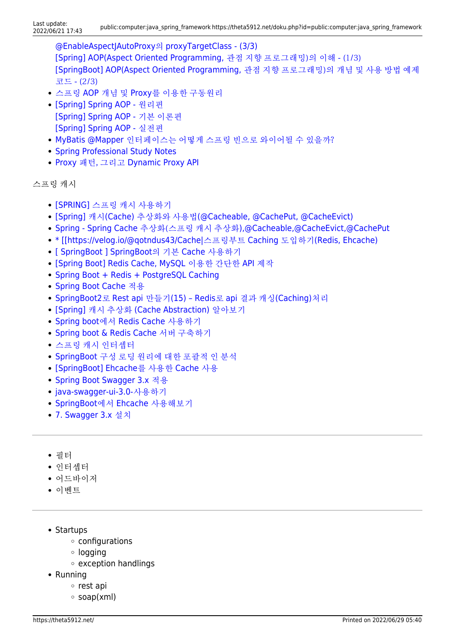[@EnableAspectJAutoProxy](https://mangkyu.tistory.com/175?category=761302)[의](https://mangkyu.tistory.com/175?category=761302) [proxyTargetClass - \(3/3\)](https://mangkyu.tistory.com/175?category=761302) [\[Spring\] AOP\(Aspect Oriented Programming,](https://mangkyu.tistory.com/161) [관점 지향 프로그래밍\)의 이해 - \(1/3\)](https://mangkyu.tistory.com/161) [\[SpringBoot\] AOP\(Aspect Oriented Programming,](https://mangkyu.tistory.com/121) [관점 지향 프로그래밍\)의 개념 및 사용 방법 예제](https://mangkyu.tistory.com/121) [코드 - \(2/3\)](https://mangkyu.tistory.com/121)

- [스프링](https://sa1341.github.io/2019/05/25/%EC%8A%A4%ED%94%84%EB%A7%81-AOP-%EA%B0%9C%EB%85%90-%EB%B0%8F-Proxy%EB%A5%BC-%EC%9D%B4%EC%9A%A9%ED%95%9C-%EA%B5%AC%EB%8F%99%EC%9B%90%EB%A6%AC/) [AOP](https://sa1341.github.io/2019/05/25/%EC%8A%A4%ED%94%84%EB%A7%81-AOP-%EA%B0%9C%EB%85%90-%EB%B0%8F-Proxy%EB%A5%BC-%EC%9D%B4%EC%9A%A9%ED%95%9C-%EA%B5%AC%EB%8F%99%EC%9B%90%EB%A6%AC/) [개념 및](https://sa1341.github.io/2019/05/25/%EC%8A%A4%ED%94%84%EB%A7%81-AOP-%EA%B0%9C%EB%85%90-%EB%B0%8F-Proxy%EB%A5%BC-%EC%9D%B4%EC%9A%A9%ED%95%9C-%EA%B5%AC%EB%8F%99%EC%9B%90%EB%A6%AC/) [Proxy](https://sa1341.github.io/2019/05/25/%EC%8A%A4%ED%94%84%EB%A7%81-AOP-%EA%B0%9C%EB%85%90-%EB%B0%8F-Proxy%EB%A5%BC-%EC%9D%B4%EC%9A%A9%ED%95%9C-%EA%B5%AC%EB%8F%99%EC%9B%90%EB%A6%AC/)[를 이용한 구동원리](https://sa1341.github.io/2019/05/25/%EC%8A%A4%ED%94%84%EB%A7%81-AOP-%EA%B0%9C%EB%85%90-%EB%B0%8F-Proxy%EB%A5%BC-%EC%9D%B4%EC%9A%A9%ED%95%9C-%EA%B5%AC%EB%8F%99%EC%9B%90%EB%A6%AC/)
- [\[Spring\] Spring AOP](https://sabarada.tistory.com/97) 워리편 [\[Spring\] Spring AOP -](https://sabarada.tistory.com/94) [기본 이론편](https://sabarada.tistory.com/94) [\[Spring\] Spring AOP -](https://sabarada.tistory.com/95) [실전편](https://sabarada.tistory.com/95)
- [MyBatis @Mapper](http://wiki.x2bee.com/pages/viewpage.action?pageId=7767258) [인터페이스는 어떻게 스프링 빈으로 와이어될 수 있을까?](http://wiki.x2bee.com/pages/viewpage.action?pageId=7767258)
- [Spring Professional Study Notes](https://jakubstas.com/spring-professional-study-notes/#.YoR7V6hByUl)
- [Proxy](http://wiki.x2bee.com/pages/viewpage.action?pageId=7766156) [패턴, 그리고](http://wiki.x2bee.com/pages/viewpage.action?pageId=7766156) [Dynamic Proxy API](http://wiki.x2bee.com/pages/viewpage.action?pageId=7766156)

```
스프링 캐시
```
- [\[SPRING\]](https://sunghs.tistory.com/132) [스프링 캐시 사용하기](https://sunghs.tistory.com/132)
- [\[Spring\]](https://mangkyu.tistory.com/179) [캐시](https://mangkyu.tistory.com/179)[\(Cache\)](https://mangkyu.tistory.com/179) [추상화와 사용법](https://mangkyu.tistory.com/179)[\(@Cacheable, @CachePut, @CacheEvict\)](https://mangkyu.tistory.com/179)
- [Spring Spring Cache](https://coding-start.tistory.com/271) [추상화\(스프링 캐시 추상화](https://coding-start.tistory.com/271)[\),@Cacheable,@CacheEvict,@CachePut](https://coding-start.tistory.com/271)
- [\\* \[\[https://velog.io/@qotndus43/Cache|](https://jins-dev.tistory.com/entry/Spring-%EC%9D%98-Caching-%EA%B8%B0%EB%8A%A5-%EC%9D%B4%EC%9A%A9%ED%95%98%EA%B8%B0)[스프링부트](https://jins-dev.tistory.com/entry/Spring-%EC%9D%98-Caching-%EA%B8%B0%EB%8A%A5-%EC%9D%B4%EC%9A%A9%ED%95%98%EA%B8%B0) [Caching](https://jins-dev.tistory.com/entry/Spring-%EC%9D%98-Caching-%EA%B8%B0%EB%8A%A5-%EC%9D%B4%EC%9A%A9%ED%95%98%EA%B8%B0) [도입하기](https://jins-dev.tistory.com/entry/Spring-%EC%9D%98-Caching-%EA%B8%B0%EB%8A%A5-%EC%9D%B4%EC%9A%A9%ED%95%98%EA%B8%B0)[\(Redis, Ehcache\)](https://jins-dev.tistory.com/entry/Spring-%EC%9D%98-Caching-%EA%B8%B0%EB%8A%A5-%EC%9D%B4%EC%9A%A9%ED%95%98%EA%B8%B0)
- [\[ SpringBoot \] SpringBoot](https://pamyferret.tistory.com/8)[의 기본](https://pamyferret.tistory.com/8) [Cache](https://pamyferret.tistory.com/8) [사용하기](https://pamyferret.tistory.com/8)
- [\[Spring Boot\] Redis Cache, MySQL](https://ozofweird.tistory.com/entry/Spring-Boot-Redis-Cache-MySQL-%EC%9D%B4%EC%9A%A9%ED%95%9C-%EA%B0%84%EB%8B%A8%ED%95%9C-API-%EC%A0%9C%EC%9E%91) [이용한 간단한](https://ozofweird.tistory.com/entry/Spring-Boot-Redis-Cache-MySQL-%EC%9D%B4%EC%9A%A9%ED%95%9C-%EA%B0%84%EB%8B%A8%ED%95%9C-API-%EC%A0%9C%EC%9E%91) [API](https://ozofweird.tistory.com/entry/Spring-Boot-Redis-Cache-MySQL-%EC%9D%B4%EC%9A%A9%ED%95%9C-%EA%B0%84%EB%8B%A8%ED%95%9C-API-%EC%A0%9C%EC%9E%91) [제작](https://ozofweird.tistory.com/entry/Spring-Boot-Redis-Cache-MySQL-%EC%9D%B4%EC%9A%A9%ED%95%9C-%EA%B0%84%EB%8B%A8%ED%95%9C-API-%EC%A0%9C%EC%9E%91)
- [Spring Boot + Redis + PostgreSQL Caching](https://medium.com/echohub/spring-boot-redis-postgresql-caching-58ca352280a3)
- [Spring Boot Cache](https://lovethefeel.tistory.com/m/70) [적용](https://lovethefeel.tistory.com/m/70)
- [SpringBoot2](https://daddyprogrammer.org/post/3870/spring-rest-api-redis-caching/)[로](https://daddyprogrammer.org/post/3870/spring-rest-api-redis-caching/) [Rest api](https://daddyprogrammer.org/post/3870/spring-rest-api-redis-caching/) [만들기](https://daddyprogrammer.org/post/3870/spring-rest-api-redis-caching/)[\(15\) Redis](https://daddyprogrammer.org/post/3870/spring-rest-api-redis-caching/)[로](https://daddyprogrammer.org/post/3870/spring-rest-api-redis-caching/) [api](https://daddyprogrammer.org/post/3870/spring-rest-api-redis-caching/) [결과 캐싱](https://daddyprogrammer.org/post/3870/spring-rest-api-redis-caching/)[\(Caching\)](https://daddyprogrammer.org/post/3870/spring-rest-api-redis-caching/)[처리](https://daddyprogrammer.org/post/3870/spring-rest-api-redis-caching/)
- [\[Spring\]](https://12bme.tistory.com/550) [캐시 추상화](https://12bme.tistory.com/550) [\(Cache Abstraction\)](https://12bme.tistory.com/550) [알아보기](https://12bme.tistory.com/550)
- [Spring boot](https://deveric.tistory.com/98)[에서](https://deveric.tistory.com/98) [Redis Cache](https://deveric.tistory.com/98) [사용하기](https://deveric.tistory.com/98)
- [Spring boot & Redis Cache](https://sundries-in-myidea.tistory.com/110) [서버 구축하기](https://sundries-in-myidea.tistory.com/110)
- [스프링 캐시 인터셉터](https://namocom.tistory.com/962)
- [SpringBoot](https://www.codetd.com/ru/article/12868220) [구성 로딩 원리에 대한 포괄적 인 분석](https://www.codetd.com/ru/article/12868220)
- [\[SpringBoot\] Ehcache](https://bkjeon1614.tistory.com/676)[를 사용한](https://bkjeon1614.tistory.com/676) [Cache](https://bkjeon1614.tistory.com/676) [사용](https://bkjeon1614.tistory.com/676)
- [Spring Boot Swagger 3.x](https://bcp0109.tistory.com/326) [적용](https://bcp0109.tistory.com/326)
- [java-swagger-ui-3.0-](https://blog2.deliwind.com/20201127/java-swagger-ui-3-0-%EC%82%AC%EC%9A%A9%ED%95%98%EA%B8%B0/)[사용하기](https://blog2.deliwind.com/20201127/java-swagger-ui-3-0-%EC%82%AC%EC%9A%A9%ED%95%98%EA%B8%B0/)
- [SpringBoot](https://velog.io/@qoxogus/SpringBoot%EC%97%90%EC%84%9C-Ehcache-%EC%82%AC%EC%9A%A9%ED%95%B4%EB%B3%B4%EA%B8%B0)[에서](https://velog.io/@qoxogus/SpringBoot%EC%97%90%EC%84%9C-Ehcache-%EC%82%AC%EC%9A%A9%ED%95%B4%EB%B3%B4%EA%B8%B0) [Ehcache](https://velog.io/@qoxogus/SpringBoot%EC%97%90%EC%84%9C-Ehcache-%EC%82%AC%EC%9A%A9%ED%95%B4%EB%B3%B4%EA%B8%B0) [사용해보기](https://velog.io/@qoxogus/SpringBoot%EC%97%90%EC%84%9C-Ehcache-%EC%82%AC%EC%9A%A9%ED%95%B4%EB%B3%B4%EA%B8%B0)
- [7. Swagger 3.x](https://goodsaem.github.io/spring/107-springboot-swagger.html#_2-%E1%84%8C%E1%85%A5%E1%86%A8%E1%84%8B%E1%85%AD%E1%86%BC) [설치](https://goodsaem.github.io/spring/107-springboot-swagger.html#_2-%E1%84%8C%E1%85%A5%E1%86%A8%E1%84%8B%E1%85%AD%E1%86%BC)
- 필터
- 인터셉터
- 어드바이저
- 이벤트
- Startups
	- configurations
	- logging
	- exception handlings
- Running
	- o rest api
	- $\circ$  soap(xml)